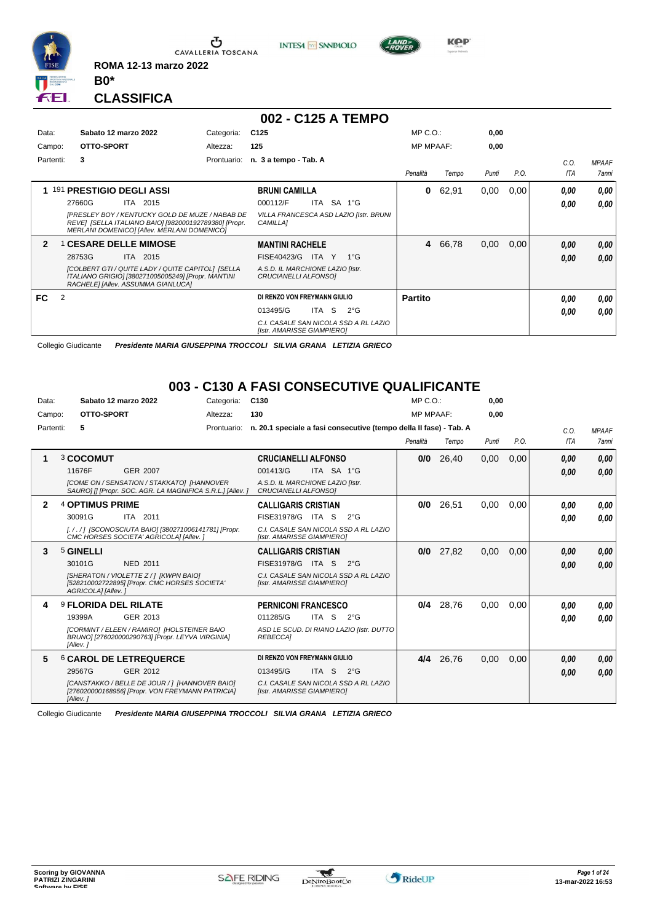

**INTESA** M SANPAOLO



**Kep** 

**CLASSIFICA**

**B0\***

**ROMA 12-13 marzo 2022**

|              |   |                                                                                                                                                         |             | 002 - C125 A TEMPO                                                  |       |              |                  |       |       |      |      |              |
|--------------|---|---------------------------------------------------------------------------------------------------------------------------------------------------------|-------------|---------------------------------------------------------------------|-------|--------------|------------------|-------|-------|------|------|--------------|
| Data:        |   | Sabato 12 marzo 2022                                                                                                                                    | Categoria:  | C <sub>125</sub>                                                    |       |              | $MP C. O.$ :     |       | 0,00  |      |      |              |
| Campo:       |   | OTTO-SPORT                                                                                                                                              | Altezza:    | 125                                                                 |       |              | <b>MP MPAAF:</b> |       | 0,00  |      |      |              |
| Partenti:    |   | 3                                                                                                                                                       | Prontuario: | n. 3 a tempo - Tab. A                                               |       |              |                  |       |       |      | C.O. | <b>MPAAF</b> |
|              |   |                                                                                                                                                         |             |                                                                     |       |              | Penalità         | Tempo | Punti | P.O. | ITA  | 7anni        |
|              |   | 1 191 PRESTIGIO DEGLI ASSI                                                                                                                              |             | <b>BRUNI CAMILLA</b>                                                |       |              | 0                | 62,91 | 0,00  | 0,00 | 0.00 | 0,00         |
|              |   | 27660G<br>ITA 2015                                                                                                                                      |             | 000112/F                                                            |       | ITA SA 1°G   |                  |       |       |      | 0.00 | 0.00         |
|              |   | [PRESLEY BOY / KENTUCKY GOLD DE MUZE / NABAB DE<br>REVE] [SELLA ITALIANO BAIO] [982000192789380] [Propr.<br>MERLANI DOMENICO] [Allev. MERLANI DOMENICO] |             | VILLA FRANCESCA ASD LAZIO [Istr. BRUNI<br>CAMILLA]                  |       |              |                  |       |       |      |      |              |
| $\mathbf{2}$ |   | <b>1 CESARE DELLE MIMOSE</b>                                                                                                                            |             | <b>MANTINI RACHELE</b>                                              |       |              | 4                | 66,78 | 0,00  | 0.00 | 0,00 | 0,00         |
|              |   | ITA 2015<br>28753G                                                                                                                                      |             | FISE40423/G                                                         | ITA Y | $1^{\circ}G$ |                  |       |       |      | 0.00 | 0,00         |
|              |   | [COLBERT GTI / QUITE LADY / QUITE CAPITOL] [SELLA<br>ITALIANO GRIGIO] [380271005005249] [Propr. MANTINI<br>RACHELE] [Allev. ASSUMMA GIANLUCA]           |             | A.S.D. IL MARCHIONE LAZIO [Istr.<br>CRUCIANELLI ALFONSO]            |       |              |                  |       |       |      |      |              |
| FC           | 2 |                                                                                                                                                         |             | DI RENZO VON FREYMANN GIULIO                                        |       |              | <b>Partito</b>   |       |       |      | 0.00 | 0.00         |
|              |   |                                                                                                                                                         |             | 013495/G                                                            | ITA S | $2^{\circ}G$ |                  |       |       |      | 0,00 | 0.00         |
|              |   |                                                                                                                                                         |             | C.I. CASALE SAN NICOLA SSD A RL LAZIO<br>[Istr. AMARISSE GIAMPIERO] |       |              |                  |       |       |      |      |              |

Collegio Giudicante *Presidente MARIA GIUSEPPINA TROCCOLI SILVIA GRANA LETIZIA GRIECO*

## **003 - C130 A FASI CONSECUTIVE QUALIFICANTE**

| Data:        | Sabato 12 marzo 2022                                                                                           | Categoria:  | C <sub>130</sub>                                                    |            |              | $MP C. O.$ :     |           | 0.00  |      |            |              |
|--------------|----------------------------------------------------------------------------------------------------------------|-------------|---------------------------------------------------------------------|------------|--------------|------------------|-----------|-------|------|------------|--------------|
| Campo:       | OTTO-SPORT                                                                                                     | Altezza:    | 130                                                                 |            |              | <b>MP MPAAF:</b> |           | 0.00  |      |            |              |
| Partenti:    | 5                                                                                                              | Prontuario: | n. 20.1 speciale a fasi consecutive (tempo della II fase) - Tab. A  |            |              |                  |           |       |      | C.0.       | <b>MPAAF</b> |
|              |                                                                                                                |             |                                                                     |            |              | Penalità         | Tempo     | Punti | P.O. | <b>ITA</b> | <b>7anni</b> |
| 1            | 3 COCOMUT                                                                                                      |             | <b>CRUCIANELLI ALFONSO</b>                                          |            |              | 0/0              | 26,40     | 0.00  | 0.00 | 0,00       | 0,00         |
|              | 11676F<br><b>GER 2007</b>                                                                                      |             | 001413/G                                                            | ITA SA 1°G |              |                  |           |       |      | 0,00       | 0,00         |
|              | [COME ON / SENSATION / STAKKATO] [HANNOVER<br>SAUROI [I [Propr. SOC. AGR. LA MAGNIFICA S.R.L.] [Allev. ]       |             | A.S.D. IL MARCHIONE LAZIO [Istr.<br>CRUCIANELLI ALFONSO1            |            |              |                  |           |       |      |            |              |
| $\mathbf{2}$ | <b>4 OPTIMUS PRIME</b>                                                                                         |             | <b>CALLIGARIS CRISTIAN</b>                                          |            |              | 0/0              | 26.51     | 0.00  | 0.00 | 0.00       | 0.00         |
|              | ITA 2011<br>30091G                                                                                             |             | FISE31978/G ITA S 2°G                                               |            |              |                  |           |       |      | 0.00       | 0,00         |
|              | [././] [SCONOSCIUTA BAIO] [380271006141781] [Propr.<br>CMC HORSES SOCIETA' AGRICOLA] [Allev. ]                 |             | C.I. CASALE SAN NICOLA SSD A RL LAZIO<br>[Istr. AMARISSE GIAMPIERO] |            |              |                  |           |       |      |            |              |
| 3            | 5 GINELLI                                                                                                      |             | <b>CALLIGARIS CRISTIAN</b>                                          |            |              | 0/0              | 27,82     | 0,00  | 0.00 | 0,00       | 0.00         |
|              | 30101G<br>NED 2011                                                                                             |             | FISE31978/G                                                         | ITA S      | $2^{\circ}G$ |                  |           |       |      | 0.00       | 0.00         |
|              | [SHERATON / VIOLETTE Z / 1 [KWPN BAIO]<br>[528210002722895] [Propr. CMC HORSES SOCIETA'<br>AGRICOLA] [Allev.]  |             | C.I. CASALE SAN NICOLA SSD A RL LAZIO<br>[Istr. AMARISSE GIAMPIERO] |            |              |                  |           |       |      |            |              |
| 4            | <b>9 FLORIDA DEL RILATE</b>                                                                                    |             | <b>PERNICONI FRANCESCO</b>                                          |            |              | 0/4              | 28,76     | 0,00  | 0.00 | 0.00       | 0.00         |
|              | 19399A<br>GER 2013                                                                                             |             | 011285/G                                                            | ITA S      | $2^{\circ}G$ |                  |           |       |      | 0.00       | 0.00         |
|              | [CORMINT / ELEEN / RAMIRO] [HOLSTEINER BAIO<br>BRUNO] [276020000290763] [Propr. LEYVA VIRGINIA]<br>[Allev.]    |             | ASD LE SCUD. DI RIANO LAZIO [Istr. DUTTO<br><b>REBECCAI</b>         |            |              |                  |           |       |      |            |              |
| 5            | <b>6 CAROL DE LETREQUERCE</b>                                                                                  |             | DI RENZO VON FREYMANN GIULIO                                        |            |              |                  | 4/4 26,76 | 0,00  | 0.00 | 0.00       | 0.00         |
|              | 29567G<br>GER 2012                                                                                             |             | 013495/G                                                            | ITA S      | $2^{\circ}G$ |                  |           |       |      | 0.00       | 0,00         |
|              | [CANSTAKKO / BELLE DE JOUR / ] [HANNOVER BAIO]<br>[276020000168956] [Propr. VON FREYMANN PATRICIA]<br>[Allev.] |             | C.I. CASALE SAN NICOLA SSD A RL LAZIO<br>[Istr. AMARISSE GIAMPIERO] |            |              |                  |           |       |      |            |              |

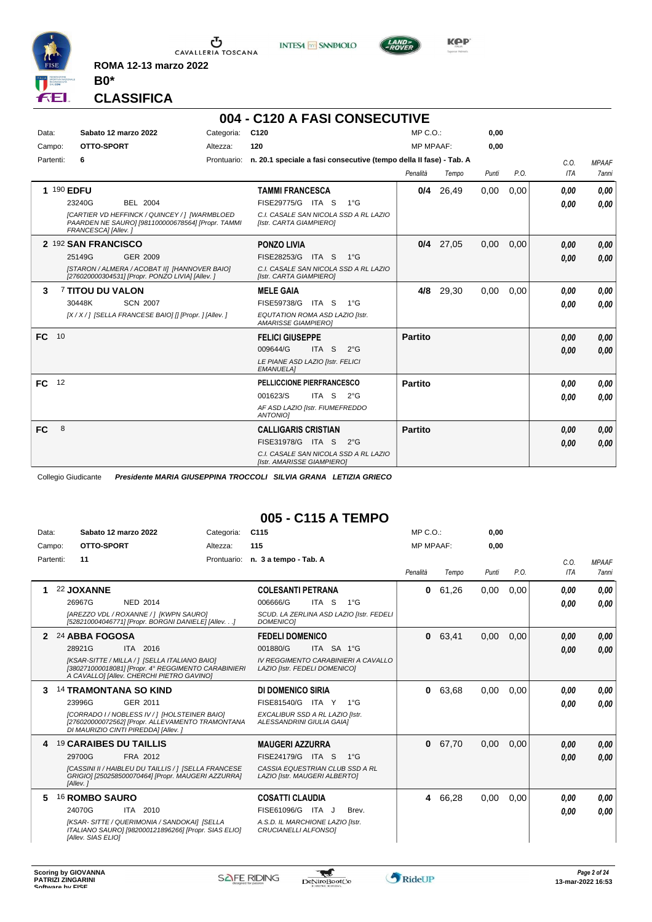

**INTESA** M SANPAOLO



**Kep** 

**CLASSIFICA**

**B0\***

**ROMA 12-13 marzo 2022**

# **004 - C120 A FASI CONSECUTIVE**

| Data:     | Sabato 12 marzo 2022                             | Categoria:                                                                                         | C <sub>120</sub>                                                               | MP C. O.         |             | 0,00  |      |            |              |
|-----------|--------------------------------------------------|----------------------------------------------------------------------------------------------------|--------------------------------------------------------------------------------|------------------|-------------|-------|------|------------|--------------|
| Campo:    | OTTO-SPORT                                       | Altezza:                                                                                           | 120                                                                            | <b>MP MPAAF:</b> |             | 0,00  |      |            |              |
| Partenti: | 6                                                |                                                                                                    | Prontuario: n. 20.1 speciale a fasi consecutive (tempo della II fase) - Tab. A |                  |             |       |      | C.0.       | <b>MPAAF</b> |
|           |                                                  |                                                                                                    |                                                                                | Penalità         | Tempo       | Punti | P.O. | <b>ITA</b> | <b>7anni</b> |
|           | 1 190 EDFU                                       |                                                                                                    | <b>TAMMI FRANCESCA</b>                                                         |                  | $0/4$ 26,49 | 0,00  | 0,00 | 0,00       | 0.00         |
|           | BEL 2004<br>23240G                               |                                                                                                    | FISE29775/G ITA S<br>$1^{\circ}$ G                                             |                  |             |       |      | 0.00       | 0.00         |
|           | FRANCESCA] [Allev.]                              | [CARTIER VD HEFFINCK / QUINCEY / 1 [WARMBLOED<br>PAARDEN NE SAURO] [981100000678564] [Propr. TAMMI | C.I. CASALE SAN NICOLA SSD A RL LAZIO<br>[Istr. CARTA GIAMPIERO]               |                  |             |       |      |            |              |
|           | 2 192 SAN FRANCISCO                              |                                                                                                    | <b>PONZO LIVIA</b>                                                             |                  | $0/4$ 27,05 | 0,00  | 0,00 | 0,00       | 0,00         |
|           | 25149G<br>GER 2009                               |                                                                                                    | FISE28253/G<br>ITA S<br>$1^{\circ}G$                                           |                  |             |       |      | 0,00       | 0.00         |
|           | [276020000304531] [Propr. PONZO LIVIA] [Allev. ] | [STARON / ALMERA / ACOBAT II] [HANNOVER BAIO]                                                      | C.I. CASALE SAN NICOLA SSD A RL LAZIO<br>[Istr. CARTA GIAMPIERO]               |                  |             |       |      |            |              |
| 3         | <b>7 TITOU DU VALON</b>                          |                                                                                                    | <b>MELE GAIA</b>                                                               | 4/8              | 29,30       | 0,00  | 0,00 | 0,00       | 0,00         |
|           | 30448K<br><b>SCN 2007</b>                        |                                                                                                    | FISE59738/G<br>ITA S<br>$1^{\circ}G$                                           |                  |             |       |      | 0.00       | 0.00         |
|           |                                                  | [X / X / 1 [SELLA FRANCESE BAIO] [] [Propr. ] [Allev. ]                                            | EQUTATION ROMA ASD LAZIO [Istr.<br><b>AMARISSE GIAMPIEROI</b>                  |                  |             |       |      |            |              |
| <b>FC</b> | 10                                               |                                                                                                    | <b>FELICI GIUSEPPE</b>                                                         | Partito          |             |       |      | 0,00       | 0.00         |
|           |                                                  |                                                                                                    | ITA <sub>S</sub><br>009644/G<br>$2^{\circ}$ G                                  |                  |             |       |      | 0.00       | 0.00         |
|           |                                                  |                                                                                                    | LE PIANE ASD LAZIO [Istr. FELICI<br><b>EMANUELA1</b>                           |                  |             |       |      |            |              |
| <b>FC</b> | 12                                               |                                                                                                    | PELLICCIONE PIERFRANCESCO                                                      | <b>Partito</b>   |             |       |      | 0,00       | 0.00         |
|           |                                                  |                                                                                                    | ITA S $2^{\circ}G$<br>001623/S                                                 |                  |             |       |      | 0,00       | 0.00         |
|           |                                                  |                                                                                                    | AF ASD LAZIO [Istr. FIUMEFREDDO<br><b>ANTONIOI</b>                             |                  |             |       |      |            |              |
| <b>FC</b> | 8                                                |                                                                                                    | <b>CALLIGARIS CRISTIAN</b>                                                     | <b>Partito</b>   |             |       |      | 0,00       | 0,00         |
|           |                                                  |                                                                                                    | FISE31978/G ITA S<br>$2^{\circ}$ G                                             |                  |             |       |      | 0,00       | 0.00         |
|           |                                                  |                                                                                                    | C.I. CASALE SAN NICOLA SSD A RL LAZIO<br>[Istr. AMARISSE GIAMPIERO]            |                  |             |       |      |            |              |

Collegio Giudicante *Presidente MARIA GIUSEPPINA TROCCOLI SILVIA GRANA LETIZIA GRIECO*

## **005 - C115 A TEMPO**

| Data:     | Sabato 12 marzo 2022                                                                                                                                                                            | Categoria:  | C <sub>115</sub>                                                                                                                   | $MP C. O.$ :     |       | 0,00  |      |              |                              |
|-----------|-------------------------------------------------------------------------------------------------------------------------------------------------------------------------------------------------|-------------|------------------------------------------------------------------------------------------------------------------------------------|------------------|-------|-------|------|--------------|------------------------------|
| Campo:    | OTTO-SPORT                                                                                                                                                                                      | Altezza:    | 115                                                                                                                                | <b>MP MPAAF:</b> |       | 0.00  |      |              |                              |
| Partenti: | 11                                                                                                                                                                                              | Prontuario: | n. 3 a tempo - Tab. A                                                                                                              | Penalità         | Tempo | Punti | P.O. | C.0.<br>ITA  | <b>MPAAF</b><br><b>7anni</b> |
|           | 22 JOXANNE<br>26967G<br><b>NED 2014</b><br><b>IAREZZO VDL / ROXANNE / 1 IKWPN SAUROI</b><br>[528210004046771] [Propr. BORGNI DANIELE] [Allev.]                                                  |             | <b>COLESANTI PETRANA</b><br>ITA S<br>$1^{\circ}G$<br>006666/G<br>SCUD. LA ZERLINA ASD LAZIO [Istr. FEDELI<br><b>DOMENICO1</b>      | 0                | 61,26 | 0,00  | 0.00 | 0,00<br>0,00 | 0.00<br>0,00                 |
| 2         | 24 ABBA FOGOSA<br>28921G<br>ITA 2016<br>[KSAR-SITTE / MILLA / ] [SELLA ITALIANO BAIO]<br>[380271000018081] [Propr. 4° REGGIMENTO CARABINIERI<br>A CAVALLOI [Allev. CHERCHI PIETRO GAVINO]       |             | <b>FEDELI DOMENICO</b><br>ITA SA 1°G<br>001880/G<br>IV REGGIMENTO CARABINIERI A CAVALLO<br>LAZIO [Istr. FEDELI DOMENICO]           | $\mathbf{0}$     | 63,41 | 0,00  | 0.00 | 0,00<br>0,00 | 0,00<br>0,00                 |
| 3         | <b>14 TRAMONTANA SO KIND</b><br>GER 2011<br>23996G<br>[CORRADO I / NOBLESS IV / 1 [HOLSTEINER BAIO]<br>[276020000072562] [Propr. ALLEVAMENTO TRAMONTANA<br>DI MAURIZIO CINTI PIREDDA] [Allev. ] |             | <b>DI DOMENICO SIRIA</b><br>FISE81540/G ITA Y<br>$1^{\circ}G$<br>EXCALIBUR SSD A RL LAZIO [Istr.<br>ALESSANDRINI GIULIA GAIA]      | $\mathbf{0}$     | 63,68 | 0.00  | 0.00 | 0.00<br>0,00 | 0,00<br>0.00                 |
| 4         | <b>19 CARAIBES DU TAILLIS</b><br>FRA 2012<br>29700G<br>[CASSINI II / HAIBLEU DU TAILLIS / ] [SELLA FRANCESE<br>GRIGIO] [250258500070464] [Propr. MAUGERI AZZURRA]<br>[Allev.]                   |             | <b>MAUGERI AZZURRA</b><br>FISE24179/G<br>ITA S<br>$1^{\circ}G$<br>CASSIA EQUESTRIAN CLUB SSD A RL<br>LAZIO [Istr. MAUGERI ALBERTO] | $\bf{0}$         | 67,70 | 0.00  | 0.00 | 0,00<br>0,00 | 0,00<br>0,00                 |
| 5         | 16 ROMBO SAURO<br>ITA 2010<br>24070G<br>[KSAR-SITTE / QUERIMONIA / SANDOKAI] [SELLA<br>ITALIANO SAURO] [982000121896266] [Propr. SIAS ELIO]<br>[Allev. SIAS ELIO]                               |             | <b>COSATTI CLAUDIA</b><br>FISE61096/G ITA J<br>Brev.<br>A.S.D. IL MARCHIONE LAZIO [Istr.<br>CRUCIANELLI ALFONSO1                   | 4                | 66.28 | 0.00  | 0.00 | 0,00<br>0,00 | 0.00<br>0.00                 |

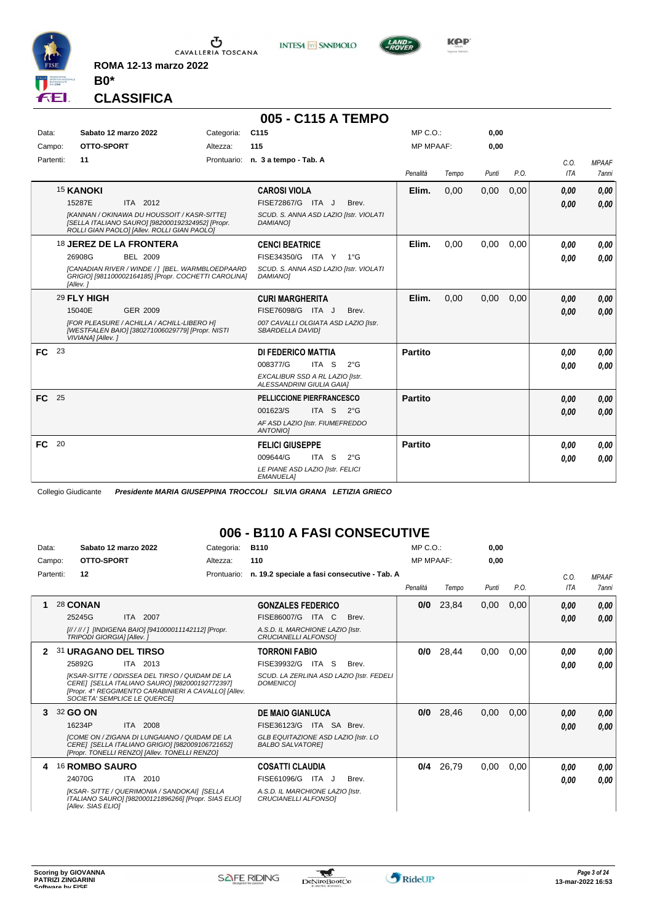

**INTESA** M SANPAOLO



**Kep** 

## **CLASSIFICA**

**B0\***

**ROMA 12-13 marzo 2022**

|                   |                                                                                                                                                                                          |            | 005 - C115 A TEMPO                                                                                                      |                  |       |       |      |                    |                                     |
|-------------------|------------------------------------------------------------------------------------------------------------------------------------------------------------------------------------------|------------|-------------------------------------------------------------------------------------------------------------------------|------------------|-------|-------|------|--------------------|-------------------------------------|
| Data:             | Sabato 12 marzo 2022                                                                                                                                                                     | Categoria: | C115                                                                                                                    | $MP C. O.$ :     |       | 0,00  |      |                    |                                     |
| Campo:            | OTTO-SPORT                                                                                                                                                                               | Altezza:   | 115                                                                                                                     | <b>MP MPAAF:</b> |       | 0,00  |      |                    |                                     |
| Partenti:         | 11                                                                                                                                                                                       |            | Prontuario: n. 3 a tempo - Tab. A                                                                                       | Penalità         | Tempo | Punti | P.O. | C.0.<br><b>ITA</b> | <b>MPAAF</b><br><i><b>7anni</b></i> |
|                   | <b>15 KANOKI</b><br>ITA 2012<br>15287E<br>[KANNAN / OKINAWA DU HOUSSOIT / KASR-SITTE]<br>[SELLA ITALIANO SAURO] [982000192324952] [Propr.<br>ROLLI GIAN PAOLO] [Allev. ROLLI GIAN PAOLO] |            | <b>CAROSI VIOLA</b><br>FISE72867/G ITA J<br>Brev.<br>SCUD. S. ANNA ASD LAZIO [Istr. VIOLATI<br><b>DAMIANO1</b>          | Elim.            | 0,00  | 0,00  | 0,00 | 0,00<br>0,00       | 0.00<br>0.00                        |
|                   | 18 JEREZ DE LA FRONTERA<br>26908G<br>BEL 2009<br>[CANADIAN RIVER / WINDE / ] [BEL. WARMBLOEDPAARD<br>GRIGIO] [981100002164185] [Propr. COCHETTI CAROLINA]<br>[Allev.]                    |            | <b>CENCI BEATRICE</b><br>FISE34350/G ITA Y<br>$1^{\circ}G$<br>SCUD. S. ANNA ASD LAZIO [Istr. VIOLATI<br><b>DAMIANO1</b> | Elim.            | 0.00  | 0,00  | 0,00 | 0.00<br>0.00       | 0,00<br>0.00                        |
|                   | 29 FLY HIGH<br>15040E<br>GER 2009<br>[FOR PLEASURE / ACHILLA / ACHILL-LIBERO H]<br>[WESTFALEN BAIO] [380271006029779] [Propr. NISTI<br>VIVIANA] [Allev.]                                 |            | <b>CURI MARGHERITA</b><br>FISE76098/G ITA J<br>Brev.<br>007 CAVALLI OLGIATA ASD LAZIO [Istr.<br>SBARDELLA DAVIDI        | Elim.            | 0,00  | 0,00  | 0,00 | 0.00<br>0.00       | 0,00<br>0.00                        |
| $FC$ 23           |                                                                                                                                                                                          |            | DI FEDERICO MATTIA<br>008377/G<br>ITA S<br>$2^{\circ}G$<br>EXCALIBUR SSD A RL LAZIO [Istr.<br>ALESSANDRINI GIULIA GAIAI | Partito          |       |       |      | 0.00<br>0.00       | 0,00<br>0,00                        |
| <b>FC</b><br>- 25 |                                                                                                                                                                                          |            | <b>PELLICCIONE PIERFRANCESCO</b><br>ITA S 2°G<br>001623/S<br>AF ASD LAZIO [Istr. FIUMEFREDDO<br><b>ANTONIOI</b>         | <b>Partito</b>   |       |       |      | 0.00<br>0.00       | 0,00<br>0.00                        |
| FC<br>- 20        |                                                                                                                                                                                          |            | <b>FELICI GIUSEPPE</b><br>009644/G<br>ITA S<br>$2^{\circ}G$<br>LE PIANE ASD LAZIO [Istr. FELICI<br><b>EMANUELA1</b>     | Partito          |       |       |      | 0.00<br>0,00       | 0,00<br>0,00                        |

Collegio Giudicante *Presidente MARIA GIUSEPPINA TROCCOLI SILVIA GRANA LETIZIA GRIECO*

## **006 - B110 A FASI CONSECUTIVE**

| Data:     | Sabato 12 marzo 2022                                           |                                                                                                                                                                      | Categoria:  | <b>B110</b>                                                                                                  |              | MP C. O.         |       | 0,00  |      |              |                              |
|-----------|----------------------------------------------------------------|----------------------------------------------------------------------------------------------------------------------------------------------------------------------|-------------|--------------------------------------------------------------------------------------------------------------|--------------|------------------|-------|-------|------|--------------|------------------------------|
| Campo:    | OTTO-SPORT                                                     |                                                                                                                                                                      | Altezza:    | 110                                                                                                          |              | <b>MP MPAAF:</b> |       | 0.00  |      |              |                              |
| Partenti: | 12                                                             |                                                                                                                                                                      | Prontuario: | n. 19.2 speciale a fasi consecutive - Tab. A                                                                 |              | Penalità         | Tempo | Punti | P.O. | C.O.<br>ITA  | <b>MPAAF</b><br><b>7anni</b> |
|           | 28 CONAN<br>25245G<br>TRIPODI GIORGIA] [Allev.]                | ITA 2007<br>[////// ] [INDIGENA BAIO] [941000011142112] [Propr.                                                                                                      |             | <b>GONZALES FEDERICO</b><br>FISE86007/G<br>ITA C<br>A.S.D. IL MARCHIONE LAZIO [Istr.<br>CRUCIANELLI ALFONSOI | Brev.        | 0/0              | 23,84 | 0,00  | 0,00 | 0.00<br>0,00 | 0,00<br>0,00                 |
| 2         | 31 URAGANO DEL TIRSO<br>25892G<br>SOCIETA' SEMPLICE LE QUERCEI | ITA 2013<br>IKSAR-SITTE / ODISSEA DEL TIRSO / QUIDAM DE LA<br>CERE] ISELLA ITALIANO SAURO] [982000192772397]<br>[Propr. 4° REGGIMENTO CARABINIERI A CAVALLO] [Allev. |             | <b>TORRONI FABIO</b><br>FISE39932/G<br>ITA S<br>SCUD. LA ZERLINA ASD LAZIO [Istr. FEDELI<br><b>DOMENICO1</b> | Brev.        | 0/0              | 28,44 | 0,00  | 0,00 | 0.00<br>0.00 | 0.00<br>0.00                 |
| 3         | 32 GO ON<br>16234P                                             | ITA 2008<br><b>ICOME ON / ZIGANA DI LUNGAIANO / QUIDAM DE LA</b><br>CERE] [SELLA ITALIANO GRIGIO] [982009106721652]<br>[Propr. TONELLI RENZO] [Allev. TONELLI RENZO] |             | <b>DE MAIO GIANLUCA</b><br>FISE36123/G<br>GLB EQUITAZIONE ASD LAZIO [Istr. LO<br><b>BALBO SALVATOREI</b>     | ITA SA Brev. | 0/0              | 28,46 | 0,00  | 0,00 | 0,00<br>0,00 | 0,00<br>0,00                 |
|           | <sup>16</sup> ROMBO SAURO<br>24070G<br>[Allev. SIAS ELIO]      | 2010<br>ITA<br>[KSAR-SITTE / QUERIMONIA / SANDOKAI] [SELLA<br>ITALIANO SAURO] [982000121896266] [Propr. SIAS ELIO]                                                   |             | <b>COSATTI CLAUDIA</b><br>FISE61096/G<br>ITA J<br>A.S.D. IL MARCHIONE LAZIO [Istr.<br>CRUCIANELLI ALFONSO1   | Brev.        | 0/4              | 26,79 | 0,00  | 0,00 | 0.00<br>0,00 | 0,00<br>0,00                 |

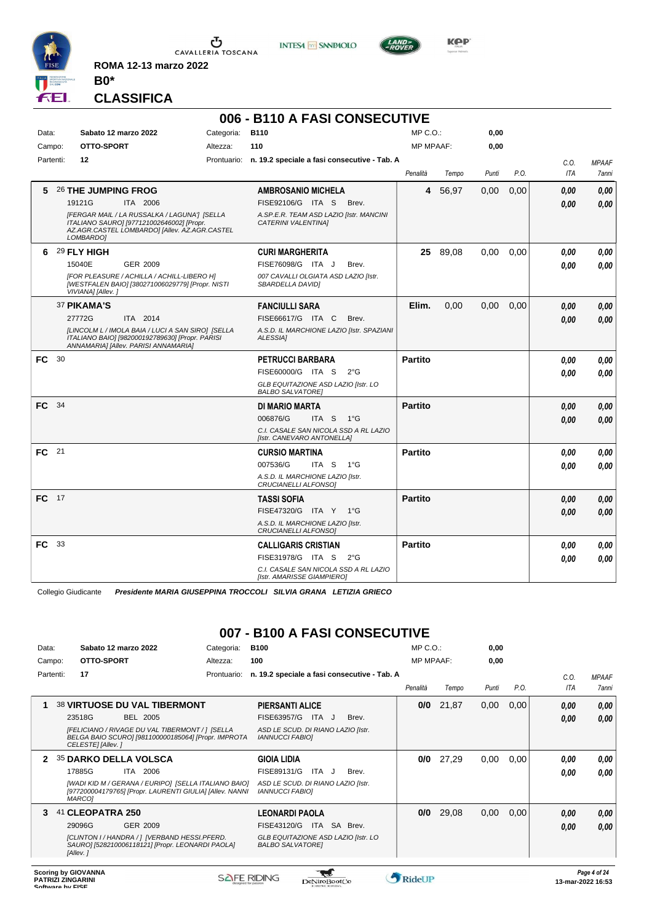

**INTESA** M SANPAOLO



**KOP** 

**CLASSIFICA**

**B0\***

**ROMA 12-13 marzo 2022**

# **006 - B110 A FASI CONSECUTIVE**

| Data:        |    | Sabato 12 marzo 2022                                                                                                                                    | Categoria: | B110                                                                  | $MP C. O.$ :     |          | 0,00  |      |            |              |
|--------------|----|---------------------------------------------------------------------------------------------------------------------------------------------------------|------------|-----------------------------------------------------------------------|------------------|----------|-------|------|------------|--------------|
| Campo:       |    | OTTO-SPORT                                                                                                                                              | Altezza:   | 110                                                                   | <b>MP MPAAF:</b> |          | 0,00  |      |            |              |
| Partenti:    |    | 12                                                                                                                                                      |            | Prontuario: n. 19.2 speciale a fasi consecutive - Tab. A              |                  |          |       |      | C.O.       | <b>MPAAF</b> |
|              |    |                                                                                                                                                         |            |                                                                       | Penalità         | Tempo    | Punti | P.O. | <b>ITA</b> | 7anni        |
| 5            |    | 26 THE JUMPING FROG                                                                                                                                     |            | <b>AMBROSANIO MICHELA</b>                                             | 4                | 56,97    | 0,00  | 0,00 | 0.00       | 0,00         |
|              |    | 19121G<br>ITA 2006                                                                                                                                      |            | FISE92106/G ITA S<br>Brev.                                            |                  |          |       |      | 0.00       | 0,00         |
|              |    | [FERGAR MAIL / LA RUSSALKA / LAGUNA'] [SELLA<br>ITALIANO SAURO] [977121002646002] [Propr.<br>AZ.AGR.CASTEL LOMBARDO] [Allev. AZ.AGR.CASTEL<br>LOMBARDO] |            | A.SP.E.R. TEAM ASD LAZIO [Istr. MANCINI<br><b>CATERINI VALENTINAI</b> |                  |          |       |      |            |              |
| 6            |    | 29 FLY HIGH                                                                                                                                             |            | <b>CURI MARGHERITA</b>                                                |                  | 25 89,08 | 0,00  | 0.00 | 0.00       | 0,00         |
|              |    | <b>GER 2009</b><br>15040E                                                                                                                               |            | FISE76098/G ITA J<br>Brev.                                            |                  |          |       |      | 0.00       | 0,00         |
|              |    | [FOR PLEASURE / ACHILLA / ACHILL-LIBERO H]<br>[WESTFALEN BAIO] [380271006029779] [Propr. NISTI<br>VIVIANA] [Allev.]                                     |            | 007 CAVALLI OLGIATA ASD LAZIO [Istr.<br>SBARDELLA DAVIDI              |                  |          |       |      |            |              |
|              |    | 37 PIKAMA'S                                                                                                                                             |            | <b>FANCIULLI SARA</b>                                                 | Elim.            | 0.00     | 0,00  | 0,00 | 0,00       | 0,00         |
|              |    | 27772G<br>ITA 2014                                                                                                                                      |            | FISE66617/G ITA C<br>Brev.                                            |                  |          |       |      | 0.00       | 0,00         |
|              |    | [LINCOLM L / IMOLA BAIA / LUCI A SAN SIRO] [SELLA<br>ITALIANO BAIO] [982000192789630] [Propr. PARISI<br>ANNAMARIA] [Allev. PARISI ANNAMARIA]            |            | A.S.D. IL MARCHIONE LAZIO [Istr. SPAZIANI<br>ALESSIA]                 |                  |          |       |      |            |              |
| <b>FC</b> 30 |    |                                                                                                                                                         |            | <b>PETRUCCI BARBARA</b>                                               | <b>Partito</b>   |          |       |      | 0,00       | 0,00         |
|              |    |                                                                                                                                                         |            | FISE60000/G ITA S<br>$2^{\circ}$ G                                    |                  |          |       |      | 0.00       | 0,00         |
|              |    |                                                                                                                                                         |            | GLB EQUITAZIONE ASD LAZIO [Istr. LO<br><b>BALBO SALVATORE!</b>        |                  |          |       |      |            |              |
| FC 34        |    |                                                                                                                                                         |            | <b>DI MARIO MARTA</b>                                                 | <b>Partito</b>   |          |       |      | 0.00       | 0,00         |
|              |    |                                                                                                                                                         |            | 006876/G<br>ITA S<br>1°G                                              |                  |          |       |      | 0,00       | 0.00         |
|              |    |                                                                                                                                                         |            | C.I. CASALE SAN NICOLA SSD A RL LAZIO<br>[Istr. CANEVARO ANTONELLA]   |                  |          |       |      |            |              |
| FC 21        |    |                                                                                                                                                         |            | <b>CURSIO MARTINA</b>                                                 | <b>Partito</b>   |          |       |      | 0.00       | 0,00         |
|              |    |                                                                                                                                                         |            | 007536/G<br>ITA S 1°G                                                 |                  |          |       |      | 0.00       | 0,00         |
|              |    |                                                                                                                                                         |            | A.S.D. IL MARCHIONE LAZIO [Istr.<br>CRUCIANELLI ALFONSO1              |                  |          |       |      |            |              |
| $FC$ 17      |    |                                                                                                                                                         |            | <b>TASSI SOFIA</b>                                                    | <b>Partito</b>   |          |       |      | 0,00       | 0,00         |
|              |    |                                                                                                                                                         |            | FISE47320/G ITA Y<br>$1^{\circ}G$                                     |                  |          |       |      | 0.00       | 0,00         |
|              |    |                                                                                                                                                         |            | A.S.D. IL MARCHIONE LAZIO [Istr.<br>CRUCIANELLI ALFONSO]              |                  |          |       |      |            |              |
| FC           | 33 |                                                                                                                                                         |            | <b>CALLIGARIS CRISTIAN</b>                                            | <b>Partito</b>   |          |       |      | 0.00       | 0,00         |
|              |    |                                                                                                                                                         |            | FISE31978/G ITA S<br>$2^{\circ}G$                                     |                  |          |       |      | 0.00       | 0.00         |
|              |    |                                                                                                                                                         |            | C.I. CASALE SAN NICOLA SSD A RL LAZIO<br>[Istr. AMARISSE GIAMPIERO]   |                  |          |       |      |            |              |

Collegio Giudicante *Presidente MARIA GIUSEPPINA TROCCOLI SILVIA GRANA LETIZIA GRIECO*

# **007 - B100 A FASI CONSECUTIVE**

| Data:     |                  |                                                 | Sabato 12 marzo 2022                                                                                                                                            | Categoria:  | <b>B100</b>                                                     |       |                                                     | MP C. O.         |       | 0,00  |      |              |                                   |
|-----------|------------------|-------------------------------------------------|-----------------------------------------------------------------------------------------------------------------------------------------------------------------|-------------|-----------------------------------------------------------------|-------|-----------------------------------------------------|------------------|-------|-------|------|--------------|-----------------------------------|
| Campo:    |                  | OTTO-SPORT                                      |                                                                                                                                                                 | Altezza:    | 100                                                             |       |                                                     | <b>MP MPAAF:</b> |       | 0,00  |      |              |                                   |
| Partenti: |                  | 17                                              |                                                                                                                                                                 | Prontuario: |                                                                 |       | n. 19.2 speciale a fasi consecutive - Tab. A        | Penalità         | Tempo | Punti | P.O. | C.O.<br>ITA  | <b>MPAAF</b><br>7anni             |
| 1         |                  | 23518G                                          | <b>38 VIRTUOSE DU VAL TIBERMONT</b><br><b>BEL 2005</b>                                                                                                          |             | <b>PIERSANTI ALICE</b><br>FISE63957/G                           | ITA J | Brev.                                               | 0/0              | 21,87 | 0,00  | 0,00 | 0,00         | 0,00                              |
|           |                  | CELESTE] [Allev.]                               | <b>IFELICIANO / RIVAGE DU VAL TIBERMONT / 1 ISELLA</b><br>BELGA BAIO SCURO] [981100000185064] [Propr. IMPROTA                                                   |             | <b>IANNUCCI FABIOI</b>                                          |       | ASD LE SCUD. DI RIANO LAZIO [Istr.                  |                  |       |       |      | 0.00         | 0.00                              |
| 2         |                  | 17885G<br>MARCO1                                | <b>35 DARKO DELLA VOLSCA</b><br>2006<br>ITA<br>[WADI KID M / GERANA / EURIPO] [SELLA ITALIANO BAIO]<br>[977200004179765] [Propr. LAURENTI GIULIA] [Allev. NANNI |             | <b>GIOIA LIDIA</b><br>FISE89131/G<br><b>IANNUCCI FABIOI</b>     | ITA   | Brev.<br>J.<br>ASD LE SCUD. DI RIANO LAZIO [Istr.   | 0/0              | 27,29 | 0,00  | 0,00 | 0.00<br>0.00 | 0.00<br>0.00                      |
| 3         |                  | 41 CLEOPATRA 250<br>29096G<br>[Allev.]          | GER 2009<br>[CLINTON I / HANDRA / ] [VERBAND HESSI.PFERD.<br>SAURO] [528210006118121] [Propr. LEONARDI PAOLA]                                                   |             | <b>LEONARDI PAOLA</b><br>FISE43120/G<br><b>BALBO SALVATOREI</b> |       | ITA SA Brev.<br>GLB EQUITAZIONE ASD LAZIO [Istr. LO | 0/0              | 29,08 | 0,00  | 0,00 | 0,00<br>0,00 | 0,00<br>0,00                      |
|           | Coftware by FICE | <b>Scoring by GIOVANNA</b><br>PATRIZI ZINGARINI |                                                                                                                                                                 |             | <b>SAFE RIDING</b>                                              |       | TeNiroBoot('o                                       | <b>RideUP</b>    |       |       |      |              | Page 4 of 24<br>13-mar-2022 16:53 |

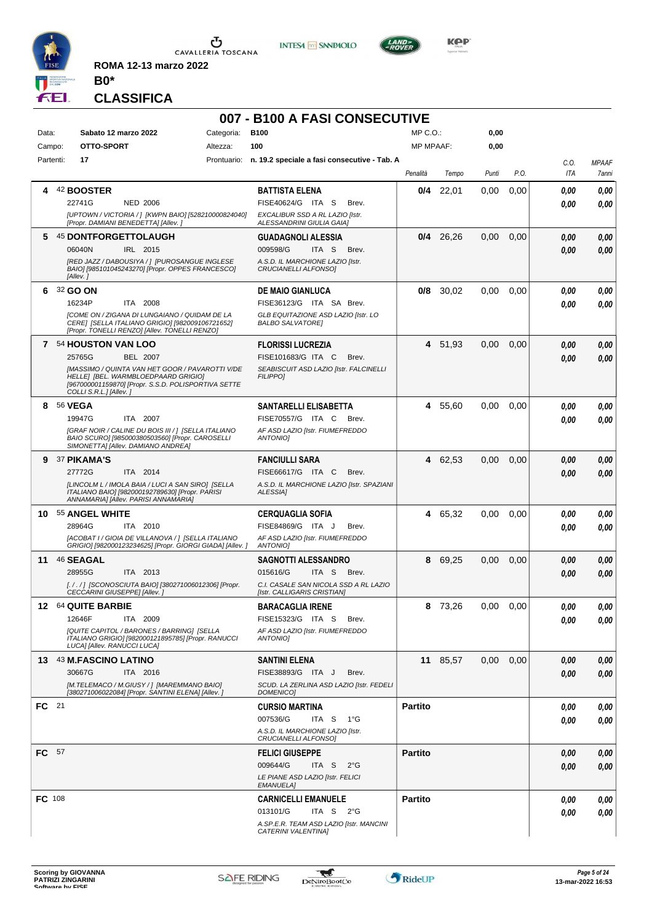

**INTESA M** SANPAOLO



**KOP** 

**CLASSIFICA**

**B0\***

**ROMA 12-13 marzo 2022**

# **007 - B100 A FASI CONSECUTIVE**

| Data:     | Sabato 12 marzo 2022<br>OTTO-SPORT                                                                                                                                                                                                  | Categoria: | <b>B100</b>                                                                                                                        | MP C.O.:         |          | 0,00  |      |                    |                       |
|-----------|-------------------------------------------------------------------------------------------------------------------------------------------------------------------------------------------------------------------------------------|------------|------------------------------------------------------------------------------------------------------------------------------------|------------------|----------|-------|------|--------------------|-----------------------|
| Campo:    | 17                                                                                                                                                                                                                                  | Altezza:   | 100<br>Prontuario: n. 19.2 speciale a fasi consecutive - Tab. A                                                                    | <b>MP MPAAF:</b> |          | 0,00  |      |                    |                       |
| Partenti: |                                                                                                                                                                                                                                     |            |                                                                                                                                    | Penalità         | Tempo    | Punti | P.O. | C.O.<br><b>ITA</b> | <b>MPAAF</b><br>7anni |
| 4         | 42 BOOSTER<br>22741G<br><b>NED 2006</b><br>[UPTOWN / VICTORIA / ] [KWPN BAIO] [528210000824040]<br>[Propr. DAMIANI BENEDETTA] [Allev.]                                                                                              |            | <b>BATTISTA ELENA</b><br>FISE40624/G ITA S<br>Brev.<br>EXCALIBUR SSD A RL LAZIO [Istr.<br>ALESSANDRINI GIULIA GAIA]                | 0/4              | 22,01    | 0,00  | 0,00 | 0.00<br>0.00       | 0,00<br>0.00          |
| 5.        | 45 DONTFORGETTOLAUGH<br>IRL 2015<br>06040N<br>[RED JAZZ / DABOUSIYA / ]  [PUROSANGUE INGLESE<br>BAIO] [985101045243270] [Propr. OPPES FRANCESCO]<br>[Allev.]                                                                        |            | <b>GUADAGNOLI ALESSIA</b><br>009598/G<br>ITA S<br>Brev.<br>A.S.D. IL MARCHIONE LAZIO IIstr.<br>CRUCIANELLI ALFONSO]                | 0/4              | 26,26    | 0,00  | 0,00 | 0.00<br>0.00       | 0,00<br>0,00          |
| 6.        | 32 GO ON<br>16234P<br>ITA 2008<br><b>[COME ON / ZIGANA DI LUNGAIANO / QUIDAM DE LA</b><br>CERE] [SELLA ITALIANO GRIGIO] [982009106721652]<br>[Propr. TONELLI RENZO] [Allev. TONELLI RENZO]                                          |            | <b>DE MAIO GIANLUCA</b><br>FISE36123/G ITA SA Brev.<br>GLB EQUITAZIONE ASD LAZIO [Istr. LO<br><b>BALBO SALVATORE]</b>              | 0/8              | 30,02    | 0,00  | 0,00 | 0.00<br>0.00       | 0,00<br>0,00          |
|           | 7 54 HOUSTON VAN LOO<br>25765G<br><b>BEL 2007</b><br><b>IMASSIMO / QUINTA VAN HET GOOR / PAVAROTTI V/DE</b><br>HELLE  [BEL. WARMBLOEDPAARD GRIGIO]<br>[967000001159870] [Propr. S.S.D. POLISPORTIVA SETTE<br>COLLI S.R.L.] [Allev.] |            | <b>FLORISSI LUCREZIA</b><br>FISE101683/G ITA C<br>Brev.<br>SEABISCUIT ASD LAZIO [Istr. FALCINELLI<br><b>FILIPPO]</b>               |                  | 4 51,93  | 0,00  | 0,00 | 0.00<br>0.00       | 0,00<br>0,00          |
|           | 8 56 VEGA<br>19947G<br>ITA 2007<br>[GRAF NOIR / CALINE DU BOIS III / ] [SELLA ITALIANO<br>BAIO SCURO] [985000380503560] [Propr. CAROSELLI<br>SIMONETTA] [Allev. DAMIANO ANDREA]                                                     |            | SANTARELLI ELISABETTA<br>FISE70557/G ITA C<br>Brev.<br>AF ASD LAZIO [Istr. FIUMEFREDDO<br>ANTONIO]                                 |                  | 4 55,60  | 0.00  | 0,00 | 0.00<br>0.00       | 0,00<br>0.00          |
|           | 9 37 PIKAMA'S<br>ITA 2014<br>27772G<br>[LINCOLM L / IMOLA BAIA / LUCI A SAN SIRO] [SELLA<br>ITALIANO BAIO] [982000192789630] [Propr. PARISI<br>ANNAMARIA] [Allev. PARISI ANNAMARIA]                                                 |            | <b>FANCIULLI SARA</b><br>FISE66617/G ITA C<br>Brev.<br>A.S.D. IL MARCHIONE LAZIO [Istr. SPAZIANI<br>ALESSIA1                       | 4                | 62,53    | 0,00  | 0,00 | 0.00<br>0.00       | 0,00<br>0,00          |
|           | 10 55 ANGEL WHITE<br>28964G<br>ITA 2010<br>[ACOBAT I / GIOIA DE VILLANOVA / ] [SELLA ITALIANO<br>GRIGIO] [982000123234625] [Propr. GIORGI GIADA] [Allev. ]                                                                          |            | <b>CERQUAGLIA SOFIA</b><br>FISE84869/G ITA J<br>Brev.<br>AF ASD LAZIO [Istr. FIUMEFREDDO<br>ANTONIO]                               |                  | 4 65,32  | 0,00  | 0,00 | 0.00<br>0.00       | 0,00<br>0.00          |
| 11        | 46 SEAGAL<br>28955G<br>ITA 2013<br>[././] [SCONOSCIUTA BAIO] [380271006012306] [Propr.<br>CECCARINI GIUSEPPE] [Allev.]                                                                                                              |            | <b>SAGNOTTI ALESSANDRO</b><br>015616/G<br>ITA S<br>Brev.<br>C.I. CASALE SAN NICOLA SSD A RL LAZIO<br>[Istr. CALLIGARIS CRISTIAN]   | 8                | 69,25    | 0,00  | 0,00 | 0.00<br>0.00       | 0,00<br>0,00          |
|           | 12 64 QUITE BARBIE<br>12646F<br>ITA 2009<br>[QUITE CAPITOL / BARONES / BARRING] [SELLA<br>ITALIANO GRIGIO] [982000121895785] [Propr. RANUCCI<br>LUCA] [Allev. RANUCCI LUCA]                                                         |            | <b>BARACAGLIA IRENE</b><br>FISE15323/G ITA S<br>Brev.<br>AF ASD LAZIO [Istr. FIUMEFREDDO<br>ANTONIO]                               |                  | 8 73,26  | 0.00  | 0,00 | 0.00<br>0,00       | 0.00<br>0,00          |
|           | 13 43 M.FASCINO LATINO<br>30667G<br>ITA 2016<br>[M.TELEMACO / M.GIUSY / ] [MAREMMANO BAIO]<br>[380271006022084] [Propr. SANTINI ELENA] [Allev. ]                                                                                    |            | <b>SANTINI ELENA</b><br>FISE38893/G ITA J<br>Brev.<br>SCUD. LA ZERLINA ASD LAZIO [Istr. FEDELI<br><b>DOMENICO]</b>                 |                  | 11 85,57 | 0,00  | 0,00 | 0.00<br>0.00       | 0,00<br>0,00          |
| FC 21     |                                                                                                                                                                                                                                     |            | <b>CURSIO MARTINA</b><br>007536/G<br>ITA <sub>S</sub><br>1°G<br>A.S.D. IL MARCHIONE LAZIO [Istr.<br>CRUCIANELLI ALFONSO]           | <b>Partito</b>   |          |       |      | 0.00<br>0.00       | 0,00<br>0,00          |
| FC 57     |                                                                                                                                                                                                                                     |            | <b>FELICI GIUSEPPE</b><br>009644/G<br>ITA S<br>$2^{\circ}$ G<br>LE PIANE ASD LAZIO [Istr. FELICI<br><b>EMANUELA]</b>               | <b>Partito</b>   |          |       |      | 0.00<br>0.00       | 0,00<br>0,00          |
| FC 108    |                                                                                                                                                                                                                                     |            | <b>CARNICELLI EMANUELE</b><br>013101/G<br>ITA S<br>$2^{\circ}$ G<br>A.SP.E.R. TEAM ASD LAZIO [Istr. MANCINI<br>CATERINI VALENTINA] | <b>Partito</b>   |          |       |      | 0.00<br>0.00       | 0,00<br>0,00          |

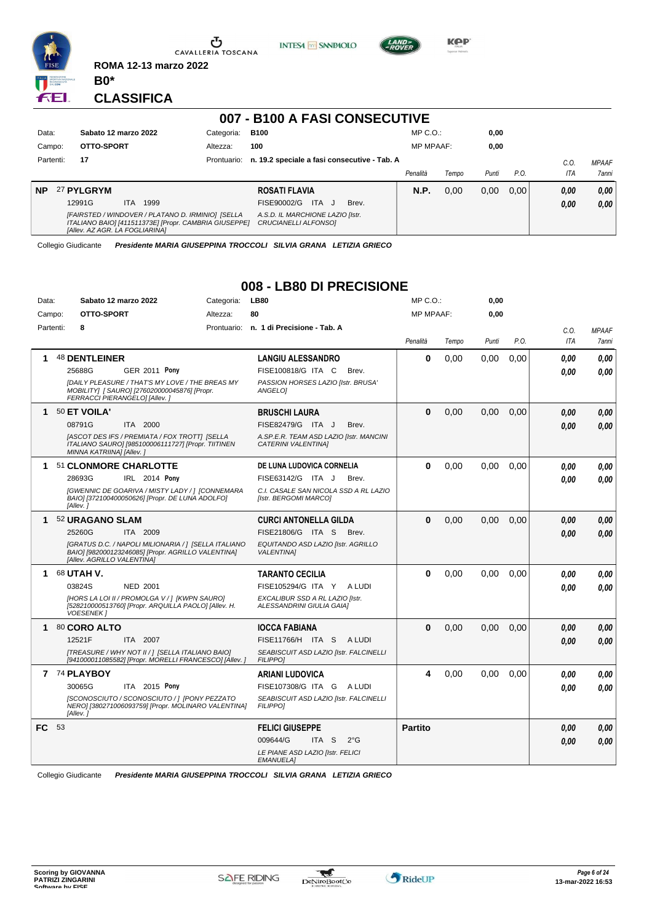

Ⴠ CAVALLERIA TOSCANA **INTESA M** SANPAOLO



**KOP** 

#### **CLASSIFICA**

**B0\***

**ROMA 12-13 marzo 2022**

#### **007 - B100 A FASI CONSECUTIVE** Data: Sabato 12 marzo 2022 Categoria: B100 Prontuario: **n. 19.2 speciale a fasi consecutive - Tab. A** Campo: **OTTO-SPORT** Partenti: **17** Altezza: **100** MP C.O.: MP MPAAF: **0,00 0,00** *Penalità Tempo Punti P.O. C.O. ITA MPAAF 7anni* **NP** 27 **PYLGRYM** ITA 1999 **ROSATI FLAVIA** *[FAIRSTED / WINDOVER / PLATANO D. IRMINIO] [SELLA ITALIANO BAIO] [411511373E] [Propr. CAMBRIA GIUSEPPE] [Allev. AZ AGR. LA FOGLIARINA] A.S.D. IL MARCHIONE LAZIO [Istr. CRUCIANELLI ALFONSO]* ITA J Brev. 12991G FISE90002/G *0,00* **N.P.** 0,00 0,00 0,00 *0,00 0,00 0,00*

Collegio Giudicante *Presidente MARIA GIUSEPPINA TROCCOLI SILVIA GRANA LETIZIA GRIECO*

## **008 - LB80 DI PRECISIONE**

| Data:  |           | Sabato 12 marzo 2022          |                                                                                                            | Categoria: | <b>LB80</b>                                                           |               | $MP C. O.$ :     |       | 0,00  |      |      |              |
|--------|-----------|-------------------------------|------------------------------------------------------------------------------------------------------------|------------|-----------------------------------------------------------------------|---------------|------------------|-------|-------|------|------|--------------|
| Campo: |           | OTTO-SPORT                    |                                                                                                            | Altezza:   | 80                                                                    |               | <b>MP MPAAF:</b> |       | 0,00  |      |      |              |
|        | Partenti: | 8                             |                                                                                                            |            | Prontuario: n. 1 di Precisione - Tab. A                               |               |                  |       |       |      | C.O. | <b>MPAAF</b> |
|        |           |                               |                                                                                                            |            |                                                                       |               | Penalità         | Tempo | Punti | P.O. | ITA  | <b>7anni</b> |
| 1      |           | 48 DENTLEINER                 |                                                                                                            |            | <b>LANGIU ALESSANDRO</b>                                              |               | $\bf{0}$         | 0.00  | 0.00  | 0,00 | 0.00 | 0.00         |
|        |           | 25688G                        | <b>GER 2011 Pony</b>                                                                                       |            | FISE100818/G ITA C                                                    | Brev.         |                  |       |       |      | 0.00 | 0.00         |
|        |           | FERRACCI PIERANGELO] [Allev.] | [DAILY PLEASURE / THAT'S MY LOVE / THE BREAS MY<br>MOBILITY] [ SAURO] [276020000045876] [Propr.            |            | PASSION HORSES LAZIO [Istr. BRUSA'<br>ANGELOI                         |               |                  |       |       |      |      |              |
| 1      |           | 50 ET VOILA'                  |                                                                                                            |            | BRUSCHI LAURA                                                         |               | $\Omega$         | 0,00  | 0.00  | 0.00 | 0.00 | 0,00         |
|        |           | 08791G                        | ITA 2000                                                                                                   |            | FISE82479/G ITA J                                                     | Brev.         |                  |       |       |      | 0.00 | 0,00         |
|        |           | MINNA KATRIINA] [Allev.]      | [ASCOT DES IFS / PREMIATA / FOX TROTT] [SELLA<br>ITALIANO SAURO] [985100006111727] [Propr. TIITINEN        |            | A.SP.E.R. TEAM ASD LAZIO [Istr. MANCINI<br><b>CATERINI VALENTINAI</b> |               |                  |       |       |      |      |              |
| 1      |           | 51 CLONMORE CHARLOTTE         |                                                                                                            |            | DE LUNA LUDOVICA CORNELIA                                             |               | $\bf{0}$         | 0,00  | 0,00  | 0,00 | 0.00 | 0,00         |
|        |           | 28693G                        | IRL 2014 Pony                                                                                              |            | FISE63142/G ITA J                                                     | Brev.         |                  |       |       |      | 0.00 | 0.00         |
|        |           | [Allev.]                      | [GWENNIC DE GOARIVA / MISTY LADY / ] [CONNEMARA<br>BAIO] [372100400050626] [Propr. DE LUNA ADOLFO]         |            | C.I. CASALE SAN NICOLA SSD A RL LAZIO<br>[Istr. BERGOMI MARCO]        |               |                  |       |       |      |      |              |
| 1      |           | 52 URAGANO SLAM               |                                                                                                            |            | <b>CURCI ANTONELLA GILDA</b>                                          |               | $\mathbf{0}$     | 0,00  | 0.00  | 0.00 | 0.00 | 0,00         |
|        |           | 25260G                        | ITA 2009                                                                                                   |            | FISE21806/G ITA S                                                     | Brev.         |                  |       |       |      | 0.00 | 0.00         |
|        |           | [Allev. AGRILLO VALENTINA]    | [GRATUS D.C. / NAPOLI MILIONARIA / 1 [SELLA ITALIANO<br>BAIO] [982000123246085] [Propr. AGRILLO VALENTINA] |            | EQUITANDO ASD LAZIO [Istr. AGRILLO<br><b>VALENTINA1</b>               |               |                  |       |       |      |      |              |
| 1      |           | 68 UTAH V.                    |                                                                                                            |            | <b>TARANTO CECILIA</b>                                                |               | $\bf{0}$         | 0,00  | 0.00  | 0.00 | 0.00 | 0.00         |
|        |           | 03824S                        | <b>NED 2001</b>                                                                                            |            | FISE105294/G ITA Y ALUDI                                              |               |                  |       |       |      | 0.00 | 0.00         |
|        |           | <b>VOESENEK1</b>              | [HORS LA LOI II / PROMOLGA V / ] [KWPN SAURO]<br>[528210000513760] [Propr. ARQUILLA PAOLO] [Allev. H.      |            | EXCALIBUR SSD A RL LAZIO [Istr.<br>ALESSANDRINI GIULIA GAIAI          |               |                  |       |       |      |      |              |
| 1      |           | 80 CORO ALTO                  |                                                                                                            |            | <b>IOCCA FABIANA</b>                                                  |               | $\Omega$         | 0.00  | 0.00  | 0.00 | 0.00 | 0,00         |
|        |           | 12521F                        | ITA 2007                                                                                                   |            | FISE11766/H ITA S ALUDI                                               |               |                  |       |       |      | 0.00 | 0.00         |
|        |           |                               | [TREASURE / WHY NOT II / ] [SELLA ITALIANO BAIO]<br>[941000011085582] [Propr. MORELLI FRANCESCO] [Allev. ] |            | SEABISCUIT ASD LAZIO [Istr. FALCINELLI<br><b>FILIPPO]</b>             |               |                  |       |       |      |      |              |
| 7      |           | 74 PLAYBOY                    |                                                                                                            |            | <b>ARIANI LUDOVICA</b>                                                |               | 4                | 0,00  | 0,00  | 0,00 | 0.00 | 0.00         |
|        |           | 30065G                        | ITA 2015 Pony                                                                                              |            | FISE107308/G ITA G ALUDI                                              |               |                  |       |       |      | 0.00 | 0,00         |
|        |           | [Allev.]                      | [SCONOSCIUTO / SCONOSCIUTO / ] [PONY PEZZATO<br>NERO] [380271006093759] [Propr. MOLINARO VALENTINA]        |            | SEABISCUIT ASD LAZIO [Istr. FALCINELLI<br><b>FILIPPO1</b>             |               |                  |       |       |      |      |              |
| FC.    | 53        |                               |                                                                                                            |            | <b>FELICI GIUSEPPE</b>                                                |               | <b>Partito</b>   |       |       |      | 0.00 | 0,00         |
|        |           |                               |                                                                                                            |            | 009644/G<br>ITA <sub>S</sub>                                          | $2^{\circ}$ G |                  |       |       |      | 0.00 | 0.00         |
|        |           |                               |                                                                                                            |            | LE PIANE ASD LAZIO [Istr. FELICI<br><b>EMANUELA]</b>                  |               |                  |       |       |      |      |              |

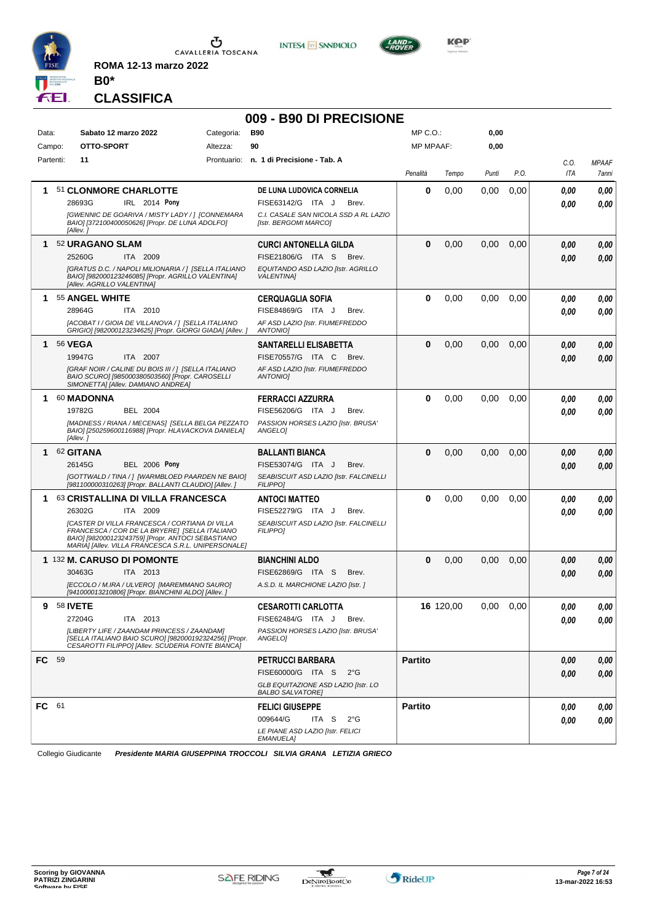

**INTESA** M SANPAOLO



**Kep** 

**CLASSIFICA**

**B0\***

**ROMA 12-13 marzo 2022**

## **009 - B90 DI PRECISIONE**

| Data:        |                 | Sabato 12 marzo 2022                                                                                                                                                                                        | Categoria: | <b>B90</b>                                                     | MP C.O.:         |           | 0,00  |      |      |              |
|--------------|-----------------|-------------------------------------------------------------------------------------------------------------------------------------------------------------------------------------------------------------|------------|----------------------------------------------------------------|------------------|-----------|-------|------|------|--------------|
| Campo:       |                 | OTTO-SPORT                                                                                                                                                                                                  | Altezza:   | 90                                                             | <b>MP MPAAF:</b> |           | 0,00  |      |      |              |
| Partenti:    |                 | 11                                                                                                                                                                                                          |            | Prontuario: n. 1 di Precisione - Tab. A                        |                  |           |       |      | C.O. | <b>MPAAF</b> |
|              |                 |                                                                                                                                                                                                             |            |                                                                | Penalità         | Tempo     | Punti | P.O. | ITA  | 7anni        |
|              |                 | 51 CLONMORE CHARLOTTE                                                                                                                                                                                       |            | DE LUNA LUDOVICA CORNELIA                                      | 0                | 0,00      | 0,00  | 0,00 | 0,00 | 0,00         |
|              |                 | 28693G<br>IRL 2014 Pony                                                                                                                                                                                     |            | FISE63142/G ITA J<br>Brev.                                     |                  |           |       |      | 0,00 | 0,00         |
|              |                 | [GWENNIC DE GOARIVA / MISTY LADY / ] [CONNEMARA<br>BAIO] [372100400050626] [Propr. DE LUNA ADOLFO]<br>[Allev.]                                                                                              |            | C.I. CASALE SAN NICOLA SSD A RL LAZIO<br>[Istr. BERGOMI MARCO] |                  |           |       |      |      |              |
| 1            |                 | 52 URAGANO SLAM                                                                                                                                                                                             |            | <b>CURCI ANTONELLA GILDA</b>                                   | 0                | 0,00      | 0,00  | 0,00 | 0.00 | 0,00         |
|              |                 | 25260G<br>ITA 2009                                                                                                                                                                                          |            | FISE21806/G ITA S<br>Brev.                                     |                  |           |       |      | 0.00 | 0,00         |
|              |                 | [GRATUS D.C. / NAPOLI MILIONARIA / ] [SELLA ITALIANO<br>BAIO] [982000123246085] [Propr. AGRILLO VALENTINA]<br>[Allev. AGRILLO VALENTINA]                                                                    |            | EQUITANDO ASD LAZIO [Istr. AGRILLO<br><b>VALENTINA1</b>        |                  |           |       |      |      |              |
| 1            |                 | 55 ANGEL WHITE                                                                                                                                                                                              |            | <b>CERQUAGLIA SOFIA</b>                                        | 0                | 0,00      | 0,00  | 0.00 | 0.00 | 0,00         |
|              |                 | 28964G<br>ITA 2010                                                                                                                                                                                          |            | FISE84869/G ITA J<br>Brev.                                     |                  |           |       |      | 0.00 | 0,00         |
|              |                 | [ACOBAT I / GIOIA DE VILLANOVA / ] [SELLA ITALIANO<br>GRIGIO] [982000123234625] [Propr. GIORGI GIADA] [Allev. ]                                                                                             |            | AF ASD LAZIO [Istr. FIUMEFREDDO<br><b>ANTONIOI</b>             |                  |           |       |      |      |              |
| 1            | <b>56 VEGA</b>  |                                                                                                                                                                                                             |            | <b>SANTARELLI ELISABETTA</b>                                   | 0                | 0,00      | 0,00  | 0,00 | 0,00 | 0,00         |
|              |                 | 19947G<br>ITA 2007                                                                                                                                                                                          |            | FISE70557/G ITA C<br>Brev.                                     |                  |           |       |      | 0.00 | 0,00         |
|              |                 | [GRAF NOIR / CALINE DU BOIS III / ] [SELLA ITALIANO<br>BAIO SCURO] [985000380503560] [Propr. CAROSELLI<br>SIMONETTA] [Allev. DAMIANO ANDREA]                                                                |            | AF ASD LAZIO [Istr. FIUMEFREDDO<br><b>ANTONIOI</b>             |                  |           |       |      |      |              |
| 1            |                 | 60 MADONNA                                                                                                                                                                                                  |            | <b>FERRACCI AZZURRA</b>                                        | 0                | 0,00      | 0,00  | 0.00 | 0.00 | 0,00         |
|              |                 | 19782G<br>BEL 2004                                                                                                                                                                                          |            | FISE56206/G ITA J<br>Brev.                                     |                  |           |       |      | 0.00 | 0,00         |
|              |                 | [MADNESS / RIANA / MECENAS] [SELLA BELGA PEZZATO<br>BAIO] [250259600116988] [Propr. HLAVACKOVA DANIELA]<br>[Allev.]                                                                                         |            | PASSION HORSES LAZIO [Istr. BRUSA'<br>ANGELOI                  |                  |           |       |      |      |              |
| 1.           |                 | 62 GITANA                                                                                                                                                                                                   |            | <b>BALLANTI BIANCA</b>                                         | 0                | 0,00      | 0,00  | 0,00 | 0,00 | 0,00         |
|              |                 | <b>BEL 2006 Pony</b><br>26145G                                                                                                                                                                              |            | FISE53074/G ITA J<br>Brev.                                     |                  |           |       |      | 0.00 | 0,00         |
|              |                 | [GOTTWALD / TINA / ] [WARMBLOED PAARDEN NE BAIO]<br>[981100000310263] [Propr. BALLANTI CLAUDIO] [Allev. ]                                                                                                   |            | SEABISCUIT ASD LAZIO [Istr. FALCINELLI<br><b>FILIPPO1</b>      |                  |           |       |      |      |              |
| 1.           |                 | 63 CRISTALLINA DI VILLA FRANCESCA                                                                                                                                                                           |            | <b>ANTOCI MATTEO</b>                                           | 0                | 0,00      | 0,00  | 0,00 | 0,00 | 0,00         |
|              |                 | 26302G<br><b>ITA 2009</b>                                                                                                                                                                                   |            | FISE52279/G ITA J<br>Brev.                                     |                  |           |       |      | 0.00 | 0,00         |
|              |                 | [CASTER DI VILLA FRANCESCA / CORTIANA DI VILLA<br>FRANCESCA / COR DE LA BRYERE] [SELLA ITALIANO<br>BAIO] [982000123243759] [Propr. ANTOCI SEBASTIANO<br>MARIA] [Allev. VILLA FRANCESCA S.R.L. UNIPERSONALE] |            | SEABISCUIT ASD LAZIO [Istr. FALCINELLI<br><b>FILIPPO1</b>      |                  |           |       |      |      |              |
|              |                 | 1 132 M. CARUSO DI POMONTE                                                                                                                                                                                  |            | <b>BIANCHINI ALDO</b>                                          | 0                | 0,00      | 0,00  | 0,00 | 0,00 | 0,00         |
|              |                 | 30463G<br>ITA 2013                                                                                                                                                                                          |            | FISE62869/G ITA S<br>Brev.                                     |                  |           |       |      | 0,00 | 0.00         |
|              |                 | [ECCOLO / M.IRA / ULVERO] [MAREMMANO SAURO]<br>[941000013210806] [Propr. BIANCHINI ALDO] [Allev.]                                                                                                           |            | A.S.D. IL MARCHIONE LAZIO [Istr. ]                             |                  |           |       |      |      |              |
| 9            | <b>58 IVETE</b> |                                                                                                                                                                                                             |            | <b>CESAROTTI CARLOTTA</b>                                      |                  | 16 120,00 | 0,00  | 0,00 | 0,00 | 0,00         |
|              |                 | 27204G<br>ITA 2013                                                                                                                                                                                          |            | FISE62484/G ITA J<br>Brev.                                     |                  |           |       |      | 0,00 | 0,00         |
|              |                 | [LIBERTY LIFE / ZAANDAM PRINCESS / ZAANDAM]<br>[SELLA ITALIANO BAIO SCURO] [982000192324256] [Propr.<br>CESAROTTI FILIPPOI [Allev. SCUDERIA FONTE BIANCA]                                                   |            | PASSION HORSES LAZIO [Istr. BRUSA'<br>ANGELO]                  |                  |           |       |      |      |              |
| <b>FC</b> 59 |                 |                                                                                                                                                                                                             |            | PETRUCCI BARBARA                                               | <b>Partito</b>   |           |       |      | 0.00 | 0,00         |
|              |                 |                                                                                                                                                                                                             |            | FISE60000/G ITA S<br>$2^{\circ}G$                              |                  |           |       |      | 0,00 | 0,00         |
|              |                 |                                                                                                                                                                                                             |            | GLB EQUITAZIONE ASD LAZIO [Istr. LO<br><b>BALBO SALVATORE]</b> |                  |           |       |      |      |              |
| FC 61        |                 |                                                                                                                                                                                                             |            | <b>FELICI GIUSEPPE</b>                                         | <b>Partito</b>   |           |       |      | 0.00 | 0,00         |
|              |                 |                                                                                                                                                                                                             |            | 009644/G<br>ITA S $2^{\circ}G$                                 |                  |           |       |      | 0.00 | 0,00         |
|              |                 |                                                                                                                                                                                                             |            | LE PIANE ASD LAZIO [Istr. FELICI<br><b>EMANUELA]</b>           |                  |           |       |      |      |              |

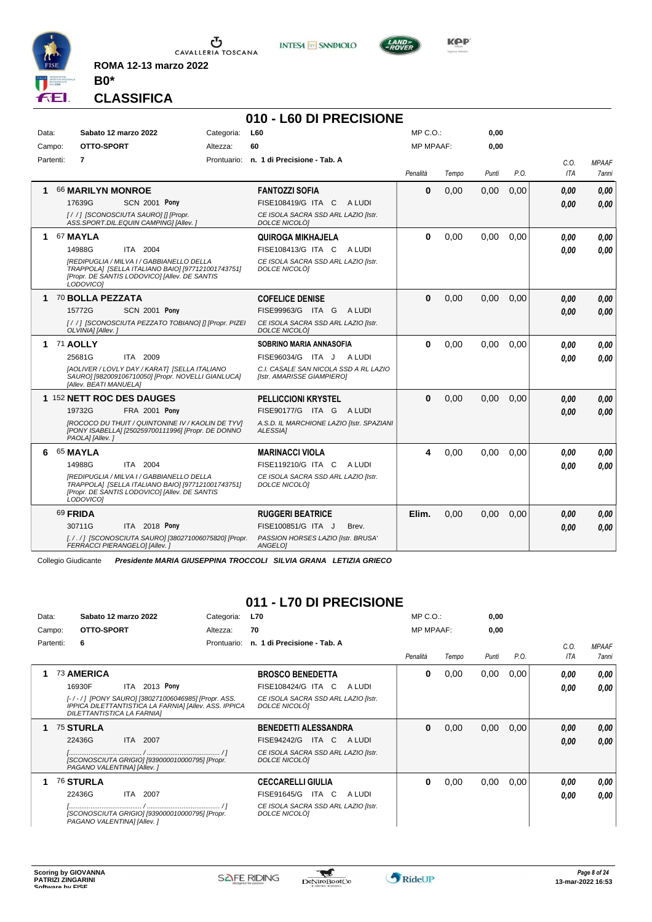

CAVALLERIA TOSCANA

**INTESA** M SANPAOLO



KOP

### **CLASSIFICA**

**B0\***

**ROMA 12-13 marzo 2022**

#### **010 - L60 DI PRECISIONE** Data: Sabato 12 marzo 2022 Categoria: L60 Prontuario: **n. 1 di Precisione - Tab. A** Campo: **OTTO-SPORT** Partenti: **7** Altezza: **60** MP C.O.: MP MPAAF: **0,00 0,00** *Penalità Tempo Punti P.O. C.O. ITA MPAAF 7anni* **1** 66 **MARILYN MONROE SCN 2001 Pony FANTOZZI SOFIA** *[ / / ] [SCONOSCIUTA SAURO] [] [Propr. ASS.SPORT.DIL.EQUIN CAMPING] [Allev. ] CE ISOLA SACRA SSD ARL LAZIO [Istr. DOLCE NICOLÒ]* ITA C A LUDI 17639G FISE108419/G *0,00* **Pony 0** 0,00 0,00 0,00 *0,00 0,00 0,00* **1** 67 **MAYLA** ITA 2004 **QUIROGA MIKHAJELA** *[REDIPUGLIA / MILVA I / GABBIANELLO DELLA TRAPPOLA] [SELLA ITALIANO BAIO] [977121001743751] [Propr. DE SANTIS LODOVICO] [Allev. DE SANTIS LODOVICO] CE ISOLA SACRA SSD ARL LAZIO [Istr. DOLCE NICOLÒ]* 14988G ITA 2004 FISE108413/G ITA C A LUDI *0,00 0,00* **0** 0,00 0,00 0,00 *0,00 0,00 0,00* **1** 70 **BOLLA PEZZATA SCN 2001 Pony COFELICE DENISE** *[ / / ] [SCONOSCIUTA PEZZATO TOBIANO] [] [Propr. PIZEI OLVINIA] [Allev. ] CE ISOLA SACRA SSD ARL LAZIO [Istr. DOLCE NICOLÒ]* ITA G A LUDI 15772G FISE99963/G *0,00* **Pony 0** 0,00 0,00 0,00 *0,00 0,00 0,00* **1** 71 **AOLLY** ITA 2009 **SOBRINO MARIA ANNASOFIA** *[AOLIVER / LOVLY DAY / KARAT] [SELLA ITALIANO SAURO] [982009106710050] [Propr. NOVELLI GIANLUCA] [Allev. BEATI MANUELA] C.I. CASALE SAN NICOLA SSD A RL LAZIO [Istr. AMARISSE GIAMPIERO]* 25681G ITA 2009 FISE96034/G ITA J A LUDI *0,00 0,00* **0** 0,00 0,00 0,00 *0,00 0,00 0,00* **1** 152 **NETT ROC DES DAUGES FRA 2001 Pony PELLICCIONI KRYSTEL** *[ROCOCO DU THUIT / QUINTONINE IV / KAOLIN DE TYV] [PONY ISABELLA] [250259700111996] [Propr. DE DONNO PAOLA] [Allev. ] A.S.D. IL MARCHIONE LAZIO [Istr. SPAZIANI ALESSIA]* ITA G A LUDI 19732G FISE90177/G *0,00* **Pony 0** 0,00 0,00 0,00 *0,00 0,00 0,00* **6** 65 **MAYLA** ITA 2004 **MARINACCI VIOLA** *[REDIPUGLIA / MILVA I / GABBIANELLO DELLA TRAPPOLA] [SELLA ITALIANO BAIO] [977121001743751] [Propr. DE SANTIS LODOVICO] [Allev. DE SANTIS LODOVICO] CE ISOLA SACRA SSD ARL LAZIO [Istr. DOLCE NICOLÒ]* 14988G ITA 2004 FISE119210/G ITA C A LUDI **0,00 0,00 4** 0,00 0,00 0,00 *0,00 0,00 0,00* 69 **FRIDA ITA** 2018 **Pony RUGGERI BEATRICE** *[. / . / ] [SCONOSCIUTA SAURO] [380271006075820] [Propr. FERRACCI PIERANGELO] [Allev. ] PASSION HORSES LAZIO [Istr. BRUSA' ANGELO]* 30711G ITA 2018 Pony FISE100851/GITA J Brev. *0,00 0,00* **Elim.** 0,00 0,00 0,00 *0,00 0,00 0,00*

Collegio Giudicante *Presidente MARIA GIUSEPPINA TROCCOLI SILVIA GRANA LETIZIA GRIECO*

# **011 - L70 DI PRECISIONE**

| Data:  |           | Sabato 12 marzo 2022                                                                                                                      | Categoria:  | <b>L70</b>                                           | $MP C. O.$ :     |       | 0,00  |      |      |              |
|--------|-----------|-------------------------------------------------------------------------------------------------------------------------------------------|-------------|------------------------------------------------------|------------------|-------|-------|------|------|--------------|
| Campo: |           | OTTO-SPORT                                                                                                                                | Altezza:    | 70                                                   | <b>MP MPAAF:</b> |       | 0,00  |      |      |              |
|        | Partenti: | 6                                                                                                                                         | Prontuario: | n. 1 di Precisione - Tab. A                          |                  |       |       |      | C.0. | <b>MPAAF</b> |
|        |           |                                                                                                                                           |             |                                                      | Penalità         | Tempo | Punti | P.O. | ITA  | 7anni        |
|        |           | 73 AMERICA                                                                                                                                |             | <b>BROSCO BENEDETTA</b>                              | 0                | 0,00  | 0,00  | 0,00 | 0.00 | 0,00         |
|        |           | 2013 Pony<br>16930F<br>ITA I                                                                                                              |             | FISE108424/G ITA C<br>A LUDI                         |                  |       |       |      | 0,00 | 0,00         |
|        |           | [-/-/] [PONY SAURO] [380271006046985] [Propr. ASS.<br>IPPICA DILETTANTISTICA LA FARNIA] [Allev. ASS. IPPICA<br>DILETTANTISTICA LA FARNIA] |             | CE ISOLA SACRA SSD ARL LAZIO [Istr.<br>DOLCE NICOLOI |                  |       |       |      |      |              |
|        |           | <b>75 STURLA</b>                                                                                                                          |             | <b>BENEDETTI ALESSANDRA</b>                          | 0                | 0,00  | 0,00  | 0,00 | 0,00 | 0.00         |
|        |           | ITA 2007<br>22436G                                                                                                                        |             | FISE94242/G<br>ITA C<br>A LUDI                       |                  |       |       |      | 0.00 | 0.00         |
|        |           | [SCONOSCIUTA GRIGIO] [939000010000795] [Propr.<br>PAGANO VALENTINA] [Allev.]                                                              |             | CE ISOLA SACRA SSD ARL LAZIO [Istr.<br>DOLCE NICOLOI |                  |       |       |      |      |              |
|        |           | <b>76 STURLA</b>                                                                                                                          |             | <b>CECCARELLI GIULIA</b>                             | 0                | 0,00  | 0,00  | 0.00 | 0.00 | 0,00         |
|        |           | 22436G<br>ITA 2007                                                                                                                        |             | FISE91645/G<br>ITA C<br>A LUDI                       |                  |       |       |      | 0,00 | 0.00         |
|        |           | [SCONOSCIUTA GRIGIO] [939000010000795] [Propr.<br>PAGANO VALENTINAI [Allev. ]                                                             |             | CE ISOLA SACRA SSD ARL LAZIO [Istr.<br>DOLCE NICOLOI |                  |       |       |      |      |              |

\*

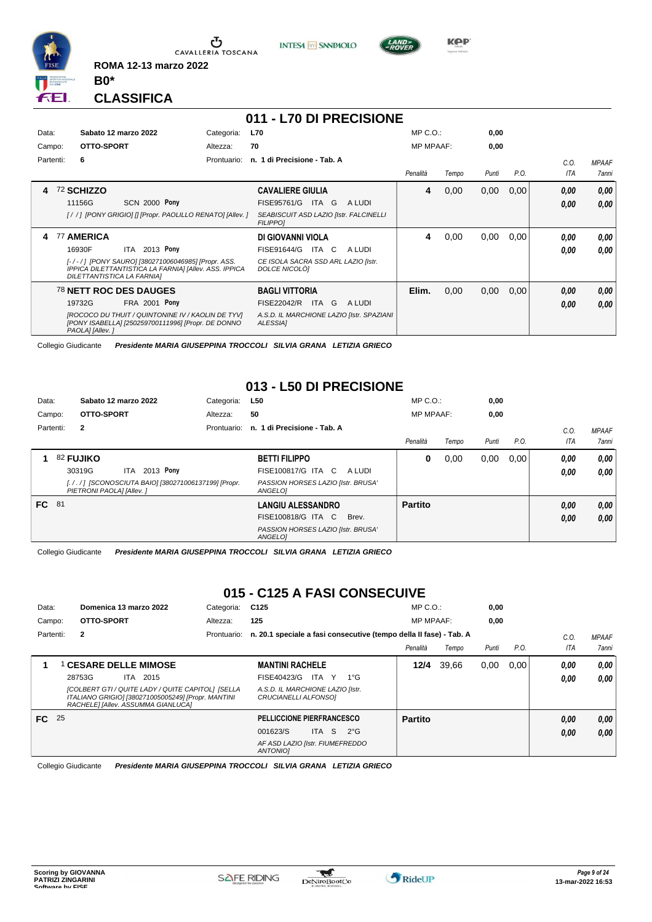

 $\sigma$  CAVALLERIA TOSCANA

**INTESA** M SANPAOLO



**KPP** 

#### **CLASSIFICA**

**B0\***

**ROMA 12-13 marzo 2022**

|           |                                                                                                                                           |             | 011 - L70 DI PRECISIONE                                   |                  |       |       |      |            |              |
|-----------|-------------------------------------------------------------------------------------------------------------------------------------------|-------------|-----------------------------------------------------------|------------------|-------|-------|------|------------|--------------|
| Data:     | Sabato 12 marzo 2022                                                                                                                      | Categoria:  | <b>L70</b>                                                | $MP C. O.$ :     |       | 0,00  |      |            |              |
| Campo:    | OTTO-SPORT                                                                                                                                | Altezza:    | 70                                                        | <b>MP MPAAF:</b> |       | 0,00  |      |            |              |
| Partenti: | 6                                                                                                                                         | Prontuario: | n. 1 di Precisione - Tab. A                               |                  |       |       |      | C.O.       | <b>MPAAF</b> |
|           |                                                                                                                                           |             |                                                           | Penalità         | Tempo | Punti | P.O. | <b>ITA</b> | <b>7anni</b> |
|           | 72 SCHIZZO                                                                                                                                |             | <b>CAVALIERE GIULIA</b>                                   | 4                | 0,00  | 0,00  | 0,00 | 0,00       | 0,00         |
|           | <b>SCN 2000 Pony</b><br>11156G                                                                                                            |             | FISE95761/G<br>ITA G<br>A LUDI                            |                  |       |       |      | 0.00       | 0.00         |
|           | [//] [PONY GRIGIO] [] [Propr. PAOLILLO RENATO] [Allev.]                                                                                   |             | SEABISCUIT ASD LAZIO [Istr. FALCINELLI<br><b>FILIPPO1</b> |                  |       |       |      |            |              |
| 77<br>4   | <b>AMERICA</b>                                                                                                                            |             | DI GIOVANNI VIOLA                                         | 4                | 0,00  | 0,00  | 0,00 | 0.00       | 0.00         |
|           | 2013 Pony<br>16930F<br>ITA                                                                                                                |             | FISE91644/G<br>ITA C<br>A LUDI                            |                  |       |       |      | 0.00       | 0.00         |
|           | [-/-/] [PONY SAURO] [380271006046985] [Propr. ASS.<br>IPPICA DILETTANTISTICA LA FARNIA] [Allev. ASS. IPPICA<br>DILETTANTISTICA LA FARNIA] |             | CE ISOLA SACRA SSD ARL LAZIO [Istr.<br>DOLCE NICOLOI      |                  |       |       |      |            |              |
|           | <b>78 NETT ROC DES DAUGES</b>                                                                                                             |             | <b>BAGLI VITTORIA</b>                                     | Elim.            | 0,00  | 0,00  | 0,00 | 0.00       | 0,00         |
|           | 19732G<br>FRA 2001 Pony                                                                                                                   |             | FISE22042/R<br>ITA G<br>A LUDI                            |                  |       |       |      | 0,00       | 0.00         |
|           | [ROCOCO DU THUIT / QUINTONINE IV / KAOLIN DE TYV]<br>[PONY ISABELLA] [250259700111996] [Propr. DE DONNO<br>PAOLA] [Allev.]                |             | A.S.D. IL MARCHIONE LAZIO [Istr. SPAZIANI<br>ALESSIA1     |                  |       |       |      |            |              |

Collegio Giudicante *Presidente MARIA GIUSEPPINA TROCCOLI SILVIA GRANA LETIZIA GRIECO*

## **013 - L50 DI PRECISIONE**

| Data: |           | Sabato 12 marzo 2022     |      |                                                     | Categoria:  | L50                                           |        | $MP C. O.$ :     |       | 0,00  |      |      |              |
|-------|-----------|--------------------------|------|-----------------------------------------------------|-------------|-----------------------------------------------|--------|------------------|-------|-------|------|------|--------------|
|       | Campo:    | OTTO-SPORT               |      |                                                     | Altezza:    | 50                                            |        | <b>MP MPAAF:</b> |       | 0,00  |      |      |              |
|       | Partenti: | $\overline{2}$           |      |                                                     | Prontuario: | n. 1 di Precisione - Tab. A                   |        |                  |       |       |      | C.0  | <b>MPAAF</b> |
|       |           |                          |      |                                                     |             |                                               |        | Penalità         | Tempo | Punti | P.O. | ITA  | <b>7anni</b> |
|       |           | <b>82 FUJIKO</b>         |      |                                                     |             | <b>BETTI FILIPPO</b>                          |        | 0                | 0,00  | 0,00  | 0,00 | 0.00 | 0.00         |
|       |           | 30319G                   | ITA. | 2013 Pony                                           |             | FISE100817/G ITA C                            | A LUDI |                  |       |       |      | 0.00 | 0,00         |
|       |           | PIETRONI PAOLAI [Allev.] |      | [././] [SCONOSCIUTA BAIO] [380271006137199] [Propr. |             | PASSION HORSES LAZIO [Istr. BRUSA'<br>ANGELO] |        |                  |       |       |      |      |              |
| FC 81 |           |                          |      |                                                     |             | <b>LANGIU ALESSANDRO</b>                      |        | <b>Partito</b>   |       |       |      | 0,00 | 0,00         |
|       |           |                          |      |                                                     |             | FISE100818/G ITA C                            | Brev.  |                  |       |       |      | 0,00 | 0,00         |
|       |           |                          |      |                                                     |             | PASSION HORSES LAZIO [Istr. BRUSA'<br>ANGELO] |        |                  |       |       |      |      |              |

Collegio Giudicante *Presidente MARIA GIUSEPPINA TROCCOLI SILVIA GRANA LETIZIA GRIECO*

## **015 - C125 A FASI CONSECUIVE**

| Data:     | Domenica 13 marzo 2022                                                                                                                        | Categoria:  | C125                                                               | $MP C. O.$ :     |       | 0.00  |      |      |              |
|-----------|-----------------------------------------------------------------------------------------------------------------------------------------------|-------------|--------------------------------------------------------------------|------------------|-------|-------|------|------|--------------|
| Campo:    | OTTO-SPORT                                                                                                                                    | Altezza:    | 125                                                                | <b>MP MPAAF:</b> |       | 0,00  |      |      |              |
| Partenti: | $\mathbf{2}$                                                                                                                                  | Prontuario: | n. 20.1 speciale a fasi consecutive (tempo della II fase) - Tab. A |                  |       |       |      | C.0  | <b>MPAAF</b> |
|           |                                                                                                                                               |             |                                                                    | Penalità         | Tempo | Punti | P.O. | ITA  | 7anni        |
|           | <b>CESARE DELLE MIMOSE</b>                                                                                                                    |             | <b>MANTINI RACHELE</b>                                             | 12/4             | 39.66 | 0,00  | 0.00 | 0,00 | 0,00         |
|           | 28753G<br>ITA 2015                                                                                                                            |             | ITA Y<br>FISE40423/G<br>$1^{\circ}G$                               |                  |       |       |      | 0.00 | 0.00         |
|           | [COLBERT GTI / QUITE LADY / QUITE CAPITOL] [SELLA<br>ITALIANO GRIGIO] [380271005005249] [Propr. MANTINI<br>RACHELE] [Allev. ASSUMMA GIANLUCA] |             | A.S.D. IL MARCHIONE LAZIO [Istr.<br>CRUCIANELLI ALFONSO]           |                  |       |       |      |      |              |
| FC 25     |                                                                                                                                               |             | PELLICCIONE PIERFRANCESCO                                          | <b>Partito</b>   |       |       |      | 0,00 | 0,00         |
|           |                                                                                                                                               |             | ITA S<br>001623/S<br>$2^{\circ}G$                                  |                  |       |       |      | 0,00 | 0.00         |
|           |                                                                                                                                               |             | AF ASD LAZIO [Istr. FIUMEFREDDO<br><b>ANTONIOI</b>                 |                  |       |       |      |      |              |

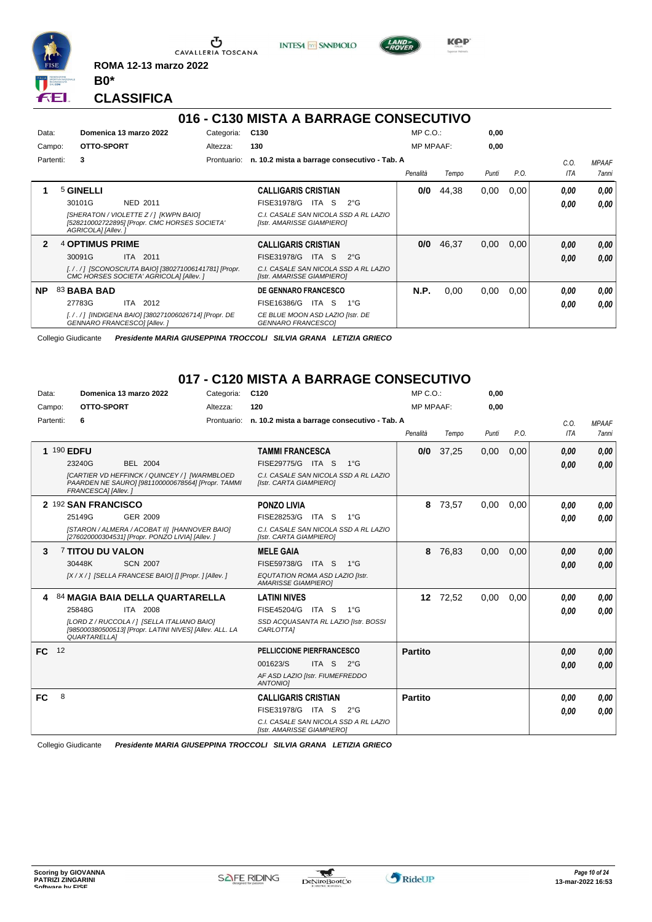

**INTESA** M SANPAOLO



**KPP** 

**CLASSIFICA**

**B0\***

**ROMA 12-13 marzo 2022**

## **016 - C130 MISTA A BARRAGE CONSECUTIVO**

| Data:        |                        | Domenica 13 marzo 2022                                                                         | Categoria:  | C <sub>130</sub>                                                    |               | $MP C. O.$ :     |       | 0,00  |      |      |              |
|--------------|------------------------|------------------------------------------------------------------------------------------------|-------------|---------------------------------------------------------------------|---------------|------------------|-------|-------|------|------|--------------|
| Campo:       | OTTO-SPORT             |                                                                                                | Altezza:    | 130                                                                 |               | <b>MP MPAAF:</b> |       | 0,00  |      |      |              |
| Partenti:    | 3                      |                                                                                                | Prontuario: | n. 10.2 mista a barrage consecutivo - Tab. A                        |               |                  |       |       |      | C.O. | <b>MPAAF</b> |
|              |                        |                                                                                                |             |                                                                     |               | Penalità         | Tempo | Punti | P.O. | ITA  | 7anni        |
|              | 5 GINELLI              |                                                                                                |             | <b>CALLIGARIS CRISTIAN</b>                                          |               | 0/0              | 44.38 | 0,00  | 0,00 | 0.00 | 0,00         |
|              | 30101G                 | NED 2011                                                                                       |             | FISE31978/G<br>ITA S                                                | $2^{\circ}G$  |                  |       |       |      | 0.00 | 0.00         |
|              | AGRICOLA] [Allev. ]    | [SHERATON / VIOLETTE Z / 1 [KWPN BAIO]<br>[528210002722895] [Propr. CMC HORSES SOCIETA'        |             | C.I. CASALE SAN NICOLA SSD A RL LAZIO<br>[Istr. AMARISSE GIAMPIERO] |               |                  |       |       |      |      |              |
| $\mathbf{2}$ | <b>4 OPTIMUS PRIME</b> |                                                                                                |             | <b>CALLIGARIS CRISTIAN</b>                                          |               | 0/0              | 46.37 | 0,00  | 0.00 | 0,00 | 0,00         |
|              | 30091G                 | ITA 2011                                                                                       |             | FISE31978/G<br>ITA S                                                | $2^{\circ}$ G |                  |       |       |      | 0,00 | 0.00         |
|              |                        | [././] [SCONOSCIUTA BAIO] [380271006141781] [Propr.<br>CMC HORSES SOCIETA' AGRICOLA] [Allev. ] |             | C.I. CASALE SAN NICOLA SSD A RL LAZIO<br>[Istr. AMARISSE GIAMPIERO] |               |                  |       |       |      |      |              |
| <b>NP</b>    | 83 BABA BAD            |                                                                                                |             | <b>DE GENNARO FRANCESCO</b>                                         |               | <b>N.P.</b>      | 0,00  | 0.00  | 0,00 | 0.00 | 0,00         |
|              | 27783G                 | ITA 2012                                                                                       |             | FISE16386/G<br>ITA S                                                | $1^{\circ}G$  |                  |       |       |      | 0.00 | 0.00         |
|              |                        | [././] [INDIGENA BAIO] [380271006026714] [Propr. DE<br>GENNARO FRANCESCOI [Allev.]             |             | CE BLUE MOON ASD LAZIO [Istr. DE<br><b>GENNARO FRANCESCOI</b>       |               |                  |       |       |      |      |              |

Collegio Giudicante *Presidente MARIA GIUSEPPINA TROCCOLI SILVIA GRANA LETIZIA GRIECO*

## **017 - C120 MISTA A BARRAGE CONSECUTIVO**

| Data:     | Domenica 13 marzo 2022                                                                                                        | Categoria:  | C <sub>120</sub>                                                    | MP C. O.         |          | 0,00  |      |            |              |
|-----------|-------------------------------------------------------------------------------------------------------------------------------|-------------|---------------------------------------------------------------------|------------------|----------|-------|------|------------|--------------|
| Campo:    | OTTO-SPORT                                                                                                                    | Altezza:    | 120                                                                 | <b>MP MPAAF:</b> |          | 0,00  |      |            |              |
| Partenti: | 6                                                                                                                             | Prontuario: | n. 10.2 mista a barrage consecutivo - Tab. A                        |                  |          |       |      | C.0.       | <b>MPAAF</b> |
|           |                                                                                                                               |             |                                                                     | Penalità         | Tempo    | Punti | P.O. | <b>ITA</b> | 7anni        |
|           | 1 190 EDFU                                                                                                                    |             | <b>TAMMI FRANCESCA</b>                                              | 0/0              | 37,25    | 0,00  | 0,00 | 0,00       | 0.00         |
|           | BEL 2004<br>23240G                                                                                                            |             | FISE29775/G ITA S<br>$1^{\circ}G$                                   |                  |          |       |      | 0,00       | 0.00         |
|           | [CARTIER VD HEFFINCK / QUINCEY / ] [WARMBLOED<br>PAARDEN NE SAURO] [981100000678564] [Propr. TAMMI<br>FRANCESCA] [Allev.]     |             | C.I. CASALE SAN NICOLA SSD A RL LAZIO<br>[Istr. CARTA GIAMPIERO]    |                  |          |       |      |            |              |
|           | 2 <sup>192</sup> SAN FRANCISCO                                                                                                |             | <b>PONZO LIVIA</b>                                                  | 8                | 73,57    | 0,00  | 0,00 | 0,00       | 0.00         |
|           | GER 2009<br>25149G                                                                                                            |             | FISE28253/G ITA S<br>$1^{\circ}G$                                   |                  |          |       |      | 0.00       | 0.00         |
|           | [STARON / ALMERA / ACOBAT II] [HANNOVER BAIO]<br>[276020000304531] [Propr. PONZO LIVIA] [Allev. ]                             |             | C.I. CASALE SAN NICOLA SSD A RL LAZIO<br>[Istr. CARTA GIAMPIERO]    |                  |          |       |      |            |              |
| 3         | <b>7 TITOU DU VALON</b>                                                                                                       |             | <b>MELE GAIA</b>                                                    | 8                | 76,83    | 0,00  | 0,00 | 0,00       | 0,00         |
|           | 30448K<br><b>SCN 2007</b>                                                                                                     |             | FISE59738/G<br>ITA S<br>$1^{\circ}G$                                |                  |          |       |      | 0,00       | 0,00         |
|           | [X / X / ] [SELLA FRANCESE BAIO] [] [Propr. ] [Allev. ]                                                                       |             | EQUTATION ROMA ASD LAZIO [Istr.<br><b>AMARISSE GIAMPIEROI</b>       |                  |          |       |      |            |              |
|           | 84 MAGIA BAIA DELLA QUARTARELLA                                                                                               |             | <b>LATINI NIVES</b>                                                 |                  | 12 72,52 | 0,00  | 0,00 | 0.00       | 0.00         |
|           | ITA 2008<br>25848G                                                                                                            |             | FISE45204/G ITA S 1°G                                               |                  |          |       |      | 0.00       | 0.00         |
|           | [LORD Z / RUCCOLA / ] [SELLA ITALIANO BAIO]<br>[985000380500513] [Propr. LATINI NIVES] [Allev. ALL. LA<br><b>QUARTARELLAI</b> |             | SSD ACQUASANTA RL LAZIO [Istr. BOSSI<br>CARLOTTA]                   |                  |          |       |      |            |              |
| FC.       | 12                                                                                                                            |             | PELLICCIONE PIERFRANCESCO                                           | Partito          |          |       |      | 0.00       | 0,00         |
|           |                                                                                                                               |             | 001623/S<br>ITA S<br>$2^{\circ}$ G                                  |                  |          |       |      | 0.00       | 0.00         |
|           |                                                                                                                               |             | AF ASD LAZIO [Istr. FIUMEFREDDO<br>ANTONIO]                         |                  |          |       |      |            |              |
| <b>FC</b> | 8                                                                                                                             |             | <b>CALLIGARIS CRISTIAN</b>                                          | <b>Partito</b>   |          |       |      | 0,00       | 0,00         |
|           |                                                                                                                               |             | FISE31978/G ITA S<br>$2^{\circ}$ G                                  |                  |          |       |      | 0,00       | 0.00         |
|           |                                                                                                                               |             | C.I. CASALE SAN NICOLA SSD A RL LAZIO<br>[Istr. AMARISSE GIAMPIERO] |                  |          |       |      |            |              |

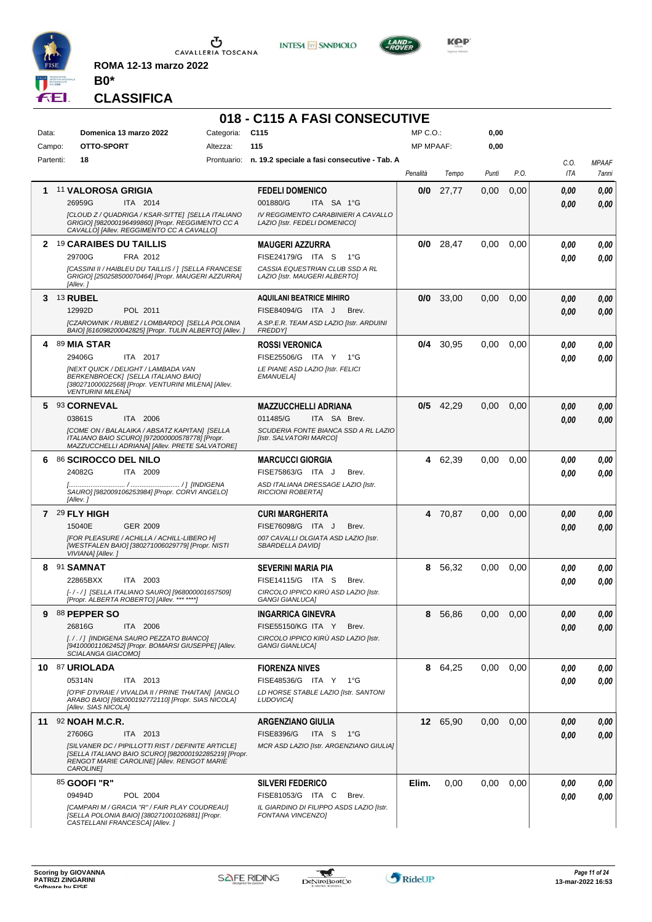

**ROMA 12-13 marzo 2022**





**CLASSIFICA**

**B0\***

# **018 - C115 A FASI CONSECUTIVE**

| Data:     |                                                   | Domenica 13 marzo 2022                                                                                                                                                                | Categoria: | C <sub>115</sub>                                                                                                           | MP C.O.:         |             | 0,00  |      |              |                       |
|-----------|---------------------------------------------------|---------------------------------------------------------------------------------------------------------------------------------------------------------------------------------------|------------|----------------------------------------------------------------------------------------------------------------------------|------------------|-------------|-------|------|--------------|-----------------------|
| Campo:    |                                                   | OTTO-SPORT                                                                                                                                                                            | Altezza:   | 115                                                                                                                        | <b>MP MPAAF:</b> |             | 0,00  |      |              |                       |
| Partenti: | 18                                                |                                                                                                                                                                                       |            | Prontuario: n. 19.2 speciale a fasi consecutive - Tab. A                                                                   | Penalità         | Tempo       | Punti | P.O. | C.O.<br>ITA  | <b>MPAAF</b><br>7anni |
|           | 26959G                                            | 11 VALOROSA GRIGIA<br>ITA 2014<br>[CLOUD Z / QUADRIGA / KSAR-SITTE] [SELLA ITALIANO<br>GRIGIO] [982000196499860] [Propr. REGGIMENTO CC A<br>CAVALLO] [Allev. REGGIMENTO CC A CAVALLO] |            | <b>FEDELI DOMENICO</b><br>001880/G<br>ITA SA 1°G<br>IV REGGIMENTO CARABINIERI A CAVALLO<br>LAZIO [Istr. FEDELI DOMENICO]   | 0/0              | 27,77       | 0,00  | 0,00 | 0,00<br>0.00 | 0,00<br>0.00          |
|           | 29700G<br>[Allev.]                                | 2 19 CARAIBES DU TAILLIS<br>FRA 2012<br>[CASSINI II / HAIBLEU DU TAILLIS / ] [SELLA FRANCESE<br>GRIGIO] [250258500070464] [Propr. MAUGERI AZZURRA]                                    |            | <b>MAUGERI AZZURRA</b><br>FISE24179/G ITA S<br>1°G<br>CASSIA EQUESTRIAN CLUB SSD A RL<br>LAZIO [Istr. MAUGERI ALBERTO]     |                  | $0/0$ 28.47 | 0,00  | 0,00 | 0.00<br>0.00 | 0,00<br>0.00          |
| 3.        | <b>13 RUBEL</b><br>12992D                         | POL 2011<br>[CZAROWNIK / RUBIEZ / LOMBARDO] [SELLA POLONIA<br>BAIO] [616098200042825] [Propr. TULIN ALBERTO] [Allev.]                                                                 |            | <b>AQUILANI BEATRICE MIHIRO</b><br>FISE84094/G ITA J<br>Brev.<br>A.SP.E.R. TEAM ASD LAZIO [Istr. ARDUINI<br><b>FREDDY</b>  |                  | $0/0$ 33,00 | 0,00  | 0,00 | 0.00<br>0.00 | 0,00<br>0,00          |
| 4         | 89 MIA STAR<br>29406G<br><b>VENTURINI MILENA]</b> | ITA 2017<br>[NEXT QUICK / DELIGHT / LAMBADA VAN<br>BERKENBROECK] [SELLA ITALIANO BAIO]<br>[380271000022568] [Propr. VENTURINI MILENA] [Allev.                                         |            | <b>ROSSI VERONICA</b><br>FISE25506/G ITA Y<br>1°G<br>LE PIANE ASD LAZIO [Istr. FELICI<br><b>EMANUELA1</b>                  |                  | $0/4$ 30,95 | 0,00  | 0,00 | 0,00<br>0.00 | 0,00<br>0.00          |
|           | 5 93 CORNEVAL<br>03861S                           | ITA 2006<br>[COME ON / BALALAIKA / ABSATZ KAPITAN] [SELLA<br>ITALIANO BAIO SCURO] [972000000578778] [Propr.<br>MAZZUCCHELLI ADRIANA] [Allev. PRETE SALVATORE]                         |            | <b>MAZZUCCHELLI ADRIANA</b><br>011485/G<br>ITA SA Brev.<br>SCUDERIA FONTE BIANCA SSD A RL LAZIO<br>[Istr. SALVATORI MARCO] |                  | $0/5$ 42,29 | 0,00  | 0,00 | 0.00<br>0.00 | 0,00<br>0,00          |
| 6         | 24082G<br>[Allev.]                                | 86 SCIROCCO DEL NILO<br>ITA 2009<br>SAURO] [982009106253984] [Propr. CORVI ANGELO]                                                                                                    |            | <b>MARCUCCI GIORGIA</b><br>FISE75863/G ITA J<br>Brev.<br>ASD ITALIANA DRESSAGE LAZIO [Istr.<br><b>RICCIONI ROBERTA]</b>    |                  | 4 62,39     | 0.00  | 0,00 | 0,00<br>0.00 | 0,00<br>0.00          |
|           | $7^{29}$ FLY HIGH<br>15040E<br>VIVIANA] [Allev.]  | GER 2009<br>[FOR PLEASURE / ACHILLA / ACHILL-LIBERO H]<br>[WESTFALEN BAIO] [380271006029779] [Propr. NISTI                                                                            |            | <b>CURI MARGHERITA</b><br>FISE76098/G ITA J<br>Brev.<br>007 CAVALLI OLGIATA ASD LAZIO [Istr.<br>SBARDELLA DAVIDI           |                  | 4 70,87     | 0,00  | 0,00 | 0.00<br>0.00 | 0,00<br>0.00          |
| 8         | 91 SAMNAT<br>22865BXX                             | ITA 2003<br>[-/-/] [SELLA ITALIANO SAURO] [968000001657509]<br>[Propr. ALBERTA ROBERTO] [Allev. *** ****]                                                                             |            | <b>SEVERINI MARIA PIA</b><br>FISE14115/G ITA S<br>Brev.<br>CIRCOLO IPPICO KIRÙ ASD LAZIO [Istr.<br><b>GANGI GIANLUCA]</b>  | 8                | 56,32       | 0.00  | 0,00 | 0,00<br>0,00 | 0,00<br>0.00          |
| g         | 88 PEPPER SO<br>26816G                            | ITA 2006<br>[././] [INDIGENA SAURO PEZZATO BIANCO]<br>[941000011062452] [Propr. BOMARSI GIUSEPPE] [Allev.<br><b>SCIALANGA GIACOMOI</b>                                                |            | <b>INGARRICA GINEVRA</b><br>FISE55150/KG ITA Y<br>Brev.<br>CIRCOLO IPPICO KIRÙ ASD LAZIO [Istr.<br><b>GANGI GIANLUCA]</b>  | 8                | 56,86       | 0,00  | 0.00 | 0,00<br>0,00 | 0,00<br>0,00          |
|           | 10 87 URIOLADA<br>05314N<br>[Allev. SIAS NICOLA]  | ITA 2013<br>[O'PIF D'IVRAIE / VIVALDA II / PRINE THAITAN] [ANGLO<br>ARABO BAIO] [982000192772110] [Propr. SIAS NICOLA]                                                                |            | <b>FIORENZA NIVES</b><br>FISE48536/G ITA Y 1°G<br>LD HORSE STABLE LAZIO [Istr. SANTONI<br><b>LUDOVICAI</b>                 |                  | 8 64,25     | 0.00  | 0.00 | 0,00<br>0.00 | 0,00<br>0.00          |
|           | 11 $92$ NOAH M.C.R.<br>27606G<br>CAROLINE]        | ITA 2013<br>[SILVANER DC / PIPILLOTTI RIST / DEFINITE ARTICLE]<br>[SELLA ITALIANO BAIO SCURO] [982000192285219] [Propr.<br>RENGOT MARIE CAROLINE] [Allev. RENGOT MARIE                |            | <b>ARGENZIANO GIULIA</b><br>FISE8396/G<br>ITA S<br>1°G<br>MCR ASD LAZIO [Istr. ARGENZIANO GIULIA]                          |                  | 12 65,90    | 0.00  | 0,00 | 0,00<br>0,00 | 0,00<br>0,00          |
|           | 85 GOOFI "R"<br>09494D                            | POL 2004<br>[CAMPARI M / GRACIA "R" / FAIR PLAY COUDREAU]<br>[SELLA POLONIA BAIO] [380271001026881] [Propr.<br>CASTELLANI FRANCESCA] [Allev.]                                         |            | <b>SILVERI FEDERICO</b><br>FISE81053/G ITA C<br>Brev.<br>IL GIARDINO DI FILIPPO ASDS LAZIO [Istr.<br>FONTANA VINCENZO]     | Elim.            | 0,00        | 0,00  | 0,00 | 0,00<br>0.00 | 0,00<br>0,00          |

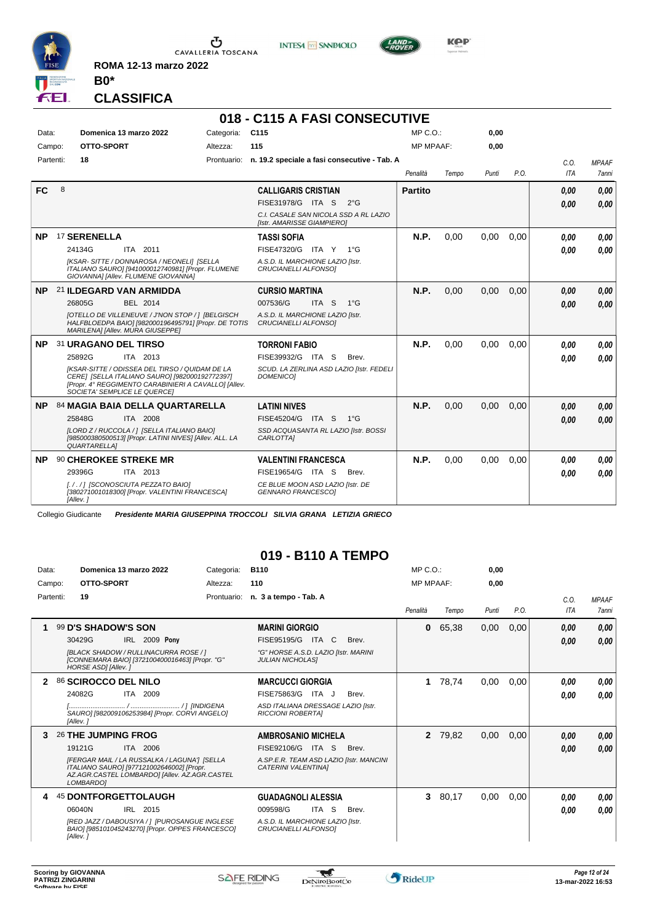

**INTESA** M SANPAOLO



**Kep** 

**CLASSIFICA**

**B0\***

**ROMA 12-13 marzo 2022**

# **018 - C115 A FASI CONSECUTIVE**

| Data:     |   | Domenica 13 marzo 2022                                                                                                                                                                                                                        | Categoria:  | C <sub>115</sub>                                                                                                                        | MP C. O.         |       | 0,00  |      |              |                       |
|-----------|---|-----------------------------------------------------------------------------------------------------------------------------------------------------------------------------------------------------------------------------------------------|-------------|-----------------------------------------------------------------------------------------------------------------------------------------|------------------|-------|-------|------|--------------|-----------------------|
| Campo:    |   | OTTO-SPORT                                                                                                                                                                                                                                    | Altezza:    | 115                                                                                                                                     | <b>MP MPAAF:</b> |       | 0,00  |      |              |                       |
| Partenti: |   | 18                                                                                                                                                                                                                                            | Prontuario: | n. 19.2 speciale a fasi consecutive - Tab. A                                                                                            | Penalità         | Tempo | Punti | P.O. | C.O.<br>ITA  | <b>MPAAF</b><br>7anni |
| <b>FC</b> | 8 |                                                                                                                                                                                                                                               |             | <b>CALLIGARIS CRISTIAN</b><br>FISE31978/G ITA S<br>$2^{\circ}$ G<br>C.I. CASALE SAN NICOLA SSD A RL LAZIO<br>[Istr. AMARISSE GIAMPIERO] | <b>Partito</b>   |       |       |      | 0.00<br>0,00 | 0,00<br>0.00          |
| <b>NP</b> |   | <sup>17</sup> SERENELLA<br>24134G<br>ITA 2011<br>[KSAR-SITTE / DONNAROSA / NEONELI] [SELLA<br>ITALIANO SAURO] [941000012740981] [Propr. FLUMENE<br>GIOVANNA] [Allev. FLUMENE GIOVANNA]                                                        |             | <b>TASSI SOFIA</b><br>FISE47320/G ITA Y<br>$1^{\circ}G$<br>A.S.D. IL MARCHIONE LAZIO [Istr.<br>CRUCIANELLI ALFONSO]                     | N.P.             | 0,00  | 0,00  | 0.00 | 0.00<br>0.00 | 0,00<br>0.00          |
| <b>NP</b> |   | 21 ILDEGARD VAN ARMIDDA<br>26805G<br>BEL 2014<br>[OTELLO DE VILLENEUVE / J'NON STOP / ] [BELGISCH<br>HALFBLOEDPA BAIO] [982000196495791] [Propr. DE TOTIS<br>MARILENA] [Allev. MURA GIUSEPPE]                                                 |             | <b>CURSIO MARTINA</b><br>007536/G<br>ITA <sub>S</sub><br>$1^{\circ}$ G<br>A.S.D. IL MARCHIONE LAZIO [Istr.<br>CRUCIANELLI ALFONSO]      | N.P.             | 0.00  | 0.00  | 0.00 | 0,00<br>0.00 | 0,00<br>0.00          |
| <b>NP</b> |   | 31 URAGANO DEL TIRSO<br>25892G<br>ITA 2013<br><b>IKSAR-SITTE / ODISSEA DEL TIRSO / QUIDAM DE LA</b><br>CERE] [SELLA ITALIANO SAURO] [982000192772397]<br>[Propr. 4° REGGIMENTO CARABINIERI A CAVALLO] [Allev.<br>SOCIETA' SEMPLICE LE QUERCEI |             | <b>TORRONI FABIO</b><br>FISE39932/G ITA S<br>Brev.<br>SCUD. LA ZERLINA ASD LAZIO [Istr. FEDELI<br><b>DOMENICO1</b>                      | N.P.             | 0,00  | 0,00  | 0.00 | 0.00<br>0.00 | 0.00<br>0.00          |
| <b>NP</b> |   | 84 MAGIA BAIA DELLA QUARTARELLA<br>25848G<br>ITA 2008<br>[LORD Z / RUCCOLA / ] [SELLA ITALIANO BAIO]<br>[985000380500513] [Propr. LATINI NIVES] [Allev. ALL. LA<br><b>QUARTARELLA1</b>                                                        |             | <b>LATINI NIVES</b><br>FISE45204/G ITA S<br>$1^{\circ}G$<br>SSD ACQUASANTA RL LAZIO [Istr. BOSSI<br>CARLOTTA]                           | <b>N.P.</b>      | 0,00  | 0,00  | 0.00 | 0,00<br>0,00 | 0,00<br>0.00          |
| <b>NP</b> |   | 90 CHEROKEE STREKE MR<br>29396G<br>ITA 2013<br>[././] [SCONOSCIUTA PEZZATO BAIO]<br>[380271001018300] [Propr. VALENTINI FRANCESCA]<br>[Allev.]                                                                                                |             | <b>VALENTINI FRANCESCA</b><br>FISE19654/G ITA S<br>Brev.<br>CE BLUE MOON ASD LAZIO [Istr. DE<br><b>GENNARO FRANCESCOI</b>               | <b>N.P.</b>      | 0.00  | 0,00  | 0,00 | 0.00<br>0.00 | 0.00<br>0.00          |

Collegio Giudicante *Presidente MARIA GIUSEPPINA TROCCOLI SILVIA GRANA LETIZIA GRIECO*

## **019 - B110 A TEMPO**

| Data:     |                      | Domenica 13 marzo 2022 |                                                                                                                                            | Categoria:  | <b>B110</b>                                                     | MP C. O.         |         | 0,00  |      |            |              |
|-----------|----------------------|------------------------|--------------------------------------------------------------------------------------------------------------------------------------------|-------------|-----------------------------------------------------------------|------------------|---------|-------|------|------------|--------------|
| Campo:    |                      | OTTO-SPORT             |                                                                                                                                            | Altezza:    | 110                                                             | <b>MP MPAAF:</b> |         | 0,00  |      |            |              |
| Partenti: | 19                   |                        |                                                                                                                                            | Prontuario: | n. 3 a tempo - Tab. A                                           |                  |         |       |      | C.0.       | <b>MPAAF</b> |
|           |                      |                        |                                                                                                                                            |             |                                                                 | Penalità         | Tempo   | Punti | P.O. | <b>ITA</b> | <b>7anni</b> |
|           | 99 D'S SHADOW'S SON  |                        |                                                                                                                                            |             | <b>MARINI GIORGIO</b>                                           | 0                | 65,38   | 0,00  | 0,00 | 0,00       | 0,00         |
|           | 30429G               |                        | <b>IRL 2009 Pony</b>                                                                                                                       |             | FISE95195/G ITA C<br>Brev.                                      |                  |         |       |      | 0,00       | 0,00         |
|           |                      | HORSE ASDI [Allev.]    | [BLACK SHADOW / RULLINACURRA ROSE / ]<br>[CONNEMARA BAIO] [372100400016463] [Propr. "G"                                                    |             | "G" HORSE A.S.D. LAZIO [Istr. MARINI<br><b>JULIAN NICHOLASI</b> |                  |         |       |      |            |              |
| 2         | 86 SCIROCCO DEL NILO |                        |                                                                                                                                            |             | <b>MARCUCCI GIORGIA</b>                                         |                  | 1 78,74 | 0,00  | 0,00 | 0.00       | 0,00         |
|           | 24082G               |                        | ITA 2009                                                                                                                                   |             | FISE75863/G ITA J<br>Brev.                                      |                  |         |       |      | 0.00       | 0.00         |
|           | [Allev.]             |                        | SAURO] [982009106253984] [Propr. CORVI ANGELO]                                                                                             |             | ASD ITALIANA DRESSAGE LAZIO [Istr.<br><b>RICCIONI ROBERTAI</b>  |                  |         |       |      |            |              |
| 3         | 26 THE JUMPING FROG  |                        |                                                                                                                                            |             | <b>AMBROSANIO MICHELA</b>                                       | $\mathbf{2}$     | 79,82   | 0,00  | 0,00 | 0,00       | 0,00         |
|           | 19121G               |                        | ITA 2006                                                                                                                                   |             | FISE92106/G<br>ITA<br>S<br>Brev.                                |                  |         |       |      | 0.00       | 0.00         |
|           | LOMBARDO]            |                        | [FERGAR MAIL / LA RUSSALKA / LAGUNA'] [SELLA<br>ITALIANO SAURO] [977121002646002] [Propr.<br>AZ.AGR.CASTEL LOMBARDO] [Allev. AZ.AGR.CASTEL |             | A.SP.E.R. TEAM ASD LAZIO [Istr. MANCINI<br>CATERINI VALENTINAI  |                  |         |       |      |            |              |
|           |                      |                        | <b>45 DONTFORGETTOLAUGH</b>                                                                                                                |             | <b>GUADAGNOLI ALESSIA</b>                                       |                  | 3 80,17 | 0,00  | 0,00 | 0.00       | 0,00         |
|           | 06040N               |                        | IRL 2015                                                                                                                                   |             | 009598/G<br>ITA S<br>Brev.                                      |                  |         |       |      | 0,00       | 0,00         |
|           | [Allev.]             |                        | [RED JAZZ / DABOUSIYA / ] [PUROSANGUE INGLESE<br>BAIO] [985101045243270] [Propr. OPPES FRANCESCO]                                          |             | A.S.D. IL MARCHIONE LAZIO [Istr.<br>CRUCIANELLI ALFONSO1        |                  |         |       |      |            |              |

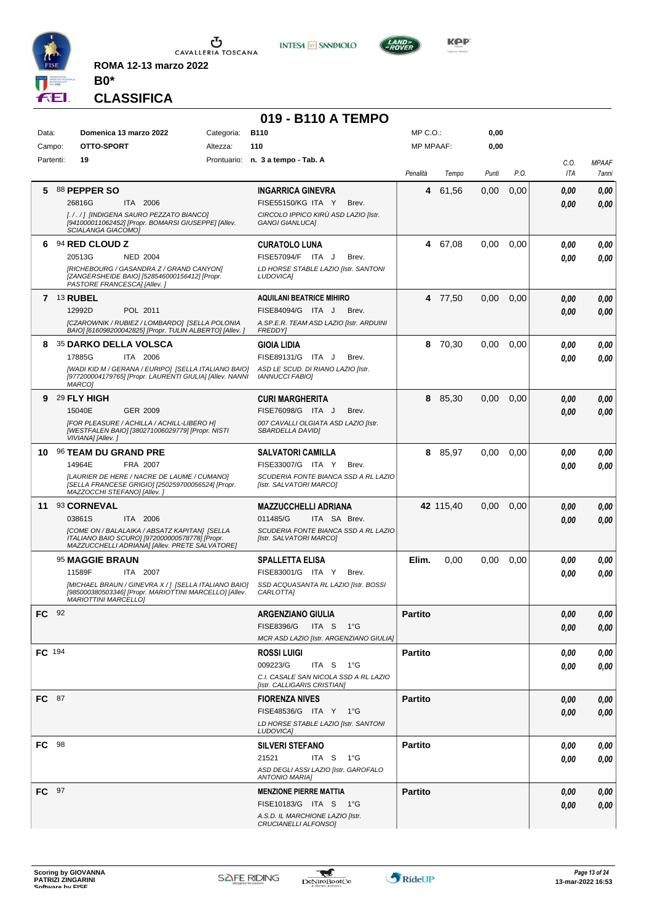

**INTESA M** SANPAOLO



**KOP** 

**CLASSIFICA**

**B0\***

**ROMA 12-13 marzo 2022**

## **019 - B110 A TEMPO**

| Data:        |    | Domenica 13 marzo 2022<br>OTTO-SPORT                                                                                                                                                   | Categoria: | <b>B110</b>                                                                                                                      | MP C.O.:         |           | 0,00  |      |              |                       |
|--------------|----|----------------------------------------------------------------------------------------------------------------------------------------------------------------------------------------|------------|----------------------------------------------------------------------------------------------------------------------------------|------------------|-----------|-------|------|--------------|-----------------------|
| Campo:       |    |                                                                                                                                                                                        | Altezza:   | 110                                                                                                                              | <b>MP MPAAF:</b> |           | 0,00  |      |              |                       |
| Partenti:    |    | 19                                                                                                                                                                                     |            | Prontuario: n. 3 a tempo - Tab. A                                                                                                | Penalità         | Tempo     | Punti | P.O. | C.O.<br>ITA  | <b>MPAAF</b><br>7anni |
| 5.           |    | 88 PEPPER SO<br>ITA 2006<br>26816G<br>[././] [INDIGENA SAURO PEZZATO BIANCO]<br>[941000011062452] [Propr. BOMARSI GIUSEPPE] [Allev.<br>SCIALANGA GIACOMOI                              |            | <b>INGARRICA GINEVRA</b><br><b>FISE55150/KG ITA Y</b><br>Brev.<br>CIRCOLO IPPICO KIRÙ ASD LAZIO [Istr.<br><b>GANGI GIANLUCAI</b> | 4                | 61,56     | 0,00  | 0,00 | 0.00<br>0.00 | 0,00<br>0.00          |
| 6            |    | 94 RED CLOUD Z<br>20513G<br><b>NED 2004</b><br>[RICHEBOURG / GASANDRA Z / GRAND CANYON]<br>[ZANGERSHEIDE BAIO] [528546000156412] [Propr.<br>PASTORE FRANCESCA] [Allev.]                |            | <b>CURATOLO LUNA</b><br>FISE57094/F ITA J<br>Brev.<br>LD HORSE STABLE LAZIO [Istr. SANTONI<br><b>LUDOVICAI</b>                   |                  | 4 67,08   | 0.00  | 0,00 | 0.00<br>0.00 | 0,00<br>0.00          |
|              |    | <b>7 13 RUBEL</b><br>POL 2011<br>12992D<br>[CZAROWNIK / RUBIEZ / LOMBARDO] [SELLA POLONIA<br>BAIO] [616098200042825] [Propr. TULIN ALBERTO] [Allev. ]                                  |            | <b>AQUILANI BEATRICE MIHIRO</b><br>FISE84094/G ITA J<br>Brev.<br>A.SP.E.R. TEAM ASD LAZIO [Istr. ARDUINI<br><b>FREDDY1</b>       |                  | 4 77,50   | 0,00  | 0,00 | 0,00<br>0,00 | 0,00<br>0,00          |
| 8            |    | <b>35 DARKO DELLA VOLSCA</b><br>17885G<br>ITA 2006<br>[WADI KID M / GERANA / EURIPO] [SELLA ITALIANO BAIO]<br>[977200004179765] [Propr. LAURENTI GIULIA] [Allev. NANNI<br>MARCO]       |            | <b>GIOIA LIDIA</b><br>FISE89131/G ITA J<br>Brev.<br>ASD LE SCUD. DI RIANO LAZIO [Istr.<br><b>IANNUCCI FABIOI</b>                 | 8                | 70,30     | 0,00  | 0,00 | 0.00<br>0.00 | 0,00<br>0,00          |
|              |    | 9 <sup>29</sup> FLY HIGH<br>15040E<br>GER 2009<br>[FOR PLEASURE / ACHILLA / ACHILL-LIBERO H]<br>[WESTFALEN BAIO] [380271006029779] [Propr. NISTI<br>VIVIANA] [Allev.]                  |            | <b>CURI MARGHERITA</b><br>FISE76098/G ITA J<br>Brev.<br>007 CAVALLI OLGIATA ASD LAZIO [Istr.<br>SBARDELLA DAVIDI                 |                  | 8 85,30   | 0,00  | 0,00 | 0,00<br>0,00 | 0,00<br>0,00          |
| 10.          |    | 96 TEAM DU GRAND PRE<br>14964E<br>FRA 2007<br>[LAURIER DE HERE / NACRE DE LAUME / CUMANO]<br>[SELLA FRANCESE GRIGIO] [250259700056524] [Propr.<br>MAZZOCCHI STEFANO] [Allev.]          |            | <b>SALVATORI CAMILLA</b><br>FISE33007/G ITA Y<br>Brev.<br>SCUDERIA FONTE BIANCA SSD A RL LAZIO<br>[Istr. SALVATORI MARCO]        | 8                | 85,97     | 0,00  | 0,00 | 0.00<br>0.00 | 0,00<br>0.00          |
| 11           |    | 93 CORNEVAL<br>03861S<br>ITA 2006<br>[COME ON / BALALAIKA / ABSATZ KAPITAN] [SELLA<br>ITALIANO BAIO SCURO] [972000000578778] [Propr.<br>MAZZUCCHELLI ADRIANA] [Allev. PRETE SALVATORE] |            | <b>MAZZUCCHELLI ADRIANA</b><br>011485/G<br>ITA SA Brev.<br>SCUDERIA FONTE BIANCA SSD A RL LAZIO<br>[Istr. SALVATORI MARCO]       |                  | 42 115,40 | 0,00  | 0,00 | 0,00<br>0.00 | 0,00<br>0.00          |
|              |    | 95 MAGGIE BRAUN<br>11589F<br>ITA 2007<br>[MICHAEL BRAUN / GINEVRA X / ] [SELLA ITALIANO BAIO]<br>[985000380503346] [Propr. MARIOTTINI MARCELLO] [Allev.<br><b>MARIOTTINI MARCELLOI</b> |            | <b>SPALLETTA ELISA</b><br>FISE83001/G ITA Y<br>Brev.<br>SSD ACQUASANTA RL LAZIO [Istr. BOSSI<br>CARLOTTA]                        | Elim.            | 0,00      | 0,00  | 0,00 | 0.00<br>0.00 | 0,00<br>0.00          |
| FC .         | 92 |                                                                                                                                                                                        |            | <b>ARGENZIANO GIULIA</b><br>FISE8396/G ITA S 1°G<br>MCR ASD LAZIO [Istr. ARGENZIANO GIULIA]                                      | <b>Partito</b>   |           |       |      | 0,00<br>0,00 | $\it 0,00$<br>0,00    |
| FC 194       |    |                                                                                                                                                                                        |            | <b>ROSSI LUIGI</b><br>009223/G<br>ITA S 1°G<br>C.I. CASALE SAN NICOLA SSD A RL LAZIO<br>[Istr. CALLIGARIS CRISTIAN]              | <b>Partito</b>   |           |       |      | 0.00<br>0.00 | 0,00<br>0,00          |
| FC 87        |    |                                                                                                                                                                                        |            | <b>FIORENZA NIVES</b><br>FISE48536/G ITA Y 1°G<br>LD HORSE STABLE LAZIO [Istr. SANTONI<br>LUDOVICA]                              | <b>Partito</b>   |           |       |      | 0.00<br>0,00 | 0,00<br>0,00          |
| FC 98        |    |                                                                                                                                                                                        |            | <b>SILVERI STEFANO</b><br>21521<br>ITA S 1°G<br>ASD DEGLI ASSI LAZIO [Istr. GAROFALO<br><b>ANTONIO MARIA]</b>                    | <b>Partito</b>   |           |       |      | 0.00<br>0.00 | 0,00<br>0,00          |
| <b>FC</b> 97 |    |                                                                                                                                                                                        |            | <b>MENZIONE PIERRE MATTIA</b><br>FISE10183/G ITA S 1°G<br>A.S.D. IL MARCHIONE LAZIO [Istr.<br>CRUCIANELLI ALFONSO]               | <b>Partito</b>   |           |       |      | 0,00<br>0,00 | 0,00<br>0,00          |

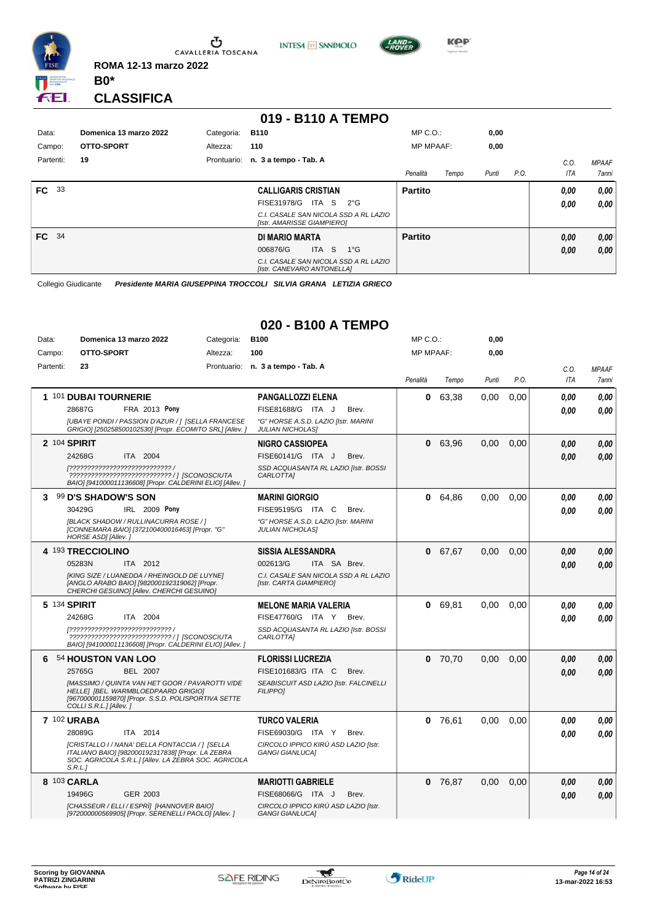

**INTESA** M SANPAOLO



**CLASSIFICA**

**B0\***

**ROMA 12-13 marzo 2022**

## **019 - B110 A TEMPO**

| Data:            | Domenica 13 marzo 2022 | Categoria: | <b>B110</b>                                                         | $MP C. O.$ :     |       | 0,00  |      |      |              |
|------------------|------------------------|------------|---------------------------------------------------------------------|------------------|-------|-------|------|------|--------------|
| Campo:           | OTTO-SPORT             | Altezza:   | 110                                                                 | <b>MP MPAAF:</b> |       | 0,00  |      |      |              |
| Partenti:        | 19                     |            | Prontuario: n. 3 a tempo - Tab. A                                   |                  |       |       |      | C.0  | <b>MPAAF</b> |
|                  |                        |            |                                                                     | Penalità         | Tempo | Punti | P.O. | ITA  | 7anni        |
| FC<br>- 33       |                        |            | <b>CALLIGARIS CRISTIAN</b>                                          | <b>Partito</b>   |       |       |      | 0.00 | 0,00         |
|                  |                        |            | FISE31978/G<br>ITA S<br>$2^{\circ}$ G                               |                  |       |       |      | 0.00 | 0,00         |
|                  |                        |            | C.I. CASALE SAN NICOLA SSD A RL LAZIO<br>[Istr. AMARISSE GIAMPIERO] |                  |       |       |      |      |              |
| FC <sup>34</sup> |                        |            | DI MARIO MARTA                                                      | <b>Partito</b>   |       |       |      | 0,00 | 0,00         |
|                  |                        |            | ITA S<br>$1^{\circ}G$<br>006876/G                                   |                  |       |       |      | 0,00 | 0,00         |
|                  |                        |            | C.I. CASALE SAN NICOLA SSD A RL LAZIO<br>[Istr. CANEVARO ANTONELLA] |                  |       |       |      |      |              |

Collegio Giudicante *Presidente MARIA GIUSEPPINA TROCCOLI SILVIA GRANA LETIZIA GRIECO*

# **020 - B100 A TEMPO**

| Data:     | Domenica 13 marzo 2022                                                                                                                                                  | Categoria: | <b>B100</b>                                                      | $MP C. O.$ :     |         | 0,00  |      |            |              |
|-----------|-------------------------------------------------------------------------------------------------------------------------------------------------------------------------|------------|------------------------------------------------------------------|------------------|---------|-------|------|------------|--------------|
| Campo:    | OTTO-SPORT                                                                                                                                                              | Altezza:   | 100                                                              | <b>MP MPAAF:</b> |         | 0,00  |      |            |              |
| Partenti: | 23                                                                                                                                                                      |            | Prontuario: n. 3 a tempo - Tab. A                                |                  |         |       |      | C.O.       | <b>MPAAF</b> |
|           |                                                                                                                                                                         |            |                                                                  | Penalità         | Tempo   | Punti | P.O. | <b>ITA</b> | 7anni        |
|           | 1 101 DUBAI TOURNERIE                                                                                                                                                   |            | <b>PANGALLOZZI ELENA</b>                                         | 0                | 63,38   | 0.00  | 0.00 | 0.00       | 0.00         |
|           | 28687G<br>FRA 2013 Pony                                                                                                                                                 |            | FISE81688/G ITA J<br>Brev.                                       |                  |         |       |      | 0.00       | 0.00         |
|           | [UBAYE PONDI / PASSION D'AZUR / 1 [SELLA FRANCESE<br>GRIGIO] [250258500102530] [Propr. ECOMITO SRL] [Allev. ]                                                           |            | "G" HORSE A.S.D. LAZIO [Istr. MARINI<br><b>JULIAN NICHOLAS]</b>  |                  |         |       |      |            |              |
|           | 2 104 SPIRIT                                                                                                                                                            |            | <b>NIGRO CASSIOPEA</b>                                           | 0                | 63,96   | 0.00  | 0.00 | 0.00       | 0.00         |
|           | 24268G<br>ITA 2004                                                                                                                                                      |            | FISE60141/G ITA J<br>Brev.                                       |                  |         |       |      | 0.00       | 0.00         |
|           | [?????????????????????????????? /<br>????????????????????????????? / ] [SCONOSCIUTA<br>BAIO] [941000011136608] [Propr. CALDERINI ELIO] [Allev. ]                        |            | SSD ACQUASANTA RL LAZIO [Istr. BOSSI<br><b>CARLOTTAI</b>         |                  |         |       |      |            |              |
| 3         | 99 D'S SHADOW'S SON                                                                                                                                                     |            | <b>MARINI GIORGIO</b>                                            |                  | 0 64.86 | 0,00  | 0,00 | 0,00       | 0,00         |
|           | 30429G<br><b>IRL 2009 Pony</b>                                                                                                                                          |            | FISE95195/G ITA C<br>Brev.                                       |                  |         |       |      | 0.00       | 0.00         |
|           | [BLACK SHADOW / RULLINACURRA ROSE / ]<br>[CONNEMARA BAIO] [372100400016463] [Propr. "G"<br>HORSE ASD] [Allev.]                                                          |            | "G" HORSE A.S.D. LAZIO [Istr. MARINI<br><b>JULIAN NICHOLASI</b>  |                  |         |       |      |            |              |
|           | 4 193 TRECCIOLINO                                                                                                                                                       |            | <b>SISSIA ALESSANDRA</b>                                         | 0                | 67,67   | 0,00  | 0,00 | 0,00       | 0,00         |
|           | 05283N<br>ITA 2012                                                                                                                                                      |            | 002613/G<br>ITA SA Brev.                                         |                  |         |       |      | 0.00       | 0.00         |
|           | [KING SIZE / LUANEDDA / RHEINGOLD DE LUYNE]<br>[ANGLO ARABO BAIO] [982000192319062] [Propr.<br>CHERCHI GESUINO] [Allev. CHERCHI GESUINO]                                |            | C.I. CASALE SAN NICOLA SSD A RL LAZIO<br>[Istr. CARTA GIAMPIERO] |                  |         |       |      |            |              |
|           | 5 134 SPIRIT                                                                                                                                                            |            | <b>MELONE MARIA VALERIA</b>                                      | 0                | 69,81   | 0,00  | 0.00 | 0.00       | 0.00         |
|           | 24268G<br>ITA 2004                                                                                                                                                      |            | FISE47760/G ITA Y<br>Brev.                                       |                  |         |       |      | 0.00       | 0.00         |
|           | [????????????????????????????? /<br>????????????????????????????? / ] [SCONOSCIUTA<br>BAIO] [941000011136608] [Propr. CALDERINI ELIO] [Allev. ]                         |            | SSD ACQUASANTA RL LAZIO [Istr. BOSSI<br>CARLOTTA]                |                  |         |       |      |            |              |
| 6         | 54 HOUSTON VAN LOO                                                                                                                                                      |            | <b>FLORISSI LUCREZIA</b>                                         | 0                | 70,70   | 0,00  | 0,00 | 0.00       | 0.00         |
|           | 25765G<br><b>BEL 2007</b>                                                                                                                                               |            | FISE101683/G ITA C<br>Brev.                                      |                  |         |       |      | 0.00       | 0.00         |
|           | [MASSIMO / QUINTA VAN HET GOOR / PAVAROTTI V/DE<br>HELLE] [BEL. WARMBLOEDPAARD GRIGIO]<br>[967000001159870] [Propr. S.S.D. POLISPORTIVA SETTE<br>COLLI S.R.L.] [Allev.] |            | SEABISCUIT ASD LAZIO [Istr. FALCINELLI<br><b>FILIPPOI</b>        |                  |         |       |      |            |              |
|           | <b>7 102 URABA</b>                                                                                                                                                      |            | <b>TURCO VALERIA</b>                                             | 0                | 76,61   | 0,00  | 0,00 | 0.00       | 0.00         |
|           | 28089G<br>ITA 2014                                                                                                                                                      |            | FISE69030/G ITA Y<br>Brev.                                       |                  |         |       |      | 0.00       | 0.00         |
|           | [CRISTALLO I / NANA' DELLA FONTACCIA / ] [SELLA<br>ITALIANO BAIO] [982000192317838] [Propr. LA ZEBRA<br>SOC. AGRICOLA S.R.L.] [Allev. LA ZEBRA SOC. AGRICOLA<br>S.R.L.  |            | CIRCOLO IPPICO KIRÙ ASD LAZIO [Istr.<br><b>GANGI GIANLUCAI</b>   |                  |         |       |      |            |              |
|           | 8 103 CARLA                                                                                                                                                             |            | <b>MARIOTTI GABRIELE</b>                                         |                  | 0 76,87 | 0,00  | 0,00 | 0,00       | 0,00         |
|           | 19496G<br>GER 2003                                                                                                                                                      |            | FISE68066/G ITA J<br>Brev.                                       |                  |         |       |      | 0,00       | 0.00         |
|           | [CHASSEUR / ELLI / ESPRÌ] [HANNOVER BAIO]<br>[972000000569905] [Propr. SERENELLI PAOLO] [Allev. ]                                                                       |            | CIRCOLO IPPICO KIRÙ ASD LAZIO [Istr.<br><b>GANGI GIANLUCA]</b>   |                  |         |       |      |            |              |

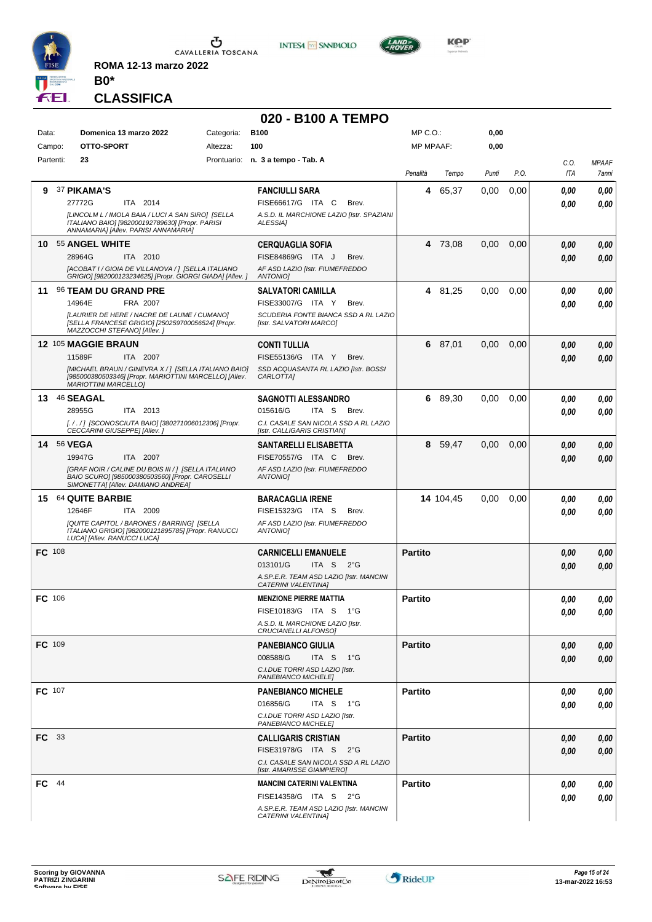

CAVALLERIA TOSCANA

**INTESA m** SANPAOLO

**020 - B100 A TEMPO**



**CLASSIFICA**

**B0\***

**ROMA 12-13 marzo 2022**

#### Data: **Domenica 13 marzo 2022** Categoria: B100 Prontuario: **n. 3 a tempo - Tab. A** Campo: **OTTO-SPORT** Partenti: **23** Altezza: **100** MP C.O.: MP MPAAF: **0,00 0,00** *Penalità Tempo Punti P.O. C.O. ITA MPAAF 7anni* **9** 37 **PIKAMA'S** ITA 2014 **FANCIULLI SARA** *[LINCOLM L / IMOLA BAIA / LUCI A SAN SIRO] [SELLA ITALIANO BAIO] [982000192789630] [Propr. PARISI ANNAMARIA] [Allev. PARISI ANNAMARIA] A.S.D. IL MARCHIONE LAZIO [Istr. SPAZIANI ALESSIA]* 27772G ITA 2014 FISE66617/G ITA C Brev. **0,00 0,00 4** 65,37 0,00 0,00 *0,00 0,00 0,00* **10** 55 **ANGEL WHITE** ITA 2010 **CERQUAGLIA SOFIA** *[ACOBAT I / GIOIA DE VILLANOVA / ] [SELLA ITALIANO GRIGIO] [982000123234625] [Propr. GIORGI GIADA] [Allev. ] AF ASD LAZIO [Istr. FIUMEFREDDO ANTONIO]* 28964G ITA 2010 FISE84869/G ITA J Brev. <mark>0,00 0,00</mark> **4** 73,08 0,00 0,00 *0,00 0,00 0,00* **11** 96 **TEAM DU GRAND PRE** FRA 2007 **SALVATORI CAMILLA** *[LAURIER DE HERE / NACRE DE LAUME / CUMANO] [SELLA FRANCESE GRIGIO] [250259700056524] [Propr. MAZZOCCHI STEFANO] [Allev. ] SCUDERIA FONTE BIANCA SSD A RL LAZIO [Istr. SALVATORI MARCO]* 14964E FRA 2007 FISE33007/G ITA Y Brev. **0,00 0,00 4** 81,25 0,00 0,00 *0,00 0,00 0,00* **12** 105 **MAGGIE BRAUN** ITA 2007 **CONTI TULLIA** *[MICHAEL BRAUN / GINEVRA X / ] [SELLA ITALIANO BAIO] [985000380503346] [Propr. MARIOTTINI MARCELLO] [Allev. MARIOTTINI MARCELLO] SSD ACQUASANTA RL LAZIO [Istr. BOSSI CARLOTTA]* ITA Y Brev. 11589F FISE55136/G *0,00* **6** 87,01 0,00 0,00 *0,00 0,00 0,00* **13** 46 **SEAGAL** ITA 2013 **SAGNOTTI ALESSANDRO** *[. / . / ] [SCONOSCIUTA BAIO] [380271006012306] [Propr. CECCARINI GIUSEPPE] [Allev. ] C.I. CASALE SAN NICOLA SSD A RL LAZIO [Istr. CALLIGARIS CRISTIAN]* ITA S Brev. **6** 89,30 0,00 0,00 *0,00 0,00 0,00* 28955G ITA 2013 015616/G ITA S Brev. <mark> 0,00 0,00</mark> **14** 56 **VEGA** ITA 2007 **SANTARELLI ELISABETTA** *[GRAF NOIR / CALINE DU BOIS III / ] [SELLA ITALIANO BAIO SCURO] [985000380503560] [Propr. CAROSELLI SIMONETTA] [Allev. DAMIANO ANDREA] AF ASD LAZIO [Istr. FIUMEFREDDO ANTONIO]* 19947G ITA 2007 FISE70557/G ITA C Brev. <mark>0,00 0,00</mark> **8** 59,47 0,00 0,00 *0,00 0,00 0,00* **15** 64 **QUITE BARBIE** ITA 2009 **BARACAGLIA IRENE** *[QUITE CAPITOL / BARONES / BARRING] [SELLA ITALIANO GRIGIO] [982000121895785] [Propr. RANUCCI LUCA] [Allev. RANUCCI LUCA] AF ASD LAZIO [Istr. FIUMEFREDDO ANTONIO]* 12646F ITA 2009 FISE15323/G ITA S Brev. *0,00 0,00* **14** 104,45 0,00 0,00 *0,00 0,00 0,00* **FC** 108 **CARNICELLI EMANUELE** *A.SP.E.R. TEAM ASD LAZIO [Istr. MANCINI CATERINI VALENTINA]* ITA S 2°G 013101/G *0,00* **Partito** *0,00 0,00 0,00* **FC** 106 **MENZIONE PIERRE MATTIA** *A.S.D. IL MARCHIONE LAZIO [Istr. CRUCIANELLI ALFONSO]* ITA S 1°G FISE10183/G *0,00* **Partito** *0,00 0,00 0,00* **FC** 109 **PANEBIANCO GIULIA** *C.I.DUE TORRI ASD LAZIO [Istr. PANEBIANCO MICHELE]* ITA S 1°G **Partito** *0,00 0,00 0,00* 008588/G *0,00* **FC** 107 **PANEBIANCO MICHELE** *C.I.DUE TORRI ASD LAZIO [Istr. PANEBIANCO MICHELE]* ITA S 1°G **Partito** *0,00 0,00 0,00* 016856/G *0,00* **FC** 33 **CALLIGARIS CRISTIAN** *C.I. CASALE SAN NICOLA SSD A RL LAZIO [Istr. AMARISSE GIAMPIERO]* ITA S 2°G FISE31978/G *0,00* **Partito** *0,00 0,00 0,00* **FC** 44 **MANCINI CATERINI VALENTINA** *A.SP.E.R. TEAM ASD LAZIO [Istr. MANCINI CATERINI VALENTINA]* ITA S 2°G FISE14358/G *0,00* **Partito** *0,00 0,00 0,00*

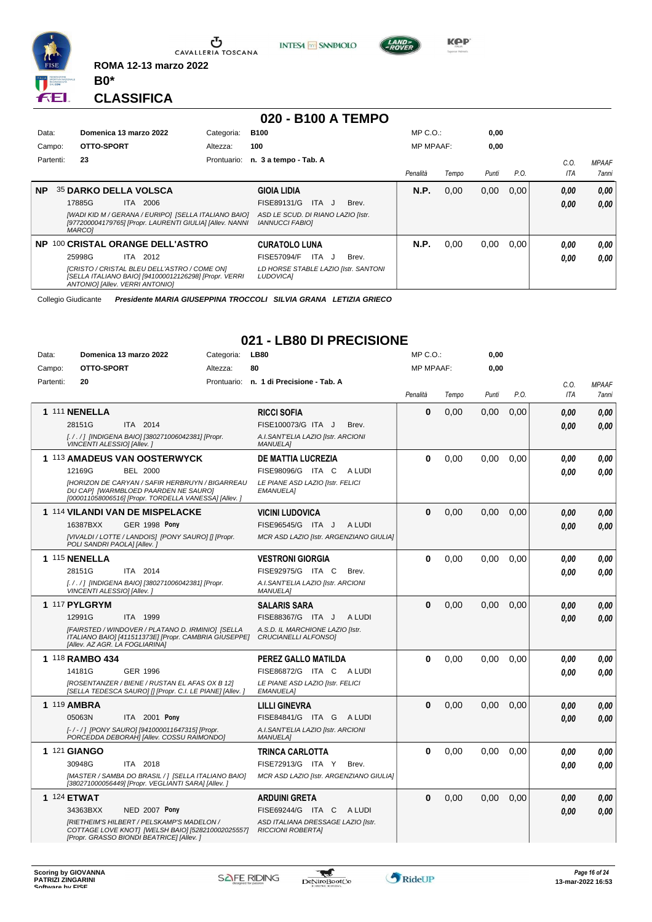

Ⴠ CAVALLERIA TOSCANA **INTESA M** SANPAOLO



**CLASSIFICA**

**B0\***

**ROMA 12-13 marzo 2022**

#### **020 - B100 A TEMPO**<br>Categoria: B100 Data: **Domenica 13 marzo 2022** Categoria: B100 Prontuario: **n. 3 a tempo - Tab. A** Campo: **OTTO-SPORT** Partenti: **23** Altezza: **100** MP C.O.: MP MPAAF: **0,00 0,00** *Penalità Tempo Punti P.O. C.O. ITA MPAAF 7anni* **NP** 35 **DARKO DELLA VOLSCA** ITA 2006 **GIOIA LIDIA** *[WADI KID M / GERANA / EURIPO] [SELLA ITALIANO BAIO] [977200004179765] [Propr. LAURENTI GIULIA] [Allev. NANNI MARCO] ASD LE SCUD. DI RIANO LAZIO [Istr. IANNUCCI FABIO]* ITA J Brev. 17885G FISE89131/G *0,00* **N.P.** 0,00 0,00 0,00 *0,00 0,00 0,00* **NP** 100 **CRISTAL ORANGE DELL'ASTRO** ITA 2012 **CURATOLO LUNA** *[CRISTO / CRISTAL BLEU DELL'ASTRO / COME ON] [SELLA ITALIANO BAIO] [941000012126298] [Propr. VERRI ANTONIO] [Allev. VERRI ANTONIO] LD HORSE STABLE LAZIO [Istr. SANTONI LUDOVICA]* 25998G ITA 2012 FISE57094/F ITA J Brev. **0,00 0,00 N.P.** 0,00 0,00 0,00 *0,00 0,00 0,00*

Collegio Giudicante *Presidente MARIA GIUSEPPINA TROCCOLI SILVIA GRANA LETIZIA GRIECO*

## **021 - LB80 DI PRECISIONE**

| Data:     | Domenica 13 marzo 2022                                                                                                                       | Categoria:  | <b>LB80</b>                                                    | $MP C. O.$ :     |       | 0,00  |      |            |              |
|-----------|----------------------------------------------------------------------------------------------------------------------------------------------|-------------|----------------------------------------------------------------|------------------|-------|-------|------|------------|--------------|
| Campo:    | OTTO-SPORT                                                                                                                                   | Altezza:    | 80                                                             | <b>MP MPAAF:</b> |       | 0.00  |      |            |              |
| Partenti: | 20                                                                                                                                           | Prontuario: | n. 1 di Precisione - Tab. A                                    |                  |       |       |      | C.O.       | <b>MPAAF</b> |
|           |                                                                                                                                              |             |                                                                | Penalità         | Tempo | Punti | P.O. | <b>ITA</b> | 7anni        |
|           | <b>1 111 NENELLA</b>                                                                                                                         |             | <b>RICCI SOFIA</b>                                             | 0                | 0,00  | 0,00  | 0,00 |            |              |
|           | 28151G<br>ITA 2014                                                                                                                           |             | FISE100073/G ITA J<br>Brev.                                    |                  |       |       |      | 0.00       | 0,00         |
|           | [. / . / ] [INDIGENA BAIO] [380271006042381] [Propr.                                                                                         |             | A.I.SANT'ELIA LAZIO [Istr. ARCIONI                             |                  |       |       |      | 0.00       | 0.00         |
|           | VINCENTI ALESSIO] [Allev.]                                                                                                                   |             | <b>MANUELA]</b>                                                |                  |       |       |      |            |              |
|           | 1 113 AMADEUS VAN OOSTERWYCK                                                                                                                 |             | <b>DE MATTIA LUCREZIA</b>                                      | 0                | 0.00  | 0,00  | 0,00 | 0.00       | 0.00         |
|           | 12169G<br><b>BEL 2000</b>                                                                                                                    |             | FISE98096/G ITA C<br>A LUDI                                    |                  |       |       |      | 0.00       | 0.00         |
|           | [HORIZON DE CARYAN / SAFIR HERBRUYN / BIGARREAU<br>DU CAPI (WARMBLOED PAARDEN NE SAURO)                                                      |             | LE PIANE ASD LAZIO [Istr. FELICI<br><b>EMANUELA1</b>           |                  |       |       |      |            |              |
|           | [000011058006516] [Propr. TORDELLA VANESSA] [Allev. ]                                                                                        |             |                                                                |                  |       |       |      |            |              |
|           | 1 114 VILANDI VAN DE MISPELACKE                                                                                                              |             | <b>VICINI LUDOVICA</b>                                         | 0                | 0,00  | 0,00  | 0,00 | 0,00       | 0,00         |
|           | 16387BXX<br><b>GER 1998 Pony</b>                                                                                                             |             | FISE96545/G ITA J<br>A LUDI                                    |                  |       |       |      | 0.00       | 0,00         |
|           | [VIVALDI / LOTTE / LANDOIS] [PONY SAURO] [] [Propr.                                                                                          |             | MCR ASD LAZIO [Istr. ARGENZIANO GIULIA]                        |                  |       |       |      |            |              |
|           | POLI SANDRI PAOLAI [Allev.]                                                                                                                  |             |                                                                |                  |       |       |      |            |              |
|           | 1 115 NENELLA                                                                                                                                |             | <b>VESTRONI GIORGIA</b>                                        | 0                | 0.00  | 0.00  | 0.00 | 0.00       | 0.00         |
|           | 28151G<br>ITA 2014                                                                                                                           |             | FISE92975/G ITA C<br>Brev.                                     |                  |       |       |      | 0.00       | 0.00         |
|           | [. / . / ] [INDIGENA BAIO] [380271006042381] [Propr.<br>VINCENTI ALESSIO] [Allev.]                                                           |             | A.I.SANT'ELIA LAZIO [Istr. ARCIONI<br><b>MANUELA1</b>          |                  |       |       |      |            |              |
|           | 1 117 PYLGRYM                                                                                                                                |             | <b>SALARIS SARA</b>                                            | 0                | 0,00  | 0,00  | 0.00 | 0,00       | 0,00         |
|           | 12991G<br>ITA 1999                                                                                                                           |             | FISE88367/G ITA J<br>A LUDI                                    |                  |       |       |      | 0,00       | 0.00         |
|           | [FAIRSTED / WINDOVER / PLATANO D. IRMINIO] [SELLA                                                                                            |             | A.S.D. IL MARCHIONE LAZIO [Istr.                               |                  |       |       |      |            |              |
|           | ITALIANO BAIO] [411511373E] [Propr. CAMBRIA GIUSEPPE]<br>[Allev. AZ AGR. LA FOGLIARINA]                                                      |             | CRUCIANELLI ALFONSO]                                           |                  |       |       |      |            |              |
|           | 1 118 RAMBO 434                                                                                                                              |             | PEREZ GALLO MATILDA                                            | $\bf{0}$         | 0.00  | 0.00  | 0.00 | 0.00       | 0.00         |
|           | 14181G<br><b>GER 1996</b>                                                                                                                    |             | FISE86872/G ITA C ALUDI                                        |                  |       |       |      | 0.00       | 0,00         |
|           | [ROSENTANZER / BIENE / RUSTAN EL AFAS OX B 12]                                                                                               |             | LE PIANE ASD LAZIO [Istr. FELICI                               |                  |       |       |      |            |              |
|           | [SELLA TEDESCA SAURO] [] [Propr. C.I. LE PIANE] [Allev. ]                                                                                    |             | <b>EMANUELA1</b>                                               |                  |       |       |      |            |              |
|           | 1 119 AMBRA                                                                                                                                  |             | <b>LILLI GINEVRA</b>                                           | $\bf{0}$         | 0,00  | 0,00  | 0,00 | 0.00       | 0.00         |
|           | ITA 2001 Pony<br>05063N                                                                                                                      |             | FISE84841/G ITA G ALUDI                                        |                  |       |       |      | 0.00       | 0.00         |
|           | [-/-/] [PONY SAURO] [941000011647315] [Propr.<br>PORCEDDA DEBORAH] [Allev. COSSU RAIMONDO]                                                   |             | A.I.SANT'ELIA LAZIO [Istr. ARCIONI<br><b>MANUELA]</b>          |                  |       |       |      |            |              |
|           | 1 121 GIANGO                                                                                                                                 |             | <b>TRINCA CARLOTTA</b>                                         | 0                | 0.00  | 0.00  | 0.00 | 0.00       | 0.00         |
|           | 30948G<br>ITA 2018                                                                                                                           |             | FISE72913/G ITA Y<br>Brev.                                     |                  |       |       |      | 0.00       | 0.00         |
|           | [MASTER / SAMBA DO BRASIL / ] [SELLA ITALIANO BAIO]<br>[380271000056449] [Propr. VEGLIANTI SARA] [Allev. ]                                   |             | MCR ASD LAZIO [Istr. ARGENZIANO GIULIA]                        |                  |       |       |      |            |              |
|           | <b>1 124 ETWAT</b>                                                                                                                           |             | <b>ARDUINI GRETA</b>                                           | 0                | 0,00  | 0,00  | 0,00 | 0,00       | 0,00         |
|           | 34363BXX<br><b>NED 2007 Pony</b>                                                                                                             |             | FISE69244/G ITA C ALUDI                                        |                  |       |       |      | 0,00       | 0,00         |
|           | [RIETHEIM'S HILBERT / PELSKAMP'S MADELON /<br>COTTAGE LOVE KNOT  [WELSH BAIO] [528210002025557]<br>[Propr. GRASSO BIONDI BEATRICE] [Allev. ] |             | ASD ITALIANA DRESSAGE LAZIO [Istr.<br><b>RICCIONI ROBERTA]</b> |                  |       |       |      |            |              |

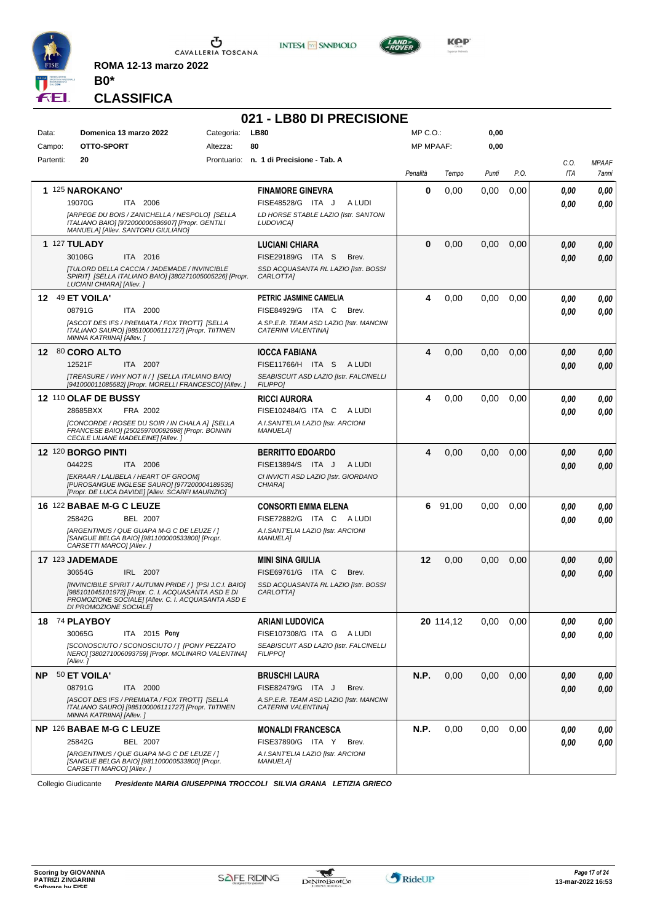

**ROMA 12-13 marzo 2022**





## **CLASSIFICA**

**B0\***

| 021 - LB80 DI PRECISIONE |                                                                                                                                            |                                                                |                  |           |       |      |      |              |  |
|--------------------------|--------------------------------------------------------------------------------------------------------------------------------------------|----------------------------------------------------------------|------------------|-----------|-------|------|------|--------------|--|
| Data:                    | Domenica 13 marzo 2022<br>Categoria:                                                                                                       | <b>LB80</b>                                                    | MP C.O.:         |           | 0,00  |      |      |              |  |
| Campo:                   | OTTO-SPORT<br>Altezza:                                                                                                                     | 80                                                             | <b>MP MPAAF:</b> |           | 0,00  |      |      |              |  |
| Partenti:                | 20                                                                                                                                         | Prontuario: n. 1 di Precisione - Tab. A                        |                  |           |       |      | C.O. | <b>MPAAF</b> |  |
|                          |                                                                                                                                            |                                                                | Penalità         | Tempo     | Punti | P.O. | ITA  | 7anni        |  |
|                          | 1 125 NAROKANO'                                                                                                                            | <b>FINAMORE GINEVRA</b>                                        | 0                | 0,00      | 0,00  | 0,00 | 0.00 | 0,00         |  |
|                          | 19070G<br>ITA 2006                                                                                                                         | FISE48528/G ITA J<br>A LUDI                                    |                  |           |       |      | 0.00 | 0,00         |  |
|                          | [ARPEGE DU BOIS / ZANICHELLA / NESPOLO] [SELLA<br>ITALIANO BAIO] [972000000586907] [Propr. GENTILI<br>MANUELA] [Allev. SANTORU GIULIANO]   | LD HORSE STABLE LAZIO [Istr. SANTONI<br>LUDOVICA]              |                  |           |       |      |      |              |  |
|                          | <b>1 127 TULADY</b>                                                                                                                        | <b>LUCIANI CHIARA</b>                                          | $\bf{0}$         | 0,00      | 0,00  | 0,00 | 0.00 | 0,00         |  |
|                          | 30106G<br>ITA 2016                                                                                                                         | FISE29189/G ITA S<br>Brev.                                     |                  |           |       |      | 0.00 | 0,00         |  |
|                          | <b>[TULORD DELLA CACCIA / JADEMADE / INVINCIBLE</b><br>SPIRIT] [SELLA ITALIANO BAIO] [380271005005226] [Propr.<br>LUCIANI CHIARA] [Allev.] | SSD ACQUASANTA RL LAZIO [Istr. BOSSI<br>CARLOTTA]              |                  |           |       |      |      |              |  |
|                          | 12 49 ET VOILA'                                                                                                                            | PETRIC JASMINE CAMELIA                                         | 4                | 0,00      | 0,00  | 0,00 | 0,00 | 0.00         |  |
|                          | 08791G<br>ITA 2000                                                                                                                         | FISE84929/G ITA C<br>Brev.                                     |                  |           |       |      | 0.00 | 0.00         |  |
|                          | [ASCOT DES IFS / PREMIATA / FOX TROTT] [SELLA<br>ITALIANO SAURO] [985100006111727] [Propr. TIITINEN<br>MINNA KATRIINA] [Allev. ]           | A.SP.E.R. TEAM ASD LAZIO [Istr. MANCINI<br>CATERINI VALENTINA] |                  |           |       |      |      |              |  |
| 12 <sup>12</sup>         | 80 CORO ALTO                                                                                                                               | <b>IOCCA FABIANA</b>                                           | 4                | 0,00      | 0,00  | 0,00 | 0.00 | 0,00         |  |
|                          | 12521F<br>ITA 2007                                                                                                                         | FISE11766/H ITA S ALUDI                                        |                  |           |       |      | 0.00 | 0,00         |  |
|                          | [TREASURE / WHY NOT II / ] [SELLA ITALIANO BAIO]<br>[941000011085582] [Propr. MORELLI FRANCESCO] [Allev. ]                                 | SEABISCUIT ASD LAZIO [Istr. FALCINELLI<br><b>FILIPPO]</b>      |                  |           |       |      |      |              |  |
|                          | 12 110 OLAF DE BUSSY                                                                                                                       | <b>RICCI AURORA</b>                                            | 4                | 0,00      | 0,00  | 0,00 | 0,00 | 0,00         |  |
|                          | 28685BXX<br>FRA 2002                                                                                                                       | FISE102484/G ITA C<br>A LUDI                                   |                  |           |       |      | 0.00 | 0,00         |  |
|                          | [CONCORDE / ROSEE DU SOIR / IN CHALA A] [SELLA<br>FRANCESE BAIO] [250259700092698] [Propr. BONNIN                                          | A.I.SANT'ELIA LAZIO [Istr. ARCIONI<br><b>MANUELA1</b>          |                  |           |       |      |      |              |  |
|                          | CECILE LILIANE MADELEINE] [Allev. ]                                                                                                        |                                                                |                  |           |       |      |      |              |  |
|                          | <b>12 120 BORGO PINTI</b>                                                                                                                  | <b>BERRITTO EDOARDO</b>                                        | 4                | 0,00      | 0,00  | 0,00 | 0.00 | 0,00         |  |
|                          | 04422S<br>ITA 2006                                                                                                                         | FISE13894/S ITA J<br>A LUDI                                    |                  |           |       |      | 0.00 | 0.00         |  |
|                          | [EKRAAR / LALIBELA / HEART OF GROOM]<br>[PUROSANGUE INGLESE SAURO] [977200004189535]<br>[Propr. DE LUCA DAVIDE] [Allev. SCARFI MAURIZIO]   | CI INVICTI ASD LAZIO [Istr. GIORDANO<br>CHIARA]                |                  |           |       |      |      |              |  |
|                          | 16 122 BABAE M-G C LEUZE                                                                                                                   | <b>CONSORTI EMMA ELENA</b>                                     | 6                | 91,00     | 0.00  | 0.00 | 0,00 | 0,00         |  |
|                          | 25842G<br>BEL 2007                                                                                                                         | FISE72882/G ITA C ALUDI                                        |                  |           |       |      | 0.00 | 0.00         |  |
|                          | [ARGENTINUS / QUE GUAPA M-G C DE LEUZE / ]<br>[SANGUE BELGA BAIO] [981100000533800] [Propr.                                                | A.I.SANT'ELIA LAZIO [Istr. ARCIONI<br><b>MANUELA]</b>          |                  |           |       |      |      |              |  |
|                          | CARSETTI MARCO] [Allev.]                                                                                                                   |                                                                |                  |           |       |      |      |              |  |
|                          | 17 123 JADEMADE<br>30654G<br>IRL 2007                                                                                                      | <b>MINI SINA GIULIA</b><br>FISE69761/G ITA C<br>Brev.          | 12               | 0,00      | 0,00  | 0,00 | 0,00 | 0,00         |  |
|                          | [INVINCIBILE SPIRIT / AUTUMN PRIDE / ] [PSI J.C.I. BAIO]                                                                                   | SSD ACQUASANTA RL LAZIO [Istr. BOSSI                           |                  |           |       |      | 0,00 | 0.00         |  |
|                          | [985101045101972] [Propr. C. I. ACQUASANTA ASD E DI<br>PROMOZIONE SOCIALE] [Allev. C. I. ACQUASANTA ASD E<br>DI PROMOZIONE SOCIALE]        | CARLOTTA]                                                      |                  |           |       |      |      |              |  |
|                          | 18 74 PLAYBOY                                                                                                                              | <b>ARIANI LUDOVICA</b>                                         |                  | 20 114,12 | 0,00  | 0,00 | 0,00 | 0,00         |  |
|                          | 30065G<br>ITA 2015 Pony                                                                                                                    | FISE107308/G ITA G ALUDI                                       |                  |           |       |      | 0,00 | 0,00         |  |
|                          | [SCONOSCIUTO / SCONOSCIUTO / ] [PONY PEZZATO<br>NERO] [380271006093759] [Propr. MOLINARO VALENTINA]<br>[Allev.]                            | SEABISCUIT ASD LAZIO [Istr. FALCINELLI<br><b>FILIPPO]</b>      |                  |           |       |      |      |              |  |
|                          | NP 50 ET VOILA'                                                                                                                            | <b>BRUSCHI LAURA</b>                                           | N.P.             | 0,00      | 0,00  | 0,00 | 0,00 | 0,00         |  |
|                          | 08791G<br>ITA 2000                                                                                                                         | FISE82479/G ITA J<br>Brev.                                     |                  |           |       |      | 0,00 | 0,00         |  |
|                          | [ASCOT DES IFS / PREMIATA / FOX TROTT] [SELLA<br>ITALIANO SAURO] [985100006111727] [Propr. TIITINEN<br>MINNA KATRIINA] [Allev. ]           | A.SP.E.R. TEAM ASD LAZIO [Istr. MANCINI<br>CATERINI VALENTINA] |                  |           |       |      |      |              |  |
|                          | NP 126 BABAE M-G C LEUZE                                                                                                                   | <b>MONALDI FRANCESCA</b>                                       | N.P.             | 0,00      | 0,00  | 0,00 | 0,00 | 0,00         |  |
|                          | 25842G<br>BEL 2007                                                                                                                         | FISE37890/G ITA Y<br>Brev.                                     |                  |           |       |      | 0,00 | 0,00         |  |
|                          | [ARGENTINUS / QUE GUAPA M-G C DE LEUZE / ]<br>[SANGUE BELGA BAIO] [981100000533800] [Propr.<br>CARSETTI MARCO] [Allev.]                    | A.I.SANT'ELIA LAZIO [Istr. ARCIONI<br><b>MANUELA]</b>          |                  |           |       |      |      |              |  |

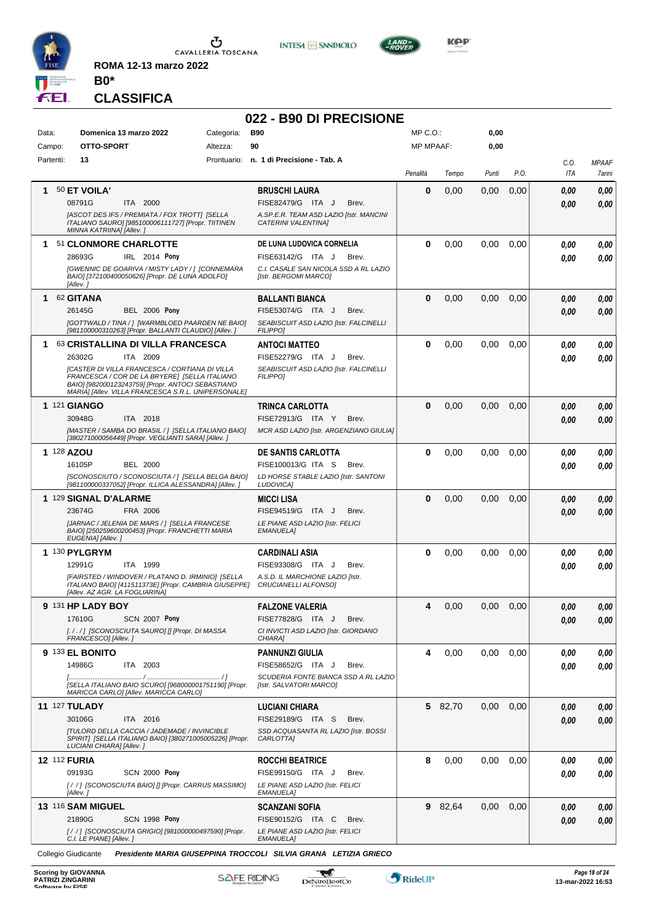

**INTESA M** SANPAOLO



**CLASSIFICA**

**B0\***

**ROMA 12-13 marzo 2022**

## **022 - B90 DI PRECISIONE**

| Data:<br>Campo:      | Domenica 13 marzo 2022<br>OTTO-SPORT                                                                                                                                                                               | Categoria:<br>Altezza: | <b>B90</b><br>90                                                                     | MP C. O.<br><b>MP MPAAF:</b> |         | 0,00<br>0,00 |      |      |              |
|----------------------|--------------------------------------------------------------------------------------------------------------------------------------------------------------------------------------------------------------------|------------------------|--------------------------------------------------------------------------------------|------------------------------|---------|--------------|------|------|--------------|
| Partenti:            | 13                                                                                                                                                                                                                 |                        | Prontuario: n. 1 di Precisione - Tab. A                                              |                              |         |              |      | C.O. | <b>MPAAF</b> |
|                      |                                                                                                                                                                                                                    |                        |                                                                                      | Penalità                     | Tempo   | Punti        | P.O. | ITA  | 7anni        |
| 1                    | 50 ET VOILA'                                                                                                                                                                                                       |                        | <b>BRUSCHI LAURA</b>                                                                 | 0                            | 0,00    | 0,00         | 0,00 | 0.00 | 0,00         |
|                      | 08791G<br>ITA 2000                                                                                                                                                                                                 |                        | FISE82479/G ITA J<br>Brev.                                                           |                              |         |              |      | 0.00 | 0,00         |
|                      | [ASCOT DES IFS / PREMIATA / FOX TROTT] [SELLA<br>ITALIANO SAURO] [985100006111727] [Propr. TIITINEN<br>MINNA KATRIINA] [Allev.]                                                                                    |                        | A.SP.E.R. TEAM ASD LAZIO [Istr. MANCINI<br>CATERINI VALENTINA]                       |                              |         |              |      |      |              |
|                      | 1 51 CLONMORE CHARLOTTE                                                                                                                                                                                            |                        | DE LUNA LUDOVICA CORNELIA                                                            | 0                            | 0,00    | 0,00         | 0,00 | 0.00 | 0,00         |
|                      | 28693G<br>IRL 2014 Pony                                                                                                                                                                                            |                        | FISE63142/G ITA J<br>Brev.                                                           |                              |         |              |      | 0.00 | 0,00         |
|                      | [GWENNIC DE GOARIVA / MISTY LADY / ] [CONNEMARA<br>BAIO] [372100400050626] [Propr. DE LUNA ADOLFO]<br>[Allev.]                                                                                                     |                        | C.I. CASALE SAN NICOLA SSD A RL LAZIO<br>[Istr. BERGOMI MARCO]                       |                              |         |              |      |      |              |
| 1                    | 62 GITANA                                                                                                                                                                                                          |                        | <b>BALLANTI BIANCA</b>                                                               | $\bf{0}$                     | 0,00    | 0,00         | 0,00 | 0.00 | 0,00         |
|                      | <b>BEL 2006 Pony</b><br>26145G                                                                                                                                                                                     |                        | FISE53074/G ITA J<br>Brev.                                                           |                              |         |              |      | 0.00 | 0,00         |
|                      | [GOTTWALD / TINA / ] [WARMBLOED PAARDEN NE BAIO]<br>[981100000310263] [Propr. BALLANTI CLAUDIO] [Allev. ]                                                                                                          |                        | SEABISCUIT ASD LAZIO [Istr. FALCINELLI<br><b>FILIPPO]</b>                            |                              |         |              |      |      |              |
|                      | 1 63 CRISTALLINA DI VILLA FRANCESCA                                                                                                                                                                                |                        | <b>ANTOCI MATTEO</b>                                                                 | 0                            | 0,00    | 0,00         | 0,00 | 0.00 | 0,00         |
|                      | 26302G<br>ITA 2009                                                                                                                                                                                                 |                        | FISE52279/G ITA J<br>Brev.                                                           |                              |         |              |      | 0.00 | 0.00         |
|                      | <b>[CASTER DI VILLA FRANCESCA / CORTIANA DI VILLA</b><br>FRANCESCA / COR DE LA BRYERE] [SELLA ITALIANO<br>BAIO] [982000123243759] [Propr. ANTOCI SEBASTIANO<br>MARIA] [Allev. VILLA FRANCESCA S.R.L. UNIPERSONALE] |                        | SEABISCUIT ASD LAZIO [Istr. FALCINELLI<br><b>FILIPPO]</b>                            |                              |         |              |      |      |              |
| <b>1 121 GIANGO</b>  |                                                                                                                                                                                                                    |                        | TRINCA CARLOTTA                                                                      | 0                            | 0,00    | 0,00         | 0,00 | 0.00 | 0,00         |
|                      | 30948G<br>ITA 2018                                                                                                                                                                                                 |                        | FISE72913/G ITA Y<br>Brev.                                                           |                              |         |              |      | 0.00 | 0,00         |
|                      | [MASTER / SAMBA DO BRASIL / ] [SELLA ITALIANO BAIO]<br>[380271000056449] [Propr. VEGLIANTI SARA] [Allev. ]                                                                                                         |                        | MCR ASD LAZIO [Istr. ARGENZIANO GIULIA]                                              |                              |         |              |      |      |              |
| 1 128 AZOU           |                                                                                                                                                                                                                    |                        | <b>DE SANTIS CARLOTTA</b>                                                            | 0                            | 0,00    | 0,00         | 0.00 | 0.00 | 0,00         |
|                      | 16105P<br><b>BEL 2000</b>                                                                                                                                                                                          |                        | FISE100013/G ITA S<br>Brev.                                                          |                              |         |              |      | 0.00 | 0.00         |
|                      | [SCONOSCIUTO / SCONOSCIUTA / ] [SELLA BELGA BAIO]<br>[981100000337052] [Propr. ILLICA ALESSANDRA] [Allev.]                                                                                                         |                        | LD HORSE STABLE LAZIO [Istr. SANTONI<br>LUDOVICA]                                    |                              |         |              |      |      |              |
|                      | 1 129 SIGNAL D'ALARME                                                                                                                                                                                              |                        | <b>MICCI LISA</b>                                                                    | 0                            | 0,00    | 0,00         | 0,00 | 0.00 | 0,00         |
|                      | 23674G<br>FRA 2006                                                                                                                                                                                                 |                        | FISE94519/G ITA J<br>Brev.                                                           |                              |         |              |      | 0.00 | 0.00         |
|                      | [JARNAC / JELENIA DE MARS / ] [SELLA FRANCESE<br>BAIO] [250259600200453] [Propr. FRANCHETTI MARIA<br>EUGENIA] [Allev.]                                                                                             |                        | LE PIANE ASD LAZIO [Istr. FELICI<br><b>EMANUELA1</b>                                 |                              |         |              |      |      |              |
|                      | 1 130 PYLGRYM                                                                                                                                                                                                      |                        | <b>CARDINALI ASIA</b>                                                                | 0                            | 0,00    | 0,00         | 0,00 | 0.00 | 0,00         |
|                      | 12991G<br>ITA 1999                                                                                                                                                                                                 |                        | FISE93308/G ITA J<br>Brev.                                                           |                              |         |              |      | 0.00 | 0,00         |
|                      | [FAIRSTED / WINDOVER / PLATANO D. IRMINIO] [SELLA<br>ITALIANO BAIO] [411511373E] [Propr. CAMBRIA GIUSEPPE]<br>[Allev. AZ AGR. LA FOGLIARINA]                                                                       |                        | A.S.D. IL MARCHIONE LAZIO [Istr.<br>CRUCIANELLI ALFONSO]                             |                              |         |              |      |      |              |
|                      | <b>9 131 HP LADY BOY</b>                                                                                                                                                                                           |                        | <b>FALZONE VALERIA</b>                                                               | 4                            | 0,00    | 0,00         | 0,00 | 0.00 | 0,00         |
|                      | 17610G<br>SCN 2007 Pony                                                                                                                                                                                            |                        | FISE77828/G ITA J<br>Brev.                                                           |                              |         |              |      | 0,00 | 0,00         |
|                      | [././] [SCONOSCIUTA SAURO] [] [Propr. DI MASSA<br>FRANCESCO] [Allev.]                                                                                                                                              |                        | CI INVICTI ASD LAZIO [Istr. GIORDANO<br>CHIARA]                                      |                              |         |              |      |      |              |
|                      | 9 133 EL BONITO                                                                                                                                                                                                    |                        | <b>PANNUNZI GIULIA</b>                                                               | 4                            | 0,00    | 0,00         | 0,00 | 0.00 | 0,00         |
|                      | 14986G<br>ITA 2003                                                                                                                                                                                                 |                        | FISE58652/G ITA J<br>Brev.                                                           |                              |         |              |      | 0.00 | 0,00         |
|                      | ISELLA ITALIANO BAIO SCUROI (9680000017511901 IPropr.<br>MARICCA CARLO] [Allev. MARICCA CARLO]                                                                                                                     |                        | SCUDERIA FONTE BIANCA SSD A RL LAZIO<br>[Istr. SALVATORI MARCO]                      |                              |         |              |      |      |              |
| <b>11 127 TULADY</b> |                                                                                                                                                                                                                    |                        | <b>LUCIANI CHIARA</b>                                                                |                              | 5 82,70 | 0,00         | 0,00 | 0,00 | 0,00         |
|                      | 30106G<br>ITA 2016                                                                                                                                                                                                 |                        | FISE29189/G ITA S<br>Brev.                                                           |                              |         |              |      | 0,00 | 0,00         |
|                      | <b>[TULORD DELLA CACCIA / JADEMADE / INVINCIBLE</b><br>SPIRIT] [SELLA ITALIANO BAIO] [380271005005226] [Propr.<br>LUCIANI CHIARA] [Allev.]                                                                         |                        | SSD ACQUASANTA RL LAZIO [Istr. BOSSI<br>CARLOTTA]                                    |                              |         |              |      |      |              |
| <b>12 112 FURIA</b>  |                                                                                                                                                                                                                    |                        | <b>ROCCHI BEATRICE</b>                                                               | 8                            | 0,00    | 0,00         | 0,00 | 0,00 | 0,00         |
|                      | 09193G<br><b>SCN 2000 Pony</b>                                                                                                                                                                                     |                        | FISE99150/G ITA J<br>Brev.                                                           |                              |         |              |      | 0.00 | 0,00         |
|                      | [//] [SCONOSCIUTA BAIO] [] [Propr. CARRUS MASSIMO]<br>[Allev.]                                                                                                                                                     |                        | LE PIANE ASD LAZIO [Istr. FELICI<br><b>EMANUELA]</b>                                 |                              |         |              |      |      |              |
|                      | <b>13 116 SAM MIGUEL</b>                                                                                                                                                                                           |                        | <b>SCANZANI SOFIA</b>                                                                |                              | 9 82,64 | 0,00         | 0,00 | 0,00 | 0,00         |
|                      | 21890G<br><b>SCN 1998 Pony</b>                                                                                                                                                                                     |                        | FISE90152/G ITA C<br>Brev.                                                           |                              |         |              |      | 0.00 | 0,00         |
|                      | [/ /] [SCONOSCIUTA GRIGIO] [981000000497590] [Propr.<br>C.I. LE PIANE] [Allev. ]                                                                                                                                   |                        | LE PIANE ASD LAZIO [Istr. FELICI<br><b>EMANUELA]</b>                                 |                              |         |              |      |      |              |
|                      |                                                                                                                                                                                                                    |                        | Collegio Giudicante Presidente MARIA GIUSEPPINA TROCCOLI SILVIA GRANA LETIZIA GRIECO |                              |         |              |      |      |              |

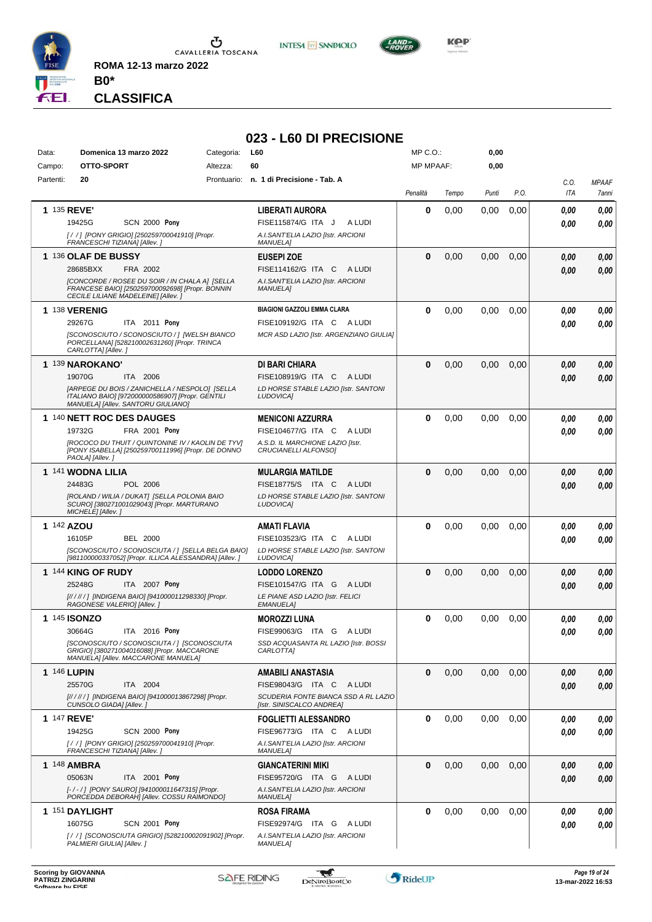

**INTESA M** SANPAOLO

**023 - L60 DI PRECISIONE**



*Presidente MARIA GIUSEPPINA TROCCOLI SILVIA GRANA LETIZIA GRIECO* **CLASSIFICA**

**B0\***

| Data:              | Domenica 13 marzo 2022<br>OTTO-SPORT                                                                                                     |          | L60<br>Categoria:                                                 |          | MP C.O.:<br><b>MP MPAAF:</b> |       | 0,00 |                    |                       |
|--------------------|------------------------------------------------------------------------------------------------------------------------------------------|----------|-------------------------------------------------------------------|----------|------------------------------|-------|------|--------------------|-----------------------|
| Campo:             |                                                                                                                                          | Altezza: | 60                                                                |          |                              | 0,00  |      |                    |                       |
| Partenti:          | 20                                                                                                                                       |          | Prontuario: n. 1 di Precisione - Tab. A                           | Penalità | Tempo                        | Punti | P.O. | C.O.<br><b>ITA</b> | <b>MPAAF</b><br>7anni |
| 1 135 REVE'        |                                                                                                                                          |          | <b>LIBERATI AURORA</b>                                            | 0        | 0,00                         | 0,00  | 0,00 | 0.00               | 0.00                  |
|                    | 19425G<br><b>SCN 2000 Pony</b>                                                                                                           |          | A LUDI<br>FISE115874/G ITA J                                      |          |                              |       |      | 0.00               | 0.00                  |
|                    | [/ /] [PONY GRIGIO] [250259700041910] [Propr.<br>FRANCESCHI TIZIANA] [Allev.]                                                            |          | A.I.SANT'ELIA LAZIO [Istr. ARCIONI<br><b>MANUELA1</b>             |          |                              |       |      |                    |                       |
|                    | 1 136 OLAF DE BUSSY                                                                                                                      |          | <b>EUSEPI ZOE</b>                                                 | $\bf{0}$ | 0,00                         | 0,00  | 0,00 | 0,00               | 0,00                  |
|                    | FRA 2002<br>28685BXX                                                                                                                     |          | FISE114162/G ITA C<br>A LUDI                                      |          |                              |       |      | 0,00               | 0,00                  |
|                    | [CONCORDE / ROSEE DU SOIR / IN CHALA A] [SELLA<br>FRANCESE BAIO] [250259700092698] [Propr. BONNIN<br>CECILE LILIANE MADELEINE] [Allev.]  |          | A.I.SANT'ELIA LAZIO [Istr. ARCIONI<br><b>MANUELA1</b>             |          |                              |       |      |                    |                       |
|                    | 1 138 VERENIG                                                                                                                            |          | <b>BIAGIONI GAZZOLI EMMA CLARA</b>                                | 0        | 0,00                         | 0,00  | 0,00 | 0.00               | 0.00                  |
|                    | 29267G<br>ITA 2011 Pony                                                                                                                  |          | FISE109192/G ITA C<br>A LUDI                                      |          |                              |       |      | 0.00               | 0.00                  |
|                    | [SCONOSCIUTO / SCONOSCIUTO / ] [WELSH BIANCO<br>PORCELLANA] [528210002631260] [Propr. TRINCA<br>CARLOTTA] [Allev.]                       |          | MCR ASD LAZIO [Istr. ARGENZIANO GIULIA]                           |          |                              |       |      |                    |                       |
|                    | 1 139 NAROKANO'                                                                                                                          |          | DI BARI CHIARA                                                    | $\bf{0}$ | 0,00                         | 0,00  | 0,00 | 0.00               | 0,00                  |
|                    | 19070G<br>ITA 2006                                                                                                                       |          | FISE108919/G ITA C<br>A LUDI                                      |          |                              |       |      | 0.00               | 0.00                  |
|                    | [ARPEGE DU BOIS / ZANICHELLA / NESPOLO] [SELLA<br>ITALIANO BAIO] [972000000586907] [Propr. GENTILI<br>MANUELA] [Allev. SANTORU GIULIANO] |          | LD HORSE STABLE LAZIO [Istr. SANTONI<br>LUDOVICA]                 |          |                              |       |      |                    |                       |
|                    | <b>1 140 NETT ROC DES DAUGES</b>                                                                                                         |          | <b>MENICONI AZZURRA</b>                                           | $\bf{0}$ | 0,00                         | 0,00  | 0,00 | 0.00               | 0,00                  |
|                    | 19732G<br>FRA 2001 Pony                                                                                                                  |          | FISE104677/G ITA C<br>A LUDI                                      |          |                              |       |      | 0.00               | 0.00                  |
|                    | <b>IROCOCO DU THUIT / QUINTONINE IV / KAOLIN DE TYVI</b><br>[PONY ISABELLA] [250259700111996] [Propr. DE DONNO<br>PAOLA] [Allev. ]       |          | A.S.D. IL MARCHIONE LAZIO [Istr.<br>CRUCIANELLI ALFONSO]          |          |                              |       |      |                    |                       |
|                    | 1 141 WODNA LILIA                                                                                                                        |          | <b>MULARGIA MATILDE</b>                                           | $\bf{0}$ | 0,00                         | 0,00  | 0,00 | 0.00               | 0,00                  |
|                    | 24483G<br>POL 2006                                                                                                                       |          | FISE18775/S ITA C<br>A LUDI                                       |          |                              |       |      | 0.00               | 0.00                  |
|                    | [ROLAND / WILIA / DUKAT] [SELLA POLONIA BAIO<br>SCURO] [380271001029043] [Propr. MARTURANO<br>MICHELE] [Allev.]                          |          | LD HORSE STABLE LAZIO [Istr. SANTONI<br>LUDOVICA]                 |          |                              |       |      |                    |                       |
| 1 142 AZOU         |                                                                                                                                          |          | <b>AMATI FLAVIA</b>                                               | 0        | 0,00                         | 0,00  | 0,00 | 0,00               | 0,00                  |
|                    | <b>BEL 2000</b><br>16105P                                                                                                                |          | FISE103523/G ITA C<br>A LUDI                                      |          |                              |       |      | 0.00               | 0.00                  |
|                    | [SCONOSCIUTO / SCONOSCIUTA / ] [SELLA BELGA BAIO]<br>[981100000337052] [Propr. ILLICA ALESSANDRA] [Allev.]                               |          | LD HORSE STABLE LAZIO [Istr. SANTONI<br>LUDOVICA]                 |          |                              |       |      |                    |                       |
|                    | 1 144 KING OF RUDY                                                                                                                       |          | <b>LODDO LORENZO</b>                                              | $\bf{0}$ | 0,00                         | 0,00  | 0,00 | 0,00               | 0,00                  |
|                    | 25248G<br>ITA 2007 Pony                                                                                                                  |          | FISE101547/G ITA G<br>A LUDI                                      |          |                              |       |      | 0.00               | 0.00                  |
|                    | [////// ] [INDIGENA BAIO] [941000011298330] [Propr.<br>RAGONESE VALERIO] [Allev.]                                                        |          | LE PIANE ASD LAZIO [Istr. FELICI<br><b>EMANUELA]</b>              |          |                              |       |      |                    |                       |
|                    | <b>1 145 ISONZO</b>                                                                                                                      |          | <b>MOROZZI LUNA</b>                                               | $\bf{0}$ | 0,00                         | 0.00  | 0,00 | 0.00               | 0,00                  |
|                    | 30664G<br>ITA 2016 Pony                                                                                                                  |          | FISE99063/G ITA G<br>A LUDI                                       |          |                              |       |      | 0.00               | 0.00                  |
|                    | [SCONOSCIUTO / SCONOSCIUTA / ] [SCONOSCIUTA<br>GRIGIO] [380271004016088] [Propr. MACCARONE<br>MANUELA] [Allev. MACCARONE MANUELA]        |          | SSD ACQUASANTA RL LAZIO [Istr. BOSSI<br>CARLOTTA]                 |          |                              |       |      |                    |                       |
| <b>1 146 LUPIN</b> |                                                                                                                                          |          | AMABILI ANASTASIA                                                 | $\bf{0}$ | 0,00                         | 0,00  | 0,00 | 0,00               | 0,00                  |
|                    | 25570G<br>ITA 2004                                                                                                                       |          | FISE98043/G ITA C<br>A LUDI                                       |          |                              |       |      | 0.00               | 0,00                  |
|                    | [// / // / ] [INDIGENA BAIO] [941000013867298] [Propr.<br>CUNSOLO GIADA] [Allev.]                                                        |          | SCUDERIA FONTE BIANCA SSD A RL LAZIO<br>[Istr. SINISCALCO ANDREA] |          |                              |       |      |                    |                       |
| <b>1 147 REVE'</b> |                                                                                                                                          |          | <b>FOGLIETTI ALESSANDRO</b>                                       | 0        | 0,00                         | 0,00  | 0,00 | 0.00               | 0,00                  |
|                    | 19425G<br><b>SCN 2000 Pony</b>                                                                                                           |          | FISE96773/G ITA C ALUDI                                           |          |                              |       |      | 0.00               | 0,00                  |
|                    | [/ /] [PONY GRIGIO] [250259700041910] [Propr.<br>FRANCESCHI TIZIANA] [Allev.]                                                            |          | A.I.SANT'ELIA LAZIO [Istr. ARCIONI<br><b>MANUELA]</b>             |          |                              |       |      |                    |                       |
|                    | 1 148 AMBRA                                                                                                                              |          | <b>GIANCATERINI MIKI</b>                                          | $\bf{0}$ | 0,00                         | 0,00  | 0,00 | 0,00               | 0,00                  |
|                    | 05063N<br>ITA 2001 Pony                                                                                                                  |          | FISE95720/G ITA G ALUDI                                           |          |                              |       |      | 0,00               | 0,00                  |
|                    | [-/-/] [PONY SAURO] [941000011647315] [Propr.<br>PORCEDDA DEBORAH] [Allev. COSSU RAIMONDO]                                               |          | A.I.SANT'ELIA LAZIO [Istr. ARCIONI<br><b>MANUELA]</b>             |          |                              |       |      |                    |                       |
|                    | 1 151 DAYLIGHT                                                                                                                           |          | <b>ROSA FIRAMA</b>                                                | 0        | 0,00                         | 0,00  | 0,00 | 0,00               | 0,00                  |
|                    | 16075G<br><b>SCN 2001 Pony</b>                                                                                                           |          | FISE92974/G ITA G ALUDI                                           |          |                              |       |      | 0,00               | 0,00                  |
|                    | [/ / ] [SCONOSCIUTA GRIGIO] [528210002091902] [Propr.<br>PALMIERI GIULIA] [Allev.]                                                       |          | A.I.SANT'ELIA LAZIO [Istr. ARCIONI<br><b>MANUELA]</b>             |          |                              |       |      |                    |                       |

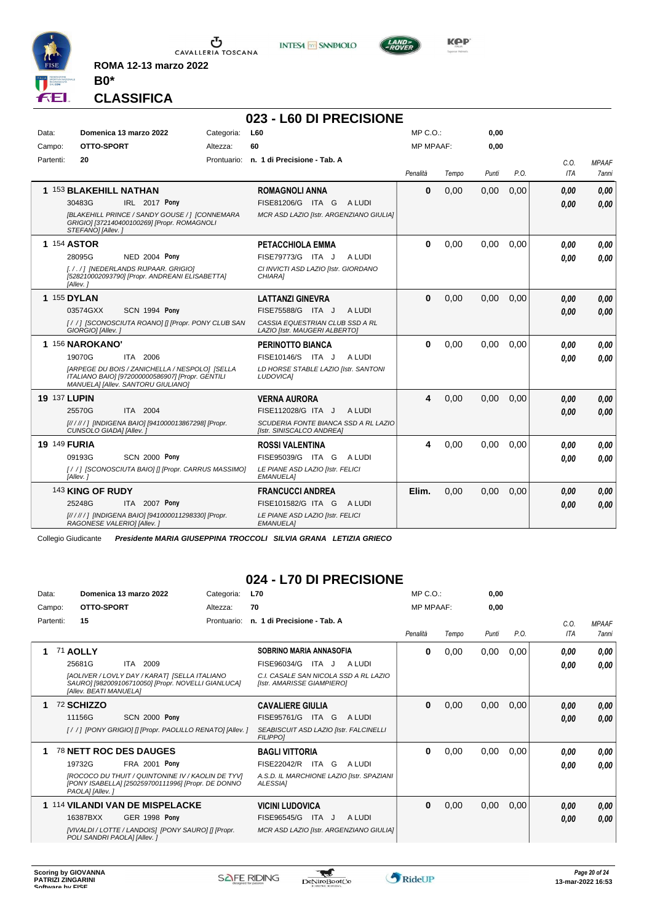

**INTESA** M SANPAOLO



**Kep** 

### **CLASSIFICA**

**B0\***

**ROMA 12-13 marzo 2022**

|                     |                                                                                                                                          |            | 023 - L60 DI PRECISIONE                                           |                  |       |       |      |      |              |
|---------------------|------------------------------------------------------------------------------------------------------------------------------------------|------------|-------------------------------------------------------------------|------------------|-------|-------|------|------|--------------|
| Data:               | Domenica 13 marzo 2022                                                                                                                   | Categoria: | L60                                                               | $MP C. O.$ :     |       | 0,00  |      |      |              |
| Campo:              | OTTO-SPORT                                                                                                                               | Altezza:   | 60                                                                | <b>MP MPAAF:</b> |       | 0.00  |      |      |              |
| Partenti:           | 20                                                                                                                                       |            | Prontuario: n. 1 di Precisione - Tab. A                           |                  |       |       |      | C.0. | <b>MPAAF</b> |
|                     |                                                                                                                                          |            |                                                                   | Penalità         | Tempo | Punti | P.O. | ITA  | 7anni        |
|                     | 1 153 BLAKEHILL NATHAN                                                                                                                   |            | <b>ROMAGNOLI ANNA</b>                                             | $\bf{0}$         | 0,00  | 0,00  | 0,00 | 0.00 | 0.00         |
|                     | 30483G<br>IRL 2017 Pony                                                                                                                  |            | FISE81206/G ITA G<br>A LUDI                                       |                  |       |       |      | 0.00 | 0.00         |
|                     | [BLAKEHILL PRINCE / SANDY GOUSE / ] [CONNEMARA<br>GRIGIO] [372140400100269] [Propr. ROMAGNOLI<br>STEFANO] [Allev.]                       |            | MCR ASD LAZIO [Istr. ARGENZIANO GIULIA]                           |                  |       |       |      |      |              |
|                     | <b>1 154 ASTOR</b>                                                                                                                       |            | PETACCHIOLA EMMA                                                  | $\bf{0}$         | 0,00  | 0,00  | 0,00 | 0.00 | 0.00         |
|                     | NED 2004 Pony<br>28095G                                                                                                                  |            | FISE79773/G ITA J<br>A LUDI                                       |                  |       |       |      | 0.00 | 0.00         |
|                     | [././] [NEDERLANDS RIJPAAR. GRIGIO]<br>[528210002093790] [Propr. ANDREANI ELISABETTA]<br>[Allev.]                                        |            | CI INVICTI ASD LAZIO [Istr. GIORDANO<br>CHIARA1                   |                  |       |       |      |      |              |
|                     | <b>1 155 DYLAN</b>                                                                                                                       |            | <b>LATTANZI GINEVRA</b>                                           | $\bf{0}$         | 0,00  | 0,00  | 0.00 | 0.00 | 0.00         |
|                     | <b>SCN 1994 Pony</b><br>03574GXX                                                                                                         |            | FISE75588/G ITA J<br>A LUDI                                       |                  |       |       |      | 0.00 | 0.00         |
|                     | [//] ISCONOSCIUTA ROANO] [] [Propr. PONY CLUB SAN<br>GIORGIO] [Allev.]                                                                   |            | CASSIA EQUESTRIAN CLUB SSD A RL<br>LAZIO [Istr. MAUGERI ALBERTO]  |                  |       |       |      |      |              |
|                     | 1 156 NAROKANO'                                                                                                                          |            | <b>PERINOTTO BIANCA</b>                                           | $\bf{0}$         | 0.00  | 0,00  | 0.00 | 0.00 | 0.00         |
|                     | 19070G<br>ITA 2006                                                                                                                       |            | FISE10146/S ITA J<br>A LUDI                                       |                  |       |       |      | 0.00 | 0.00         |
|                     | [ARPEGE DU BOIS / ZANICHELLA / NESPOLO] [SELLA<br>ITALIANO BAIO] [972000000586907] [Propr. GENTILI<br>MANUELA] [Allev. SANTORU GIULIANO] |            | LD HORSE STABLE LAZIO [Istr. SANTONI<br><b>LUDOVICAI</b>          |                  |       |       |      |      |              |
| <b>19 137 LUPIN</b> |                                                                                                                                          |            | <b>VERNA AURORA</b>                                               | 4                | 0,00  | 0,00  | 0.00 | 0,00 | 0,00         |
|                     | ITA 2004<br>25570G                                                                                                                       |            | FISE112028/G ITA J<br>A LUDI                                      |                  |       |       |      | 0.00 | 0,00         |
|                     | [////// ] [INDIGENA BAIO] [941000013867298] [Propr.<br>CUNSOLO GIADA] [Allev.]                                                           |            | SCUDERIA FONTE BIANCA SSD A RL LAZIO<br>[Istr. SINISCALCO ANDREA] |                  |       |       |      |      |              |
| 19 149 FURIA        |                                                                                                                                          |            | <b>ROSSI VALENTINA</b>                                            | 4                | 0,00  | 0,00  | 0.00 | 0.00 | 0.00         |
|                     | <b>SCN 2000 Pony</b><br>09193G                                                                                                           |            | FISE95039/G ITA G<br>A LUDI                                       |                  |       |       |      | 0.00 | 0.00         |
|                     | [//] [SCONOSCIUTA BAIO] [] [Propr. CARRUS MASSIMO]<br>[Allev.]                                                                           |            | LE PIANE ASD LAZIO [Istr. FELICI<br><b>EMANUELA]</b>              |                  |       |       |      |      |              |
|                     | 143 KING OF RUDY                                                                                                                         |            | <b>FRANCUCCI ANDREA</b>                                           | Elim.            | 0,00  | 0,00  | 0,00 | 0,00 | 0.00         |
|                     | 25248G<br>ITA 2007 Pony                                                                                                                  |            | FISE101582/G ITA G<br>A LUDI                                      |                  |       |       |      | 0,00 | 0.00         |
|                     | [// / // / ] [INDIGENA BAIO] [941000011298330] [Propr.<br>RAGONESE VALERIO] [Allev.]                                                     |            | LE PIANE ASD LAZIO [Istr. FELICI<br><b>EMANUELA]</b>              |                  |       |       |      |      |              |

Collegio Giudicante *Presidente MARIA GIUSEPPINA TROCCOLI SILVIA GRANA LETIZIA GRIECO*

## **024 - L70 DI PRECISIONE**

| Data:  |           | Domenica 13 marzo 2022                                                                                                                                                          | Categoria:  | <b>L70</b>                                                                                                                       | MP C. O.         |       | 0,00  |      |              |                       |
|--------|-----------|---------------------------------------------------------------------------------------------------------------------------------------------------------------------------------|-------------|----------------------------------------------------------------------------------------------------------------------------------|------------------|-------|-------|------|--------------|-----------------------|
| Campo: |           | OTTO-SPORT                                                                                                                                                                      | Altezza:    | 70                                                                                                                               | <b>MP MPAAF:</b> |       | 0,00  |      |              |                       |
|        | Partenti: | 15                                                                                                                                                                              | Prontuario: | n. 1 di Precisione - Tab. A                                                                                                      | Penalità         | Tempo | Punti | P.O. | C.0.<br>ITA  | <b>MPAAF</b><br>7anni |
|        |           | 71 AOLLY<br>25681G<br>2009<br>ITA<br>[AOLIVER / LOVLY DAY / KARAT] [SELLA ITALIANO<br>SAURO] [982009106710050] [Propr. NOVELLI GIANLUCA]<br><b>IAlley, BEATI MANUELAI</b>       |             | SOBRINO MARIA ANNASOFIA<br>FISE96034/G<br>A LUDI<br>ITA J<br>C.I. CASALE SAN NICOLA SSD A RL LAZIO<br>[Istr. AMARISSE GIAMPIERO] | 0                | 0,00  | 0,00  | 0,00 | 0.00<br>0,00 | 0,00<br>0,00          |
|        |           | 72 SCHIZZO<br><b>SCN 2000 Pony</b><br>11156G<br>[//] [PONY GRIGIO] [] [Propr. PAOLILLO RENATO] [Allev.]                                                                         |             | <b>CAVALIERE GIULIA</b><br>FISE95761/G<br>ITA G<br>A LUDI<br>SEABISCUIT ASD LAZIO [Istr. FALCINELLI<br><b>FILIPPO1</b>           | $\bf{0}$         | 0,00  | 0,00  | 0,00 | 0,00<br>0,00 | 0,00<br>0,00          |
|        |           | 78 NETT ROC DES DAUGES<br>FRA 2001 Pony<br>19732G<br>IROCOCO DU THUIT / QUINTONINE IV / KAOLIN DE TYVI<br>[PONY ISABELLA] [250259700111996] [Propr. DE DONNO<br>PAOLA] [Allev.] |             | <b>BAGLI VITTORIA</b><br>FISE22042/R ITA G<br>A LUDI<br>A.S.D. IL MARCHIONE LAZIO [Istr. SPAZIANI<br>ALESSIA]                    | 0                | 0,00  | 0,00  | 0,00 | 0.00<br>0.00 | 0,00<br>0,00          |
|        |           | 1 114 VILANDI VAN DE MISPELACKE<br>16387BXX<br><b>GER 1998 Pony</b><br>[VIVALDI / LOTTE / LANDOIS] [PONY SAURO] [] [Propr.<br>POLI SANDRI PAOLA] [Allev.]                       |             | <b>VICINI LUDOVICA</b><br>FISE96545/G<br>ITA J<br>A LUDI<br>MCR ASD LAZIO [Istr. ARGENZIANO GIULIA]                              | 0                | 0,00  | 0,00  | 0,00 | 0,00<br>0,00 | 0,00<br>0,00          |

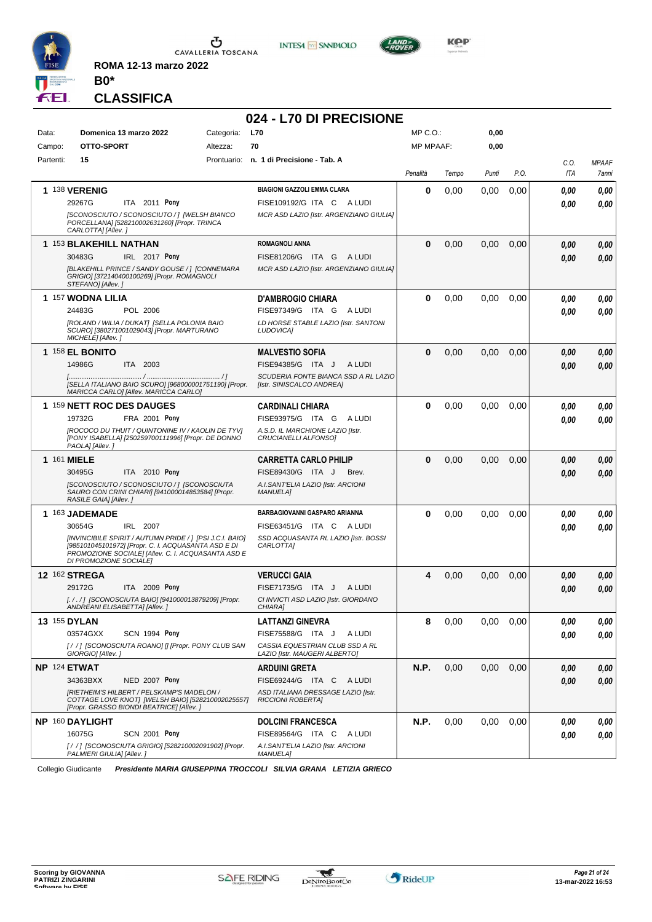

**INTESA** M SANPAOLO



**CLASSIFICA**

**B0\***

**ROMA 12-13 marzo 2022**

# **024 - L70 DI PRECISIONE**

| Data:     | Domenica 13 marzo 2022                                                                                                                                                                          | <b>L70</b><br>Categoria:                                          | MP C. O.         |       | 0,00  |      |             |                       |
|-----------|-------------------------------------------------------------------------------------------------------------------------------------------------------------------------------------------------|-------------------------------------------------------------------|------------------|-------|-------|------|-------------|-----------------------|
| Campo:    | OTTO-SPORT<br>Altezza:                                                                                                                                                                          | 70                                                                | <b>MP MPAAF:</b> |       | 0,00  |      |             |                       |
| Partenti: | 15                                                                                                                                                                                              | Prontuario: n. 1 di Precisione - Tab. A                           | Penalità         | Tempo | Punti | P.O. | C.O.<br>ITA | <b>MPAAF</b><br>7anni |
|           | 1 138 VERENIG                                                                                                                                                                                   | <b>BIAGIONI GAZZOLI EMMA CLARA</b>                                | 0                | 0,00  | 0,00  | 0,00 | 0.00        | 0,00                  |
|           | 29267G<br>ITA 2011 Pony                                                                                                                                                                         | FISE109192/G ITA C<br>A LUDI                                      |                  |       |       |      | 0.00        | 0,00                  |
|           | [SCONOSCIUTO / SCONOSCIUTO / ] [WELSH BIANCO<br>PORCELLANA] [528210002631260] [Propr. TRINCA<br>CARLOTTA] [Allev.]                                                                              | MCR ASD LAZIO [Istr. ARGENZIANO GIULIA]                           |                  |       |       |      |             |                       |
|           | 1 153 BLAKEHILL NATHAN                                                                                                                                                                          | <b>ROMAGNOLI ANNA</b>                                             | $\bf{0}$         | 0,00  | 0,00  | 0,00 | 0,00        | 0,00                  |
|           | 30483G<br>IRL 2017 Pony                                                                                                                                                                         | FISE81206/G ITA G<br>A LUDI                                       |                  |       |       |      | 0,00        | 0,00                  |
|           | [BLAKEHILL PRINCE / SANDY GOUSE / ] [CONNEMARA<br>GRIGIO] [372140400100269] [Propr. ROMAGNOLI<br>STEFANO] [Allev.]                                                                              | MCR ASD LAZIO [Istr. ARGENZIANO GIULIA]                           |                  |       |       |      |             |                       |
|           | 1 157 WODNA LILIA                                                                                                                                                                               | <b>D'AMBROGIO CHIARA</b>                                          | 0                | 0,00  | 0,00  | 0.00 | 0,00        | 0,00                  |
|           | 24483G<br>POL 2006                                                                                                                                                                              | FISE97349/G ITA G<br>A LUDI                                       |                  |       |       |      | 0.00        | 0,00                  |
|           | [ROLAND / WILIA / DUKAT] [SELLA POLONIA BAIO<br>SCURO] [380271001029043] [Propr. MARTURANO<br>MICHELE] [Allev.]                                                                                 | LD HORSE STABLE LAZIO [Istr. SANTONI<br>LUDOVICA]                 |                  |       |       |      |             |                       |
|           | 1 158 EL BONITO                                                                                                                                                                                 | <b>MALVESTIO SOFIA</b>                                            | 0                | 0,00  | 0,00  | 0,00 | 0.00        | 0,00                  |
|           | 14986G<br>ITA 2003                                                                                                                                                                              | FISE94385/G ITA J<br>A LUDI                                       |                  |       |       |      | 0.00        | 0,00                  |
|           | [SELLA ITALIANO BAIO SCURO] [968000001751190] [Propr.<br>MARICCA CARLO] [Allev. MARICCA CARLO]                                                                                                  | SCUDERIA FONTE BIANCA SSD A RL LAZIO<br>[Istr. SINISCALCO ANDREA] |                  |       |       |      |             |                       |
|           | 1 159 NETT ROC DES DAUGES                                                                                                                                                                       | <b>CARDINALI CHIARA</b>                                           | 0                | 0,00  | 0,00  | 0,00 | 0.00        | 0,00                  |
|           | FRA 2001 Pony<br>19732G                                                                                                                                                                         | FISE93975/G ITA G<br>A LUDI                                       |                  |       |       |      | 0.00        | 0,00                  |
|           | [ROCOCO DU THUIT / QUINTONINE IV / KAOLIN DE TYV]<br>[PONY ISABELLA] [250259700111996] [Propr. DE DONNO<br>PAOLA] [Allev. ]                                                                     | A.S.D. IL MARCHIONE LAZIO [Istr.<br>CRUCIANELLI ALFONSO1          |                  |       |       |      |             |                       |
|           | 1 161 MIELE                                                                                                                                                                                     | <b>CARRETTA CARLO PHILIP</b>                                      | $\bf{0}$         | 0,00  | 0,00  | 0,00 | 0,00        | 0,00                  |
|           | 30495G<br>ITA 2010 Pony                                                                                                                                                                         | FISE89430/G ITA J<br>Brev.                                        |                  |       |       |      | 0.00        | 0,00                  |
|           | [SCONOSCIUTO / SCONOSCIUTO / ] [SCONOSCIUTA<br>SAURO CON CRINI CHIARI] [941000014853584] [Propr.<br>RASILE GAIA] [Allev.]                                                                       | A.I.SANT'ELIA LAZIO [Istr. ARCIONI<br><b>MANUELA1</b>             |                  |       |       |      |             |                       |
|           | 1 163 JADEMADE                                                                                                                                                                                  | BARBAGIOVANNI GASPARO ARIANNA                                     | 0                | 0,00  | 0,00  | 0,00 | 0,00        | 0,00                  |
|           | 30654G<br>IRL 2007                                                                                                                                                                              | FISE63451/G ITA C ALUDI                                           |                  |       |       |      | 0,00        | 0,00                  |
|           | [INVINCIBILE SPIRIT / AUTUMN PRIDE / ] [PSI J.C.I. BAIO]<br>[985101045101972] [Propr. C. I. ACQUASANTA ASD E DI<br>PROMOZIONE SOCIALE] [Allev. C. I. ACQUASANTA ASD E<br>DI PROMOZIONE SOCIALE] | SSD ACQUASANTA RL LAZIO [Istr. BOSSI<br>CARLOTTA]                 |                  |       |       |      |             |                       |
|           | 12 162 STREGA                                                                                                                                                                                   | <b>VERUCCI GAIA</b>                                               | 4                | 0,00  | 0,00  | 0,00 | 0,00        | 0,00                  |
|           | 29172G<br>ITA 2009 Pony                                                                                                                                                                         | FISE71735/G ITA J<br>A LUDI                                       |                  |       |       |      | 0.00        | 0,00                  |
|           | [././] [SCONOSCIUTA BAIO] [941000013879209] [Propr.<br>ANDREANI ELISABETTA] [Allev.]                                                                                                            | CI INVICTI ASD LAZIO [Istr. GIORDANO<br>CHIARA]                   |                  |       |       |      |             |                       |
|           | <b>13 155 DYLAN</b>                                                                                                                                                                             | <b>LATTANZI GINEVRA</b>                                           | 8                | 0,00  | 0,00  | 0,00 | 0,00        | 0,00                  |
|           | 03574GXX<br>SCN 1994 Pony                                                                                                                                                                       | FISE75588/G ITA J<br>A LUDI                                       |                  |       |       |      | 0,00        | 0,00                  |
|           | [//] [SCONOSCIUTA ROANO] [] [Propr. PONY CLUB SAN<br>GIORGIO] [Allev.]                                                                                                                          | CASSIA EQUESTRIAN CLUB SSD A RL<br>LAZIO [Istr. MAUGERI ALBERTO]  |                  |       |       |      |             |                       |
|           | NP 124 ETWAT                                                                                                                                                                                    | ARDUINI GRETA                                                     | N.P.             | 0,00  | 0,00  | 0,00 | 0,00        | 0,00                  |
|           | 34363BXX<br><b>NED 2007 Pony</b>                                                                                                                                                                | FISE69244/G ITA C ALUDI<br>ASD ITALIANA DRESSAGE LAZIO [Istr.     |                  |       |       |      | 0,00        | 0,00                  |
|           | [RIETHEIM'S HILBERT / PELSKAMP'S MADELON /<br>COTTAGE LOVE KNOT  [WELSH BAIO] [528210002025557]<br>[Propr. GRASSO BIONDI BEATRICE] [Allev.]                                                     | <b>RICCIONI ROBERTAI</b>                                          |                  |       |       |      |             |                       |
|           | NP 160 DAYLIGHT                                                                                                                                                                                 | <b>DOLCINI FRANCESCA</b>                                          | N.P.             | 0,00  | 0,00  | 0,00 | 0.00        | 0,00                  |
|           | 16075G<br><b>SCN 2001 Pony</b>                                                                                                                                                                  | FISE89564/G ITA C<br>A LUDI                                       |                  |       |       |      | 0,00        | 0,00                  |
|           | [/ / ] [SCONOSCIUTA GRIGIO] [528210002091902] [Propr.<br>PALMIERI GIULIA] [Allev.]                                                                                                              | A.I.SANT'ELIA LAZIO [Istr. ARCIONI<br><b>MANUELA]</b>             |                  |       |       |      |             |                       |

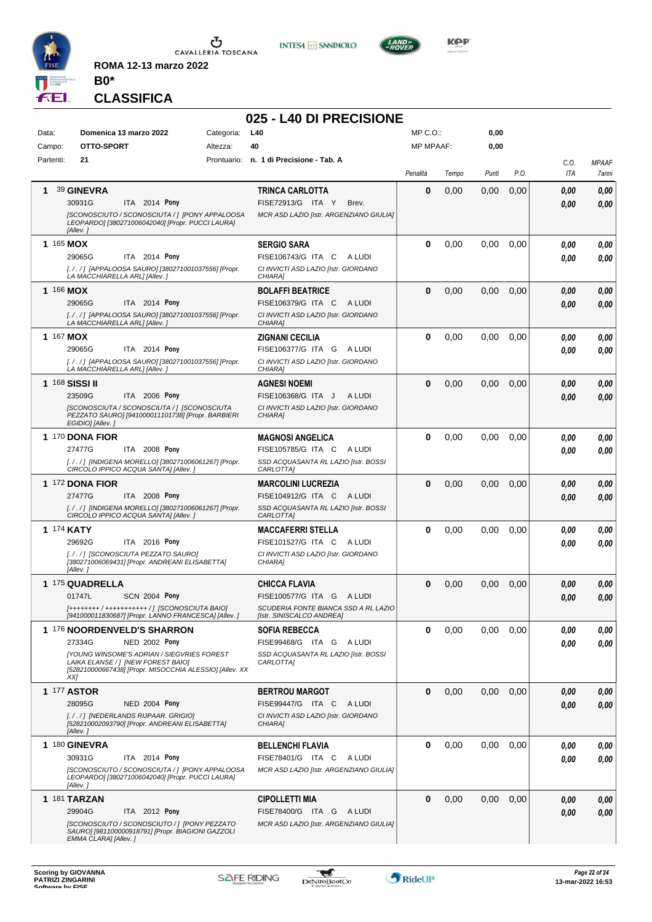

**INTESA M** SANPAOLO



**KOP** 

## **CLASSIFICA**

**B0\***

**ROMA 12-13 marzo 2022**

|                |                                                                                                                      |            | 025 - L40 DI PRECISIONE                                              |                  |       |       |      |             |                       |
|----------------|----------------------------------------------------------------------------------------------------------------------|------------|----------------------------------------------------------------------|------------------|-------|-------|------|-------------|-----------------------|
| Data:          | Domenica 13 marzo 2022                                                                                               | Categoria: | L40                                                                  | MP C.O.:         |       | 0,00  |      |             |                       |
| Campo:         | OTTO-SPORT                                                                                                           | Altezza:   | 40                                                                   | <b>MP MPAAF:</b> |       | 0,00  |      |             |                       |
| Partenti:      | 21                                                                                                                   |            | Prontuario: n. 1 di Precisione - Tab. A                              | Penalità         | Tempo | Punti | P.O. | C.O.<br>ITA | <b>MPAAF</b><br>7anni |
| 1              | 39 GINEVRA                                                                                                           |            | <b>TRINCA CARLOTTA</b>                                               | $\bf{0}$         | 0,00  | 0,00  | 0,00 | 0,00        | 0,00                  |
|                | 30931G<br>ITA 2014 Pony                                                                                              |            | FISE72913/G ITA Y<br>Brev.                                           |                  |       |       |      | 0.00        | 0.00                  |
|                | [SCONOSCIUTO / SCONOSCIUTA / ] [PONY APPALOOSA<br>LEOPARDO] [380271006042040] [Propr. PUCCI LAURA]<br>[Allev.]       |            | MCR ASD LAZIO [Istr. ARGENZIANO GIULIA]                              |                  |       |       |      |             |                       |
| 1 165 MOX      |                                                                                                                      |            | <b>SERGIO SARA</b>                                                   | $\bf{0}$         | 0,00  | 0,00  | 0,00 | 0,00        | 0,00                  |
|                | 29065G<br>ITA 2014 Pony                                                                                              |            | FISE106743/G ITA C<br>A LUDI                                         |                  |       |       |      | 0.00        | 0.00                  |
|                | [././] [APPALOOSA SAURO] [380271001037556] [Propr.<br>LA MACCHIARELLA ARLI [Allev.]                                  |            | CI INVICTI ASD LAZIO [Istr. GIORDANO<br>CHIARA1                      |                  |       |       |      |             |                       |
| 1 166 MOX      |                                                                                                                      |            | <b>BOLAFFI BEATRICE</b>                                              | $\bf{0}$         | 0,00  | 0,00  | 0,00 | 0,00        | 0,00                  |
|                | 29065G<br>ITA 2014 Pony                                                                                              |            | FISE106379/G ITA C<br>A LUDI                                         |                  |       |       |      | 0.00        | 0,00                  |
|                | [././] [APPALOOSA SAURO] [380271001037556] [Propr.<br>LA MACCHIARELLA ARL] [Allev. ]                                 |            | CI INVICTI ASD LAZIO [Istr. GIORDANO<br>CHIARA]                      |                  |       |       |      |             |                       |
| 1 167 MOX      |                                                                                                                      |            | <b>ZIGNANI CECILIA</b>                                               | 0                | 0,00  | 0,00  | 0,00 | 0,00        | 0,00                  |
|                | 29065G<br>ITA 2014 Pony                                                                                              |            | FISE106377/G ITA G<br>A LUDI                                         |                  |       |       |      | 0.00        | 0.00                  |
|                | [././] [APPALOOSA SAURO] [380271001037556] [Propr.<br>LA MACCHIARELLA ARL] [Allev. ]                                 |            | CI INVICTI ASD LAZIO [Istr. GIORDANO<br>CHIARA]                      |                  |       |       |      |             |                       |
| 1 168 SISSI II |                                                                                                                      |            | <b>AGNESI NOEMI</b>                                                  | $\bf{0}$         | 0,00  | 0,00  | 0,00 | 0.00        | 0,00                  |
|                | 23509G<br>ITA 2006 Pony                                                                                              |            | FISE106368/G ITA J<br>A LUDI                                         |                  |       |       |      | 0.00        | 0.00                  |
|                | [SCONOSCIUTA / SCONOSCIUTA / ] [SCONOSCIUTA<br>PEZZATO SAUROI [941000011101738] [Propr. BARBIERI<br>EGIDIO] [Allev.] |            | CI INVICTI ASD LAZIO [Istr. GIORDANO<br>CHIARA]                      |                  |       |       |      |             |                       |
|                | 1 170 DONA FIOR                                                                                                      |            | <b>MAGNOSI ANGELICA</b>                                              | 0                | 0,00  | 0,00  | 0,00 | 0.00        | 0,00                  |
|                | 27477G<br>ITA 2008 Pony                                                                                              |            | FISE105785/G ITA C<br>A LUDI                                         |                  |       |       |      | 0.00        | 0.00                  |
|                | [. / . / ] [INDIGENA MORELLO] [380271006061267] [Propr.<br>CIRCOLO IPPICO ACQUA SANTA] [Allev.]                      |            | SSD ACQUASANTA RL LAZIO [Istr. BOSSI<br>CARLOTTA]                    |                  |       |       |      |             |                       |
|                | 1 172 DONA FIOR                                                                                                      |            | <b>MARCOLINI LUCREZIA</b>                                            | $\bf{0}$         | 0,00  | 0,00  | 0,00 | 0.00        | 0,00                  |
|                | 27477G<br>ITA 2008 Pony<br>[././] [INDIGENA MORELLO] [380271006061267] [Propr.                                       |            | FISE104912/G ITA C<br>A LUDI<br>SSD ACQUASANTA RL LAZIO [Istr. BOSSI |                  |       |       |      | 0.00        | 0.00                  |
|                | CIRCOLO IPPICO ACQUA SANTA] [Allev.]                                                                                 |            | CARLOTTA]                                                            |                  |       |       |      |             |                       |
| 1 174 KATY     |                                                                                                                      |            | <b>MACCAFERRI STELLA</b>                                             | 0                | 0,00  | 0,00  | 0,00 | 0.00        | 0,00                  |
|                | 29692G<br>ITA 2016 Pony<br>[././] [SCONOSCIUTA PEZZATO SAURO]                                                        |            | FISE101527/G ITA C<br>A LUDI<br>CI INVICTI ASD LAZIO [Istr. GIORDANO |                  |       |       |      | 0.00        | 0.00                  |
|                | [380271006069431] [Propr. ANDREANI ELISABETTA]<br>[Allev.]                                                           |            | CHIARA]                                                              |                  |       |       |      |             |                       |
|                | 1 175 QUADRELLA                                                                                                      |            | <b>CHICCA FLAVIA</b>                                                 | $\bf{0}$         | 0,00  | 0,00  | 0,00 | 0.00        | 0,00                  |
|                | 01747L<br><b>SCN 2004 Pony</b>                                                                                       |            | FISE100577/G ITA G A LUDI                                            |                  |       |       |      | 0,00        | 0,00                  |
|                | [++++++++ / ++++++++++++ /] [SCONOSCIUTA BAIO]<br>[941000011830687] [Propr. LANNO FRANCESCA] [Allev. ]               |            | SCUDERIA FONTE BIANCA SSD A RL LAZIO<br>[Istr. SINISCALCO ANDREA]    |                  |       |       |      |             |                       |
|                | 1 176 NOORDENVELD'S SHARRON                                                                                          |            | <b>SOFIA REBECCA</b>                                                 | 0                | 0,00  | 0,00  | 0.00 | 0.00        | 0,00                  |
|                | 27334G<br><b>NED 2002 Pony</b>                                                                                       |            | FISE99468/G ITA G ALUDI                                              |                  |       |       |      | 0.00        | 0.00                  |
|                | [YOUNG WINSOME'S ADRIAN / SIEGVRIES FOREST<br>LAIKA ELANSE /   [NEW FOREST BAIO]                                     |            | SSD ACQUASANTA RL LAZIO [Istr. BOSSI<br>CARLOTTA]                    |                  |       |       |      |             |                       |
|                | [528210000667438] [Propr. MISOCCHIA ALESSIO] [Allev. XX<br>XX)                                                       |            |                                                                      |                  |       |       |      |             |                       |
|                | <b>1 177 ASTOR</b>                                                                                                   |            | <b>BERTROU MARGOT</b>                                                | $\bf{0}$         | 0,00  | 0,00  | 0,00 | 0,00        | 0,00                  |
|                | 28095G<br>NED 2004 Pony                                                                                              |            | FISE99447/G ITA C<br>A LUDI                                          |                  |       |       |      | 0.00        | 0,00                  |
|                | [././] [NEDERLANDS RIJPAAR. GRIGIO]<br>[528210002093790] [Propr. ANDREANI ELISABETTA]<br>[Allev.]                    |            | CI INVICTI ASD LAZIO [Istr. GIORDANO<br>CHIARA]                      |                  |       |       |      |             |                       |
|                | 1 180 GINEVRA                                                                                                        |            | <b>BELLENCHI FLAVIA</b>                                              | 0                | 0,00  | 0,00  | 0.00 | 0.00        | 0,00                  |
|                | ITA 2014 Pony<br>30931G                                                                                              |            | FISE78401/G ITA C<br>A LUDI                                          |                  |       |       |      | 0.00        | 0.00                  |
|                | [SCONOSCIUTO / SCONOSCIUTA / ] [PONY APPALOOSA<br>LEOPARDO] [380271006042040] [Propr. PUCCI LAURA]<br>[Allev.]       |            | MCR ASD LAZIO [Istr. ARGENZIANO GIULIA]                              |                  |       |       |      |             |                       |
|                | <b>1 181 TARZAN</b>                                                                                                  |            | <b>CIPOLLETTI MIA</b>                                                | $\bf{0}$         | 0,00  | 0,00  | 0,00 | 0.00        | 0,00                  |
|                | 29904G<br>ITA 2012 Pony                                                                                              |            | FISE78400/G ITA G ALUDI                                              |                  |       |       |      | 0.00        | 0,00                  |
|                | [SCONOSCIUTO / SCONOSCIUTO / ] [PONY PEZZATO<br>SAURO] [981100000918791] [Propr. BIAGIONI GAZZOLI                    |            | MCR ASD LAZIO [Istr. ARGENZIANO GIULIA]                              |                  |       |       |      |             |                       |
|                | EMMA CLARA] [Allev.]                                                                                                 |            |                                                                      |                  |       |       |      |             |                       |

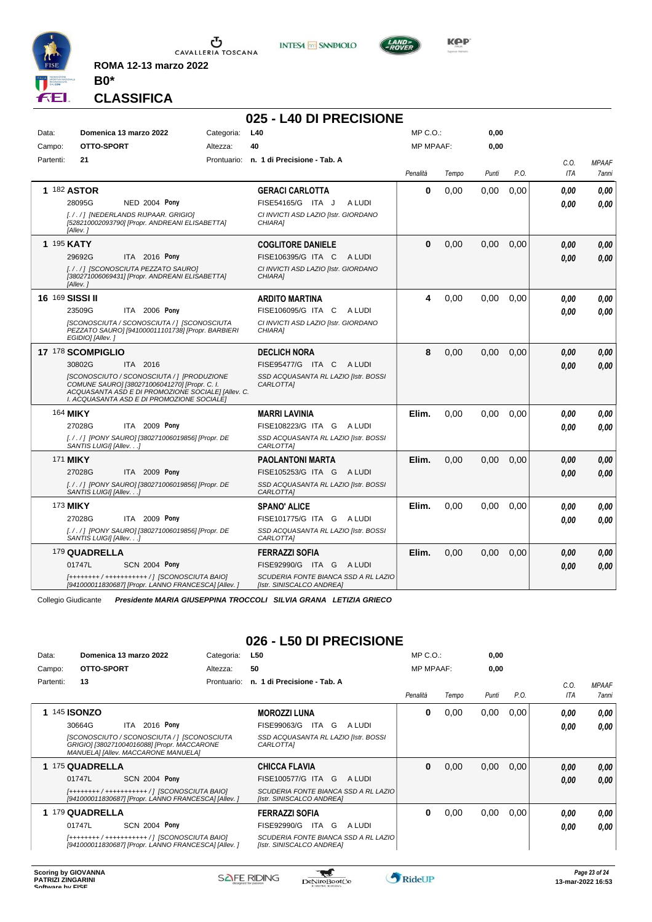

**INTESA** M SANPAOLO



**Kep** 

### **CLASSIFICA**

**B0\***

**ROMA 12-13 marzo 2022**

|                 |                                                                                                                                                                                                 |            | 025 - L40 DI PRECISIONE                                           |                  |       |       |      |            |              |
|-----------------|-------------------------------------------------------------------------------------------------------------------------------------------------------------------------------------------------|------------|-------------------------------------------------------------------|------------------|-------|-------|------|------------|--------------|
| Data:           | Domenica 13 marzo 2022                                                                                                                                                                          | Categoria: | L40                                                               | $MP C. O.$ :     |       | 0,00  |      |            |              |
| Campo:          | OTTO-SPORT                                                                                                                                                                                      | Altezza:   | 40                                                                | <b>MP MPAAF:</b> |       | 0,00  |      |            |              |
| Partenti:       | 21                                                                                                                                                                                              |            | Prontuario: n. 1 di Precisione - Tab. A                           |                  |       |       |      | C.O.       | <b>MPAAF</b> |
|                 |                                                                                                                                                                                                 |            |                                                                   | Penalità         | Tempo | Punti | P.O. | <b>ITA</b> | 7anni        |
|                 | 1 182 ASTOR                                                                                                                                                                                     |            | <b>GERACI CARLOTTA</b>                                            | $\bf{0}$         | 0.00  | 0,00  | 0.00 | 0.00       | 0.00         |
|                 | <b>NED 2004 Pony</b><br>28095G                                                                                                                                                                  |            | A LUDI<br>FISE54165/G ITA J                                       |                  |       |       |      | 0.00       | 0,00         |
|                 | [././] [NEDERLANDS RIJPAAR. GRIGIO]<br>[528210002093790] [Propr. ANDREANI ELISABETTA]<br>[Allev.]                                                                                               |            | CI INVICTI ASD LAZIO [Istr. GIORDANO<br>CHIARA]                   |                  |       |       |      |            |              |
| 1 195 KATY      |                                                                                                                                                                                                 |            | <b>COGLITORE DANIELE</b>                                          | $\mathbf{0}$     | 0,00  | 0,00  | 0,00 | 0.00       | 0.00         |
|                 | 29692G<br>ITA 2016 Pony                                                                                                                                                                         |            | FISE106395/G ITA C<br>A LUDI                                      |                  |       |       |      | 0.00       | 0.00         |
|                 | [././] [SCONOSCIUTA PEZZATO SAURO]<br>[380271006069431] [Propr. ANDREANI ELISABETTA]<br>[Allev.]                                                                                                |            | CI INVICTI ASD LAZIO [Istr. GIORDANO<br>CHIARA1                   |                  |       |       |      |            |              |
| 16 169 SISSI II |                                                                                                                                                                                                 |            | <b>ARDITO MARTINA</b>                                             | 4                | 0.00  | 0.00  | 0.00 | 0.00       | 0,00         |
|                 | ITA 2006 Pony<br>23509G                                                                                                                                                                         |            | FISE106095/G ITA C<br>A LUDI                                      |                  |       |       |      | 0.00       | 0.00         |
|                 | [SCONOSCIUTA / SCONOSCIUTA / ] [SCONOSCIUTA<br>PEZZATO SAURO] [941000011101738] [Propr. BARBIERI<br>EGIDIO] [Allev.]                                                                            |            | CI INVICTI ASD LAZIO [Istr. GIORDANO<br>CHIARA1                   |                  |       |       |      |            |              |
|                 | 17 178 SCOMPIGLIO                                                                                                                                                                               |            | <b>DECLICH NORA</b>                                               | 8                | 0.00  | 0.00  | 0.00 | 0.00       | 0.00         |
|                 | 30802G<br>ITA 2016                                                                                                                                                                              |            | FISE95477/G ITA C<br>A LUDI                                       |                  |       |       |      | 0.00       | 0,00         |
|                 | [SCONOSCIUTO / SCONOSCIUTA / ] [PRODUZIONE<br>COMUNE SAURO] [380271006041270] [Propr. C. I.<br>ACQUASANTA ASD E DI PROMOZIONE SOCIALE] [Allev. C.<br>I. ACQUASANTA ASD E DI PROMOZIONE SOCIALE] |            | SSD ACQUASANTA RL LAZIO [Istr. BOSSI<br>CARLOTTA]                 |                  |       |       |      |            |              |
|                 | 164 <b>MIKY</b>                                                                                                                                                                                 |            | <b>MARRI LAVINIA</b>                                              | Elim.            | 0.00  | 0.00  | 0.00 | 0.00       | 0,00         |
|                 | 27028G<br>ITA 2009 Pony                                                                                                                                                                         |            | FISE108223/G ITA G ALUDI                                          |                  |       |       |      | 0.00       | 0.00         |
|                 | [. / . / ] [PONY SAURO] [380271006019856] [Propr. DE<br>SANTIS LUIGII [Allev. ]                                                                                                                 |            | SSD ACQUASANTA RL LAZIO [Istr. BOSSI<br>CARLOTTA]                 |                  |       |       |      |            |              |
|                 | 171 <b>MIKY</b>                                                                                                                                                                                 |            | <b>PAOLANTONI MARTA</b>                                           | Elim.            | 0.00  | 0.00  | 0.00 | 0.00       | 0,00         |
|                 | ITA 2009 Pony<br>27028G                                                                                                                                                                         |            | FISE105253/G ITA G<br>A LUDI                                      |                  |       |       |      | 0.00       | 0.00         |
|                 | [. / . / ] [PONY SAURO] [380271006019856] [Propr. DE<br>SANTIS LUIGII [Allev.]                                                                                                                  |            | SSD ACQUASANTA RL LAZIO [Istr. BOSSI<br>CARLOTTA]                 |                  |       |       |      |            |              |
|                 | 173 <b>MIKY</b>                                                                                                                                                                                 |            | <b>SPANO' ALICE</b>                                               | Elim.            | 0.00  | 0.00  | 0.00 | 0.00       | 0,00         |
|                 | ITA 2009 Pony<br>27028G                                                                                                                                                                         |            | FISE101775/G ITA G<br>A LUDI                                      |                  |       |       |      | 0.00       | 0.00         |
|                 | [. / . / ] [PONY SAURO] [380271006019856] [Propr. DE<br>SANTIS LUIGII [Allev.]                                                                                                                  |            | SSD ACQUASANTA RL LAZIO [Istr. BOSSI<br>CARLOTTAI                 |                  |       |       |      |            |              |
|                 | 179 QUADRELLA                                                                                                                                                                                   |            | <b>FERRAZZI SOFIA</b>                                             | Elim.            | 0,00  | 0,00  | 0,00 | 0.00       | 0.00         |
|                 | 01747L<br><b>SCN 2004 Pony</b>                                                                                                                                                                  |            | FISE92990/G ITA G ALUDI                                           |                  |       |       |      | 0.00       | 0.00         |
|                 | [++++++++ / +++++++++++ /] [SCONOSCIUTA BAIO]<br>[941000011830687] [Propr. LANNO FRANCESCA] [Allev. ]                                                                                           |            | SCUDERIA FONTE BIANCA SSD A RL LAZIO<br>[Istr. SINISCALCO ANDREA] |                  |       |       |      |            |              |

Collegio Giudicante *Presidente MARIA GIUSEPPINA TROCCOLI SILVIA GRANA LETIZIA GRIECO*

## **026 - L50 DI PRECISIONE**

| Data:     | Domenica 13 marzo 2022                                                                                                            | Categoria:  | L50                                                               | MP C. O.         |       | 0,00  |      |      |                     |
|-----------|-----------------------------------------------------------------------------------------------------------------------------------|-------------|-------------------------------------------------------------------|------------------|-------|-------|------|------|---------------------|
| Campo:    | OTTO-SPORT                                                                                                                        | Altezza:    | 50                                                                | <b>MP MPAAF:</b> |       | 0,00  |      |      |                     |
| Partenti: | 13                                                                                                                                | Prontuario: | n. 1 di Precisione - Tab. A                                       |                  |       |       |      | C.O. | <b>MPAAF</b>        |
|           |                                                                                                                                   |             |                                                                   | Penalità         | Tempo | Punti | P.O. | ITA  | <i><b>7anni</b></i> |
|           | 1 145 <b>ISONZO</b>                                                                                                               |             | <b>MOROZZI LUNA</b>                                               | 0                | 0,00  | 0,00  | 0.00 | 0.00 | 0,00                |
|           | ITA 2016 Pony<br>30664G                                                                                                           |             | FISE99063/G<br>ITA G<br>A LUDI                                    |                  |       |       |      | 0.00 | 0.00                |
|           | [SCONOSCIUTO / SCONOSCIUTA / ] [SCONOSCIUTA<br>GRIGIO] [380271004016088] [Propr. MACCARONE<br>MANUELA] [Allev. MACCARONE MANUELA] |             | SSD ACQUASANTA RL LAZIO [Istr. BOSSI<br><i>CARLOTTAI</i>          |                  |       |       |      |      |                     |
|           | 1 175 QUADRELLA                                                                                                                   |             | <b>CHICCA FLAVIA</b>                                              | 0                | 0,00  | 0,00  | 0,00 | 0.00 | 0.00                |
|           | 01747L<br><b>SCN 2004 Pony</b>                                                                                                    |             | FISE100577/G ITA G<br>A LUDI                                      |                  |       |       |      | 0.00 | 0.00                |
|           | [++++++++ / ++++++++++++ / ] [SCONOSCIUTA BAIO]<br>[941000011830687] [Propr. LANNO FRANCESCA] [Allev. ]                           |             | SCUDERIA FONTE BIANCA SSD A RL LAZIO<br>[Istr. SINISCALCO ANDREA] |                  |       |       |      |      |                     |
|           | 1 179 QUADRELLA                                                                                                                   |             | <b>FERRAZZI SOFIA</b>                                             | 0                | 0,00  | 0,00  | 0,00 | 0.00 | 0.00                |
|           | <b>SCN 2004 Pony</b><br>01747L                                                                                                    |             | FISE92990/G<br>ITA G<br>A LUDI                                    |                  |       |       |      | 0.00 | 0.00                |
|           | [++++++++ / ++++++++++++ / ] [SCONOSCIUTA BAIO]<br>[941000011830687] [Propr. LANNO FRANCESCA] [Allev. ]                           |             | SCUDERIA FONTE BIANCA SSD A RL LAZIO<br>[Istr. SINISCALCO ANDREA] |                  |       |       |      |      |                     |